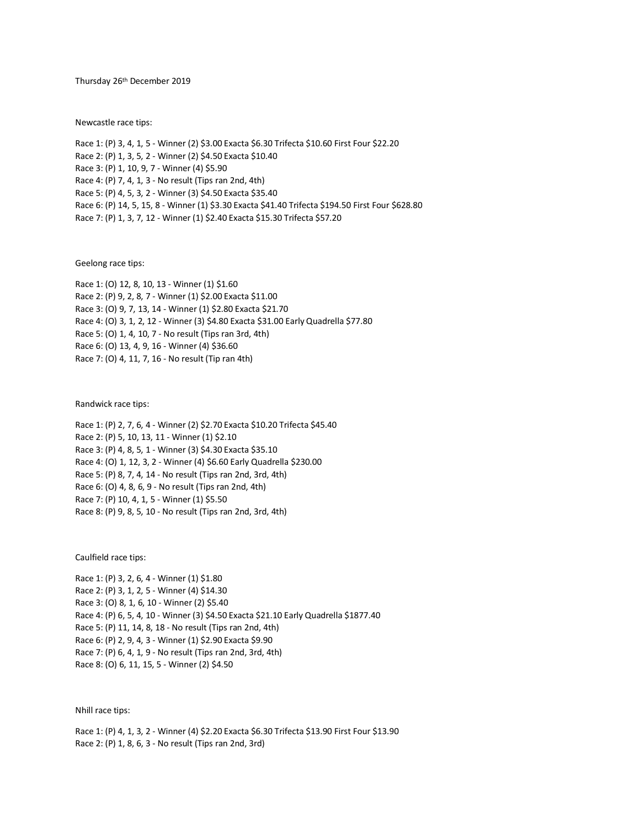Thursday 26th December 2019

Newcastle race tips:

Race 1: (P) 3, 4, 1, 5 - Winner (2) \$3.00 Exacta \$6.30 Trifecta \$10.60 First Four \$22.20 Race 2: (P) 1, 3, 5, 2 - Winner (2) \$4.50 Exacta \$10.40 Race 3: (P) 1, 10, 9, 7 - Winner (4) \$5.90 Race 4: (P) 7, 4, 1, 3 - No result (Tips ran 2nd, 4th) Race 5: (P) 4, 5, 3, 2 - Winner (3) \$4.50 Exacta \$35.40 Race 6: (P) 14, 5, 15, 8 - Winner (1) \$3.30 Exacta \$41.40 Trifecta \$194.50 First Four \$628.80 Race 7: (P) 1, 3, 7, 12 - Winner (1) \$2.40 Exacta \$15.30 Trifecta \$57.20

Geelong race tips:

Race 1: (O) 12, 8, 10, 13 - Winner (1) \$1.60 Race 2: (P) 9, 2, 8, 7 - Winner (1) \$2.00 Exacta \$11.00 Race 3: (O) 9, 7, 13, 14 - Winner (1) \$2.80 Exacta \$21.70 Race 4: (O) 3, 1, 2, 12 - Winner (3) \$4.80 Exacta \$31.00 Early Quadrella \$77.80 Race 5: (O) 1, 4, 10, 7 - No result (Tips ran 3rd, 4th) Race 6: (O) 13, 4, 9, 16 - Winner (4) \$36.60 Race 7: (O) 4, 11, 7, 16 - No result (Tip ran 4th)

Randwick race tips:

Race 1: (P) 2, 7, 6, 4 - Winner (2) \$2.70 Exacta \$10.20 Trifecta \$45.40 Race 2: (P) 5, 10, 13, 11 - Winner (1) \$2.10 Race 3: (P) 4, 8, 5, 1 - Winner (3) \$4.30 Exacta \$35.10 Race 4: (O) 1, 12, 3, 2 - Winner (4) \$6.60 Early Quadrella \$230.00 Race 5: (P) 8, 7, 4, 14 - No result (Tips ran 2nd, 3rd, 4th) Race 6: (O) 4, 8, 6, 9 - No result (Tips ran 2nd, 4th) Race 7: (P) 10, 4, 1, 5 - Winner (1) \$5.50 Race 8: (P) 9, 8, 5, 10 - No result (Tips ran 2nd, 3rd, 4th)

Caulfield race tips:

Race 1: (P) 3, 2, 6, 4 - Winner (1) \$1.80 Race 2: (P) 3, 1, 2, 5 - Winner (4) \$14.30 Race 3: (O) 8, 1, 6, 10 - Winner (2) \$5.40 Race 4: (P) 6, 5, 4, 10 - Winner (3) \$4.50 Exacta \$21.10 Early Quadrella \$1877.40 Race 5: (P) 11, 14, 8, 18 - No result (Tips ran 2nd, 4th) Race 6: (P) 2, 9, 4, 3 - Winner (1) \$2.90 Exacta \$9.90 Race 7: (P) 6, 4, 1, 9 - No result (Tips ran 2nd, 3rd, 4th) Race 8: (O) 6, 11, 15, 5 - Winner (2) \$4.50

Nhill race tips:

Race 1: (P) 4, 1, 3, 2 - Winner (4) \$2.20 Exacta \$6.30 Trifecta \$13.90 First Four \$13.90 Race 2: (P) 1, 8, 6, 3 - No result (Tips ran 2nd, 3rd)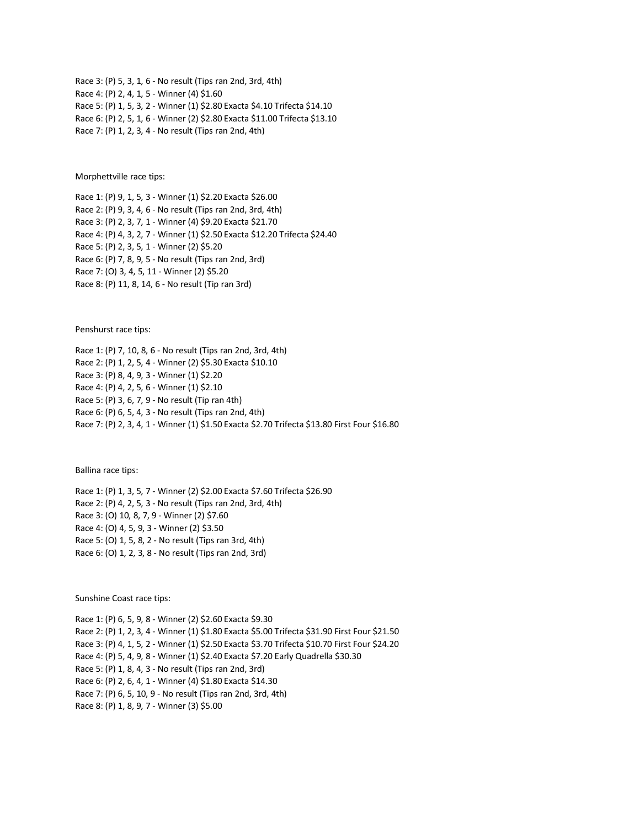Race 3: (P) 5, 3, 1, 6 - No result (Tips ran 2nd, 3rd, 4th) Race 4: (P) 2, 4, 1, 5 - Winner (4) \$1.60 Race 5: (P) 1, 5, 3, 2 - Winner (1) \$2.80 Exacta \$4.10 Trifecta \$14.10 Race 6: (P) 2, 5, 1, 6 - Winner (2) \$2.80 Exacta \$11.00 Trifecta \$13.10 Race 7: (P) 1, 2, 3, 4 - No result (Tips ran 2nd, 4th)

Morphettville race tips:

Race 1: (P) 9, 1, 5, 3 - Winner (1) \$2.20 Exacta \$26.00 Race 2: (P) 9, 3, 4, 6 - No result (Tips ran 2nd, 3rd, 4th) Race 3: (P) 2, 3, 7, 1 - Winner (4) \$9.20 Exacta \$21.70 Race 4: (P) 4, 3, 2, 7 - Winner (1) \$2.50 Exacta \$12.20 Trifecta \$24.40 Race 5: (P) 2, 3, 5, 1 - Winner (2) \$5.20 Race 6: (P) 7, 8, 9, 5 - No result (Tips ran 2nd, 3rd) Race 7: (O) 3, 4, 5, 11 - Winner (2) \$5.20 Race 8: (P) 11, 8, 14, 6 - No result (Tip ran 3rd)

Penshurst race tips:

Race 1: (P) 7, 10, 8, 6 - No result (Tips ran 2nd, 3rd, 4th) Race 2: (P) 1, 2, 5, 4 - Winner (2) \$5.30 Exacta \$10.10 Race 3: (P) 8, 4, 9, 3 - Winner (1) \$2.20 Race 4: (P) 4, 2, 5, 6 - Winner (1) \$2.10 Race 5: (P) 3, 6, 7, 9 - No result (Tip ran 4th) Race 6: (P) 6, 5, 4, 3 - No result (Tips ran 2nd, 4th) Race 7: (P) 2, 3, 4, 1 - Winner (1) \$1.50 Exacta \$2.70 Trifecta \$13.80 First Four \$16.80

Ballina race tips:

Race 1: (P) 1, 3, 5, 7 - Winner (2) \$2.00 Exacta \$7.60 Trifecta \$26.90 Race 2: (P) 4, 2, 5, 3 - No result (Tips ran 2nd, 3rd, 4th) Race 3: (O) 10, 8, 7, 9 - Winner (2) \$7.60 Race 4: (O) 4, 5, 9, 3 - Winner (2) \$3.50 Race 5: (O) 1, 5, 8, 2 - No result (Tips ran 3rd, 4th) Race 6: (O) 1, 2, 3, 8 - No result (Tips ran 2nd, 3rd)

Sunshine Coast race tips:

Race 1: (P) 6, 5, 9, 8 - Winner (2) \$2.60 Exacta \$9.30 Race 2: (P) 1, 2, 3, 4 - Winner (1) \$1.80 Exacta \$5.00 Trifecta \$31.90 First Four \$21.50 Race 3: (P) 4, 1, 5, 2 - Winner (1) \$2.50 Exacta \$3.70 Trifecta \$10.70 First Four \$24.20 Race 4: (P) 5, 4, 9, 8 - Winner (1) \$2.40 Exacta \$7.20 Early Quadrella \$30.30 Race 5: (P) 1, 8, 4, 3 - No result (Tips ran 2nd, 3rd) Race 6: (P) 2, 6, 4, 1 - Winner (4) \$1.80 Exacta \$14.30 Race 7: (P) 6, 5, 10, 9 - No result (Tips ran 2nd, 3rd, 4th) Race 8: (P) 1, 8, 9, 7 - Winner (3) \$5.00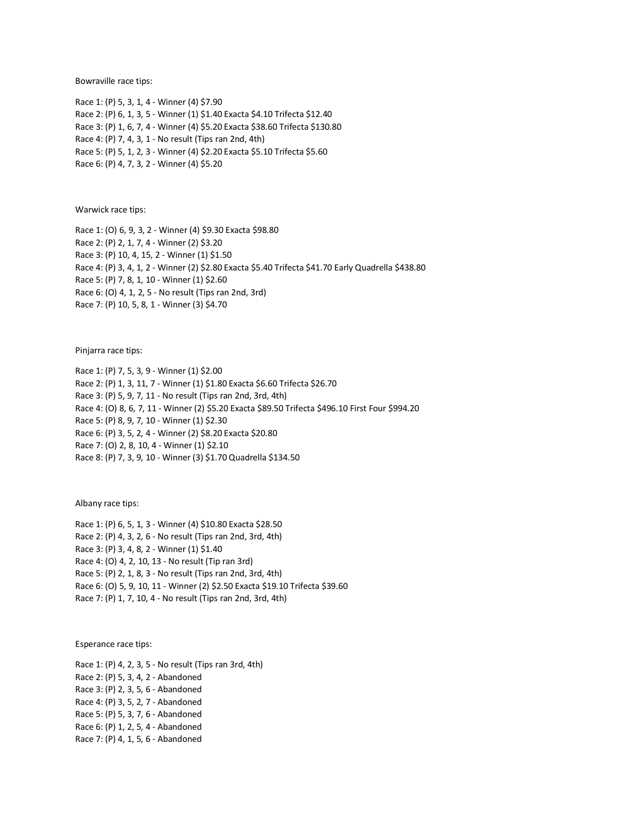Bowraville race tips:

Race 1: (P) 5, 3, 1, 4 - Winner (4) \$7.90 Race 2: (P) 6, 1, 3, 5 - Winner (1) \$1.40 Exacta \$4.10 Trifecta \$12.40 Race 3: (P) 1, 6, 7, 4 - Winner (4) \$5.20 Exacta \$38.60 Trifecta \$130.80 Race 4: (P) 7, 4, 3, 1 - No result (Tips ran 2nd, 4th) Race 5: (P) 5, 1, 2, 3 - Winner (4) \$2.20 Exacta \$5.10 Trifecta \$5.60 Race 6: (P) 4, 7, 3, 2 - Winner (4) \$5.20

Warwick race tips:

Race 1: (O) 6, 9, 3, 2 - Winner (4) \$9.30 Exacta \$98.80 Race 2: (P) 2, 1, 7, 4 - Winner (2) \$3.20 Race 3: (P) 10, 4, 15, 2 - Winner (1) \$1.50 Race 4: (P) 3, 4, 1, 2 - Winner (2) \$2.80 Exacta \$5.40 Trifecta \$41.70 Early Quadrella \$438.80 Race 5: (P) 7, 8, 1, 10 - Winner (1) \$2.60 Race 6: (O) 4, 1, 2, 5 - No result (Tips ran 2nd, 3rd) Race 7: (P) 10, 5, 8, 1 - Winner (3) \$4.70

Pinjarra race tips:

Race 1: (P) 7, 5, 3, 9 - Winner (1) \$2.00 Race 2: (P) 1, 3, 11, 7 - Winner (1) \$1.80 Exacta \$6.60 Trifecta \$26.70 Race 3: (P) 5, 9, 7, 11 - No result (Tips ran 2nd, 3rd, 4th) Race 4: (O) 8, 6, 7, 11 - Winner (2) \$5.20 Exacta \$89.50 Trifecta \$496.10 First Four \$994.20 Race 5: (P) 8, 9, 7, 10 - Winner (1) \$2.30 Race 6: (P) 3, 5, 2, 4 - Winner (2) \$8.20 Exacta \$20.80 Race 7: (O) 2, 8, 10, 4 - Winner (1) \$2.10 Race 8: (P) 7, 3, 9, 10 - Winner (3) \$1.70 Quadrella \$134.50

Albany race tips:

Race 1: (P) 6, 5, 1, 3 - Winner (4) \$10.80 Exacta \$28.50 Race 2: (P) 4, 3, 2, 6 - No result (Tips ran 2nd, 3rd, 4th) Race 3: (P) 3, 4, 8, 2 - Winner (1) \$1.40 Race 4: (O) 4, 2, 10, 13 - No result (Tip ran 3rd) Race 5: (P) 2, 1, 8, 3 - No result (Tips ran 2nd, 3rd, 4th) Race 6: (O) 5, 9, 10, 11 - Winner (2) \$2.50 Exacta \$19.10 Trifecta \$39.60 Race 7: (P) 1, 7, 10, 4 - No result (Tips ran 2nd, 3rd, 4th)

Esperance race tips:

Race 1: (P) 4, 2, 3, 5 - No result (Tips ran 3rd, 4th) Race 2: (P) 5, 3, 4, 2 - Abandoned Race 3: (P) 2, 3, 5, 6 - Abandoned Race 4: (P) 3, 5, 2, 7 - Abandoned Race 5: (P) 5, 3, 7, 6 - Abandoned Race 6: (P) 1, 2, 5, 4 - Abandoned Race 7: (P) 4, 1, 5, 6 - Abandoned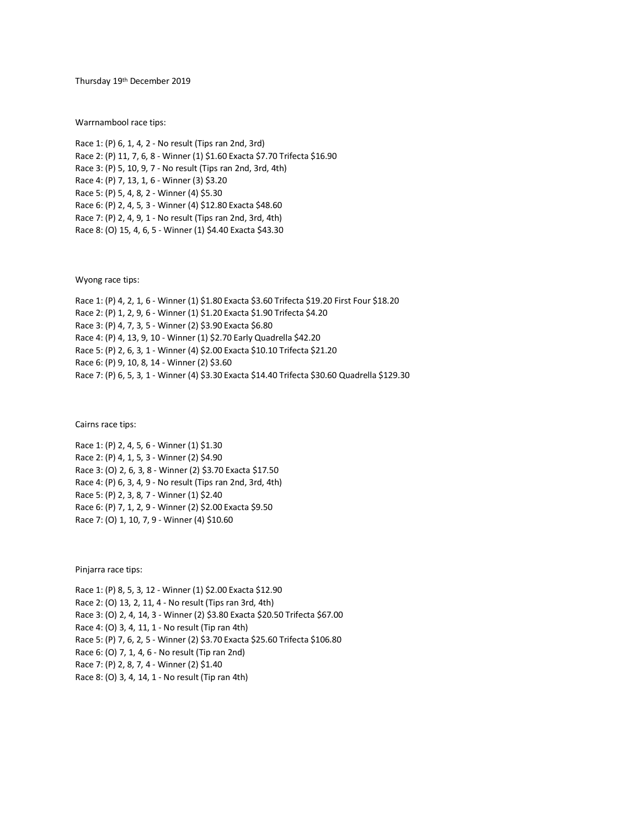Thursday 19<sup>th</sup> December 2019

Warrnambool race tips:

Race 1: (P) 6, 1, 4, 2 - No result (Tips ran 2nd, 3rd) Race 2: (P) 11, 7, 6, 8 - Winner (1) \$1.60 Exacta \$7.70 Trifecta \$16.90 Race 3: (P) 5, 10, 9, 7 - No result (Tips ran 2nd, 3rd, 4th) Race 4: (P) 7, 13, 1, 6 - Winner (3) \$3.20 Race 5: (P) 5, 4, 8, 2 - Winner (4) \$5.30 Race 6: (P) 2, 4, 5, 3 - Winner (4) \$12.80 Exacta \$48.60 Race 7: (P) 2, 4, 9, 1 - No result (Tips ran 2nd, 3rd, 4th) Race 8: (O) 15, 4, 6, 5 - Winner (1) \$4.40 Exacta \$43.30

Wyong race tips:

Race 1: (P) 4, 2, 1, 6 - Winner (1) \$1.80 Exacta \$3.60 Trifecta \$19.20 First Four \$18.20 Race 2: (P) 1, 2, 9, 6 - Winner (1) \$1.20 Exacta \$1.90 Trifecta \$4.20 Race 3: (P) 4, 7, 3, 5 - Winner (2) \$3.90 Exacta \$6.80 Race 4: (P) 4, 13, 9, 10 - Winner (1) \$2.70 Early Quadrella \$42.20 Race 5: (P) 2, 6, 3, 1 - Winner (4) \$2.00 Exacta \$10.10 Trifecta \$21.20 Race 6: (P) 9, 10, 8, 14 - Winner (2) \$3.60 Race 7: (P) 6, 5, 3, 1 - Winner (4) \$3.30 Exacta \$14.40 Trifecta \$30.60 Quadrella \$129.30

Cairns race tips:

Race 1: (P) 2, 4, 5, 6 - Winner (1) \$1.30 Race 2: (P) 4, 1, 5, 3 - Winner (2) \$4.90 Race 3: (O) 2, 6, 3, 8 - Winner (2) \$3.70 Exacta \$17.50 Race 4: (P) 6, 3, 4, 9 - No result (Tips ran 2nd, 3rd, 4th) Race 5: (P) 2, 3, 8, 7 - Winner (1) \$2.40 Race 6: (P) 7, 1, 2, 9 - Winner (2) \$2.00 Exacta \$9.50 Race 7: (O) 1, 10, 7, 9 - Winner (4) \$10.60

Pinjarra race tips:

Race 1: (P) 8, 5, 3, 12 - Winner (1) \$2.00 Exacta \$12.90 Race 2: (O) 13, 2, 11, 4 - No result (Tips ran 3rd, 4th) Race 3: (O) 2, 4, 14, 3 - Winner (2) \$3.80 Exacta \$20.50 Trifecta \$67.00 Race 4: (O) 3, 4, 11, 1 - No result (Tip ran 4th) Race 5: (P) 7, 6, 2, 5 - Winner (2) \$3.70 Exacta \$25.60 Trifecta \$106.80 Race 6: (O) 7, 1, 4, 6 - No result (Tip ran 2nd) Race 7: (P) 2, 8, 7, 4 - Winner (2) \$1.40 Race 8: (O) 3, 4, 14, 1 - No result (Tip ran 4th)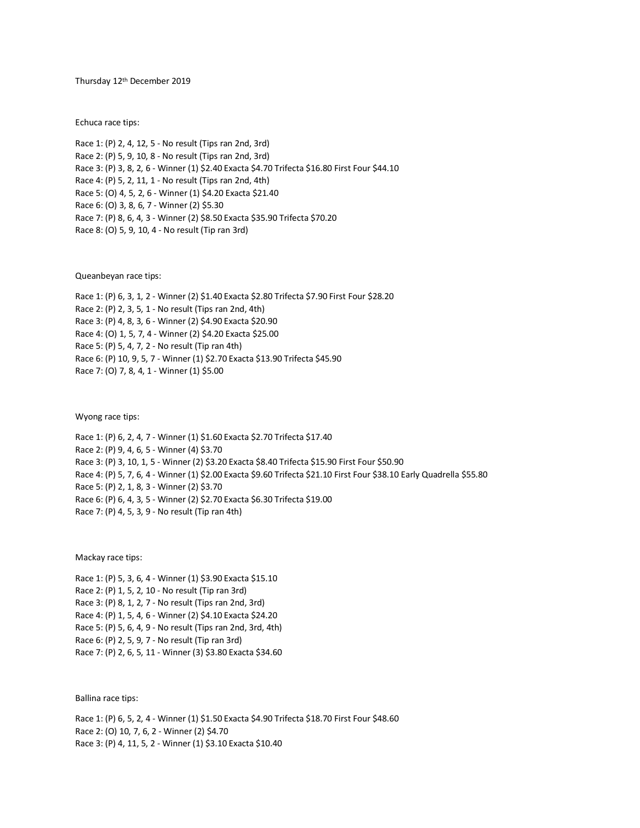Thursday 12th December 2019

Echuca race tips:

Race 1: (P) 2, 4, 12, 5 - No result (Tips ran 2nd, 3rd) Race 2: (P) 5, 9, 10, 8 - No result (Tips ran 2nd, 3rd) Race 3: (P) 3, 8, 2, 6 - Winner (1) \$2.40 Exacta \$4.70 Trifecta \$16.80 First Four \$44.10 Race 4: (P) 5, 2, 11, 1 - No result (Tips ran 2nd, 4th) Race 5: (O) 4, 5, 2, 6 - Winner (1) \$4.20 Exacta \$21.40 Race 6: (O) 3, 8, 6, 7 - Winner (2) \$5.30 Race 7: (P) 8, 6, 4, 3 - Winner (2) \$8.50 Exacta \$35.90 Trifecta \$70.20 Race 8: (O) 5, 9, 10, 4 - No result (Tip ran 3rd)

Queanbeyan race tips:

Race 1: (P) 6, 3, 1, 2 - Winner (2) \$1.40 Exacta \$2.80 Trifecta \$7.90 First Four \$28.20 Race 2: (P) 2, 3, 5, 1 - No result (Tips ran 2nd, 4th) Race 3: (P) 4, 8, 3, 6 - Winner (2) \$4.90 Exacta \$20.90 Race 4: (O) 1, 5, 7, 4 - Winner (2) \$4.20 Exacta \$25.00 Race 5: (P) 5, 4, 7, 2 - No result (Tip ran 4th) Race 6: (P) 10, 9, 5, 7 - Winner (1) \$2.70 Exacta \$13.90 Trifecta \$45.90 Race 7: (O) 7, 8, 4, 1 - Winner (1) \$5.00

Wyong race tips:

Race 1: (P) 6, 2, 4, 7 - Winner (1) \$1.60 Exacta \$2.70 Trifecta \$17.40 Race 2: (P) 9, 4, 6, 5 - Winner (4) \$3.70 Race 3: (P) 3, 10, 1, 5 - Winner (2) \$3.20 Exacta \$8.40 Trifecta \$15.90 First Four \$50.90 Race 4: (P) 5, 7, 6, 4 - Winner (1) \$2.00 Exacta \$9.60 Trifecta \$21.10 First Four \$38.10 Early Quadrella \$55.80 Race 5: (P) 2, 1, 8, 3 - Winner (2) \$3.70 Race 6: (P) 6, 4, 3, 5 - Winner (2) \$2.70 Exacta \$6.30 Trifecta \$19.00 Race 7: (P) 4, 5, 3, 9 - No result (Tip ran 4th)

Mackay race tips:

Race 1: (P) 5, 3, 6, 4 - Winner (1) \$3.90 Exacta \$15.10 Race 2: (P) 1, 5, 2, 10 - No result (Tip ran 3rd) Race 3: (P) 8, 1, 2, 7 - No result (Tips ran 2nd, 3rd) Race 4: (P) 1, 5, 4, 6 - Winner (2) \$4.10 Exacta \$24.20 Race 5: (P) 5, 6, 4, 9 - No result (Tips ran 2nd, 3rd, 4th) Race 6: (P) 2, 5, 9, 7 - No result (Tip ran 3rd) Race 7: (P) 2, 6, 5, 11 - Winner (3) \$3.80 Exacta \$34.60

Ballina race tips:

Race 1: (P) 6, 5, 2, 4 - Winner (1) \$1.50 Exacta \$4.90 Trifecta \$18.70 First Four \$48.60 Race 2: (O) 10, 7, 6, 2 - Winner (2) \$4.70 Race 3: (P) 4, 11, 5, 2 - Winner (1) \$3.10 Exacta \$10.40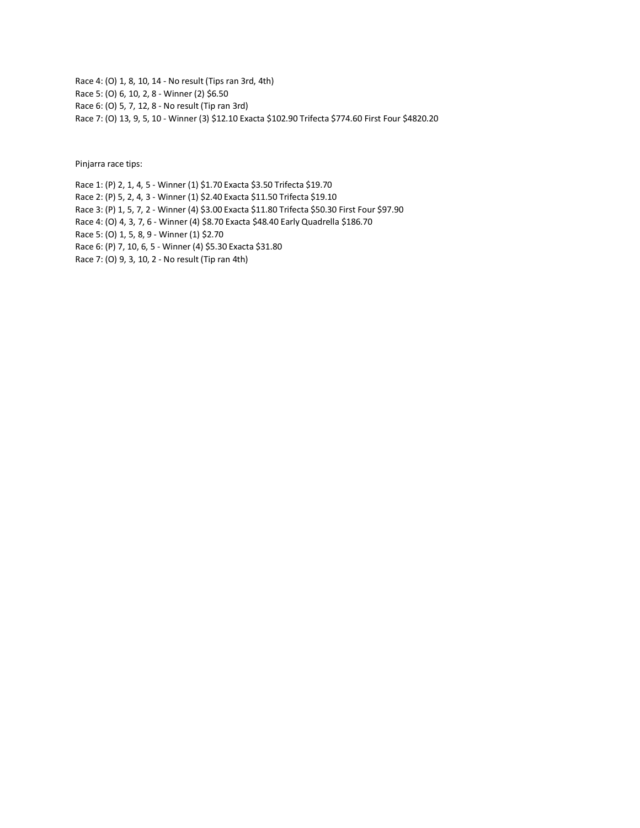Race 4: (O) 1, 8, 10, 14 - No result (Tips ran 3rd, 4th) Race 5: (O) 6, 10, 2, 8 - Winner (2) \$6.50 Race 6: (O) 5, 7, 12, 8 - No result (Tip ran 3rd) Race 7: (O) 13, 9, 5, 10 - Winner (3) \$12.10 Exacta \$102.90 Trifecta \$774.60 First Four \$4820.20

Pinjarra race tips:

Race 1: (P) 2, 1, 4, 5 - Winner (1) \$1.70 Exacta \$3.50 Trifecta \$19.70 Race 2: (P) 5, 2, 4, 3 - Winner (1) \$2.40 Exacta \$11.50 Trifecta \$19.10 Race 3: (P) 1, 5, 7, 2 - Winner (4) \$3.00 Exacta \$11.80 Trifecta \$50.30 First Four \$97.90 Race 4: (O) 4, 3, 7, 6 - Winner (4) \$8.70 Exacta \$48.40 Early Quadrella \$186.70 Race 5: (O) 1, 5, 8, 9 - Winner (1) \$2.70 Race 6: (P) 7, 10, 6, 5 - Winner (4) \$5.30 Exacta \$31.80 Race 7: (O) 9, 3, 10, 2 - No result (Tip ran 4th)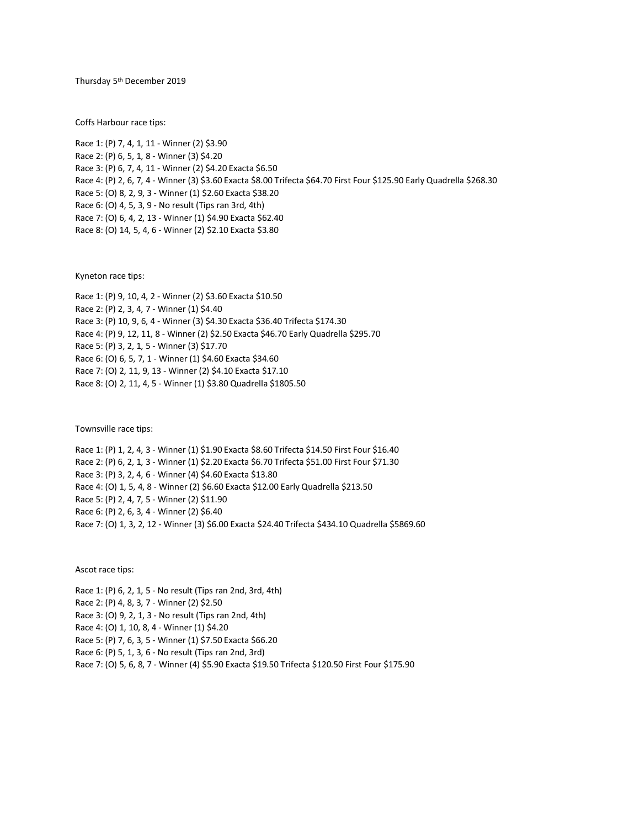Thursday 5 th December 2019

Coffs Harbour race tips:

Race 1: (P) 7, 4, 1, 11 - Winner (2) \$3.90 Race 2: (P) 6, 5, 1, 8 - Winner (3) \$4.20 Race 3: (P) 6, 7, 4, 11 - Winner (2) \$4.20 Exacta \$6.50 Race 4: (P) 2, 6, 7, 4 - Winner (3) \$3.60 Exacta \$8.00 Trifecta \$64.70 First Four \$125.90 Early Quadrella \$268.30 Race 5: (O) 8, 2, 9, 3 - Winner (1) \$2.60 Exacta \$38.20 Race 6: (O) 4, 5, 3, 9 - No result (Tips ran 3rd, 4th) Race 7: (O) 6, 4, 2, 13 - Winner (1) \$4.90 Exacta \$62.40 Race 8: (O) 14, 5, 4, 6 - Winner (2) \$2.10 Exacta \$3.80

Kyneton race tips:

Race 1: (P) 9, 10, 4, 2 - Winner (2) \$3.60 Exacta \$10.50 Race 2: (P) 2, 3, 4, 7 - Winner (1) \$4.40 Race 3: (P) 10, 9, 6, 4 - Winner (3) \$4.30 Exacta \$36.40 Trifecta \$174.30 Race 4: (P) 9, 12, 11, 8 - Winner (2) \$2.50 Exacta \$46.70 Early Quadrella \$295.70 Race 5: (P) 3, 2, 1, 5 - Winner (3) \$17.70 Race 6: (O) 6, 5, 7, 1 - Winner (1) \$4.60 Exacta \$34.60 Race 7: (O) 2, 11, 9, 13 - Winner (2) \$4.10 Exacta \$17.10 Race 8: (O) 2, 11, 4, 5 - Winner (1) \$3.80 Quadrella \$1805.50

Townsville race tips:

Race 1: (P) 1, 2, 4, 3 - Winner (1) \$1.90 Exacta \$8.60 Trifecta \$14.50 First Four \$16.40 Race 2: (P) 6, 2, 1, 3 - Winner (1) \$2.20 Exacta \$6.70 Trifecta \$51.00 First Four \$71.30 Race 3: (P) 3, 2, 4, 6 - Winner (4) \$4.60 Exacta \$13.80 Race 4: (O) 1, 5, 4, 8 - Winner (2) \$6.60 Exacta \$12.00 Early Quadrella \$213.50 Race 5: (P) 2, 4, 7, 5 - Winner (2) \$11.90 Race 6: (P) 2, 6, 3, 4 - Winner (2) \$6.40 Race 7: (O) 1, 3, 2, 12 - Winner (3) \$6.00 Exacta \$24.40 Trifecta \$434.10 Quadrella \$5869.60

Ascot race tips:

Race 1: (P) 6, 2, 1, 5 - No result (Tips ran 2nd, 3rd, 4th) Race 2: (P) 4, 8, 3, 7 - Winner (2) \$2.50 Race 3: (O) 9, 2, 1, 3 - No result (Tips ran 2nd, 4th) Race 4: (O) 1, 10, 8, 4 - Winner (1) \$4.20 Race 5: (P) 7, 6, 3, 5 - Winner (1) \$7.50 Exacta \$66.20 Race 6: (P) 5, 1, 3, 6 - No result (Tips ran 2nd, 3rd) Race 7: (O) 5, 6, 8, 7 - Winner (4) \$5.90 Exacta \$19.50 Trifecta \$120.50 First Four \$175.90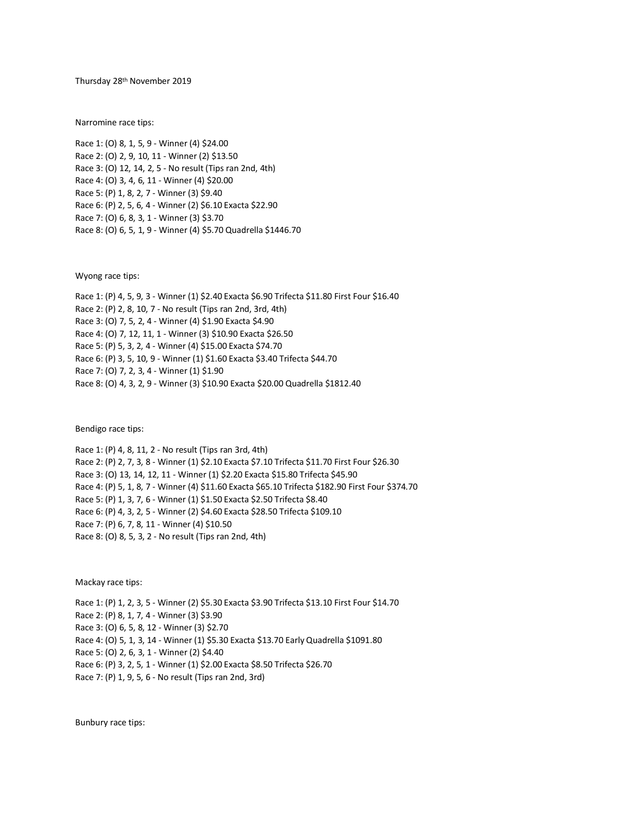Thursday 28 th November 2019

Narromine race tips:

Race 1: (O) 8, 1, 5, 9 - Winner (4) \$24.00 Race 2: (O) 2, 9, 10, 11 - Winner (2) \$13.50 Race 3: (O) 12, 14, 2, 5 - No result (Tips ran 2nd, 4th) Race 4: (O) 3, 4, 6, 11 - Winner (4) \$20.00 Race 5: (P) 1, 8, 2, 7 - Winner (3) \$9.40 Race 6: (P) 2, 5, 6, 4 - Winner (2) \$6.10 Exacta \$22.90 Race 7: (O) 6, 8, 3, 1 - Winner (3) \$3.70 Race 8: (O) 6, 5, 1, 9 - Winner (4) \$5.70 Quadrella \$1446.70

Wyong race tips:

Race 1: (P) 4, 5, 9, 3 - Winner (1) \$2.40 Exacta \$6.90 Trifecta \$11.80 First Four \$16.40 Race 2: (P) 2, 8, 10, 7 - No result (Tips ran 2nd, 3rd, 4th) Race 3: (O) 7, 5, 2, 4 - Winner (4) \$1.90 Exacta \$4.90 Race 4: (O) 7, 12, 11, 1 - Winner (3) \$10.90 Exacta \$26.50 Race 5: (P) 5, 3, 2, 4 - Winner (4) \$15.00 Exacta \$74.70 Race 6: (P) 3, 5, 10, 9 - Winner (1) \$1.60 Exacta \$3.40 Trifecta \$44.70 Race 7: (O) 7, 2, 3, 4 - Winner (1) \$1.90 Race 8: (O) 4, 3, 2, 9 - Winner (3) \$10.90 Exacta \$20.00 Quadrella \$1812.40

Bendigo race tips:

Race 1: (P) 4, 8, 11, 2 - No result (Tips ran 3rd, 4th) Race 2: (P) 2, 7, 3, 8 - Winner (1) \$2.10 Exacta \$7.10 Trifecta \$11.70 First Four \$26.30 Race 3: (O) 13, 14, 12, 11 - Winner (1) \$2.20 Exacta \$15.80 Trifecta \$45.90 Race 4: (P) 5, 1, 8, 7 - Winner (4) \$11.60 Exacta \$65.10 Trifecta \$182.90 First Four \$374.70 Race 5: (P) 1, 3, 7, 6 - Winner (1) \$1.50 Exacta \$2.50 Trifecta \$8.40 Race 6: (P) 4, 3, 2, 5 - Winner (2) \$4.60 Exacta \$28.50 Trifecta \$109.10 Race 7: (P) 6, 7, 8, 11 - Winner (4) \$10.50 Race 8: (O) 8, 5, 3, 2 - No result (Tips ran 2nd, 4th)

Mackay race tips:

Race 1: (P) 1, 2, 3, 5 - Winner (2) \$5.30 Exacta \$3.90 Trifecta \$13.10 First Four \$14.70 Race 2: (P) 8, 1, 7, 4 - Winner (3) \$3.90 Race 3: (O) 6, 5, 8, 12 - Winner (3) \$2.70 Race 4: (O) 5, 1, 3, 14 - Winner (1) \$5.30 Exacta \$13.70 Early Quadrella \$1091.80 Race 5: (O) 2, 6, 3, 1 - Winner (2) \$4.40 Race 6: (P) 3, 2, 5, 1 - Winner (1) \$2.00 Exacta \$8.50 Trifecta \$26.70 Race 7: (P) 1, 9, 5, 6 - No result (Tips ran 2nd, 3rd)

Bunbury race tips: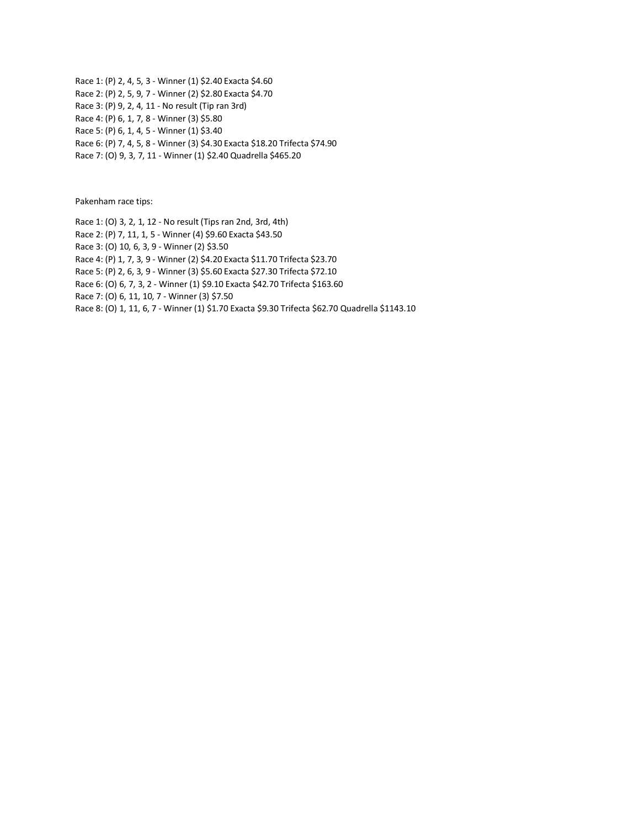Race 1: (P) 2, 4, 5, 3 - Winner (1) \$2.40 Exacta \$4.60 Race 2: (P) 2, 5, 9, 7 - Winner (2) \$2.80 Exacta \$4.70 Race 3: (P) 9, 2, 4, 11 - No result (Tip ran 3rd) Race 4: (P) 6, 1, 7, 8 - Winner (3) \$5.80 Race 5: (P) 6, 1, 4, 5 - Winner (1) \$3.40 Race 6: (P) 7, 4, 5, 8 - Winner (3) \$4.30 Exacta \$18.20 Trifecta \$74.90 Race 7: (O) 9, 3, 7, 11 - Winner (1) \$2.40 Quadrella \$465.20

Pakenham race tips:

Race 1: (O) 3, 2, 1, 12 - No result (Tips ran 2nd, 3rd, 4th)

Race 2: (P) 7, 11, 1, 5 - Winner (4) \$9.60 Exacta \$43.50

Race 3: (O) 10, 6, 3, 9 - Winner (2) \$3.50

Race 4: (P) 1, 7, 3, 9 - Winner (2) \$4.20 Exacta \$11.70 Trifecta \$23.70

Race 5: (P) 2, 6, 3, 9 - Winner (3) \$5.60 Exacta \$27.30 Trifecta \$72.10

Race 6: (O) 6, 7, 3, 2 - Winner (1) \$9.10 Exacta \$42.70 Trifecta \$163.60

Race 7: (O) 6, 11, 10, 7 - Winner (3) \$7.50

Race 8: (O) 1, 11, 6, 7 - Winner (1) \$1.70 Exacta \$9.30 Trifecta \$62.70 Quadrella \$1143.10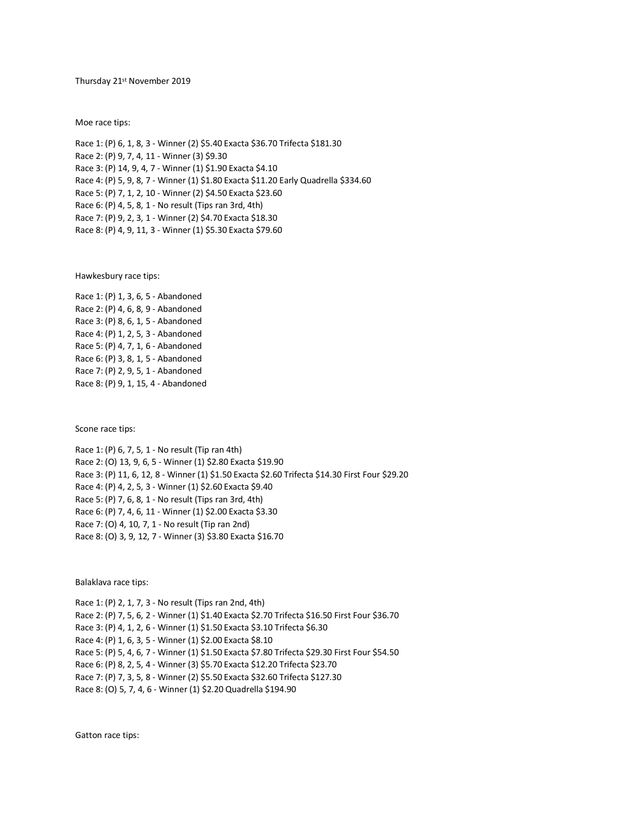Thursday 21st November 2019

Moe race tips:

Race 1: (P) 6, 1, 8, 3 - Winner (2) \$5.40 Exacta \$36.70 Trifecta \$181.30 Race 2: (P) 9, 7, 4, 11 - Winner (3) \$9.30 Race 3: (P) 14, 9, 4, 7 - Winner (1) \$1.90 Exacta \$4.10 Race 4: (P) 5, 9, 8, 7 - Winner (1) \$1.80 Exacta \$11.20 Early Quadrella \$334.60 Race 5: (P) 7, 1, 2, 10 - Winner (2) \$4.50 Exacta \$23.60 Race 6: (P) 4, 5, 8, 1 - No result (Tips ran 3rd, 4th) Race 7: (P) 9, 2, 3, 1 - Winner (2) \$4.70 Exacta \$18.30 Race 8: (P) 4, 9, 11, 3 - Winner (1) \$5.30 Exacta \$79.60

Hawkesbury race tips:

Race 1: (P) 1, 3, 6, 5 - Abandoned Race 2: (P) 4, 6, 8, 9 - Abandoned Race 3: (P) 8, 6, 1, 5 - Abandoned Race 4: (P) 1, 2, 5, 3 - Abandoned Race 5: (P) 4, 7, 1, 6 - Abandoned Race 6: (P) 3, 8, 1, 5 - Abandoned Race 7: (P) 2, 9, 5, 1 - Abandoned Race 8: (P) 9, 1, 15, 4 - Abandoned

Scone race tips:

Race 1: (P) 6, 7, 5, 1 - No result (Tip ran 4th) Race 2: (O) 13, 9, 6, 5 - Winner (1) \$2.80 Exacta \$19.90 Race 3: (P) 11, 6, 12, 8 - Winner (1) \$1.50 Exacta \$2.60 Trifecta \$14.30 First Four \$29.20 Race 4: (P) 4, 2, 5, 3 - Winner (1) \$2.60 Exacta \$9.40 Race 5: (P) 7, 6, 8, 1 - No result (Tips ran 3rd, 4th) Race 6: (P) 7, 4, 6, 11 - Winner (1) \$2.00 Exacta \$3.30 Race 7: (O) 4, 10, 7, 1 - No result (Tip ran 2nd) Race 8: (O) 3, 9, 12, 7 - Winner (3) \$3.80 Exacta \$16.70

Balaklava race tips:

Race 1: (P) 2, 1, 7, 3 - No result (Tips ran 2nd, 4th) Race 2: (P) 7, 5, 6, 2 - Winner (1) \$1.40 Exacta \$2.70 Trifecta \$16.50 First Four \$36.70 Race 3: (P) 4, 1, 2, 6 - Winner (1) \$1.50 Exacta \$3.10 Trifecta \$6.30 Race 4: (P) 1, 6, 3, 5 - Winner (1) \$2.00 Exacta \$8.10 Race 5: (P) 5, 4, 6, 7 - Winner (1) \$1.50 Exacta \$7.80 Trifecta \$29.30 First Four \$54.50 Race 6: (P) 8, 2, 5, 4 - Winner (3) \$5.70 Exacta \$12.20 Trifecta \$23.70 Race 7: (P) 7, 3, 5, 8 - Winner (2) \$5.50 Exacta \$32.60 Trifecta \$127.30 Race 8: (O) 5, 7, 4, 6 - Winner (1) \$2.20 Quadrella \$194.90

Gatton race tips: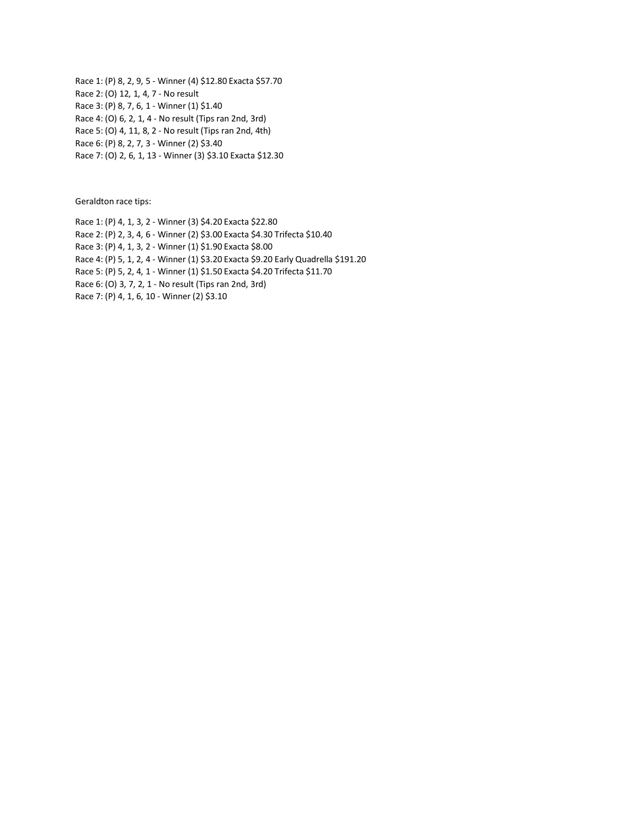Race 1: (P) 8, 2, 9, 5 - Winner (4) \$12.80 Exacta \$57.70 Race 2: (O) 12, 1, 4, 7 - No result Race 3: (P) 8, 7, 6, 1 - Winner (1) \$1.40 Race 4: (O) 6, 2, 1, 4 - No result (Tips ran 2nd, 3rd) Race 5: (O) 4, 11, 8, 2 - No result (Tips ran 2nd, 4th) Race 6: (P) 8, 2, 7, 3 - Winner (2) \$3.40 Race 7: (O) 2, 6, 1, 13 - Winner (3) \$3.10 Exacta \$12.30

Geraldton race tips:

Race 1: (P) 4, 1, 3, 2 - Winner (3) \$4.20 Exacta \$22.80 Race 2: (P) 2, 3, 4, 6 - Winner (2) \$3.00 Exacta \$4.30 Trifecta \$10.40 Race 3: (P) 4, 1, 3, 2 - Winner (1) \$1.90 Exacta \$8.00 Race 4: (P) 5, 1, 2, 4 - Winner (1) \$3.20 Exacta \$9.20 Early Quadrella \$191.20 Race 5: (P) 5, 2, 4, 1 - Winner (1) \$1.50 Exacta \$4.20 Trifecta \$11.70 Race 6: (O) 3, 7, 2, 1 - No result (Tips ran 2nd, 3rd) Race 7: (P) 4, 1, 6, 10 - Winner (2) \$3.10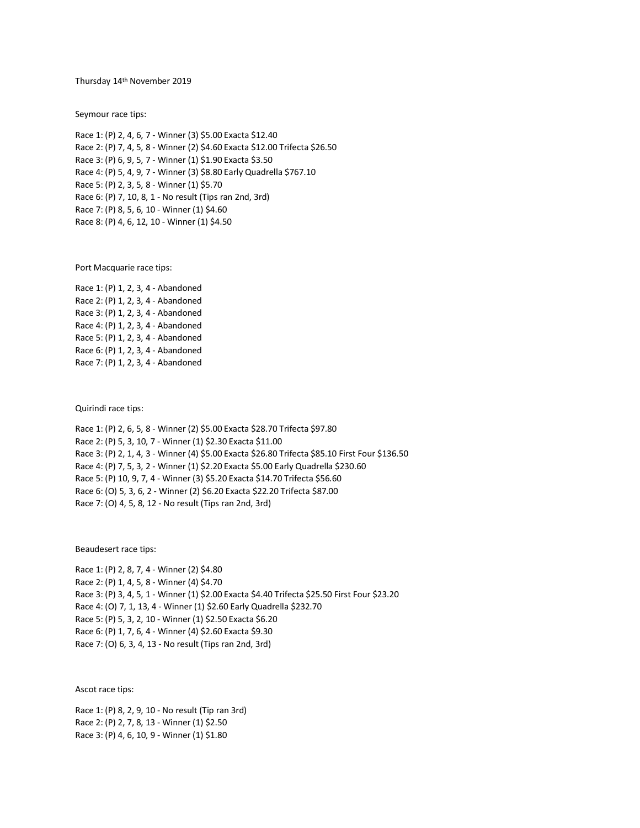Thursday 14th November 2019

Seymour race tips:

Race 1: (P) 2, 4, 6, 7 - Winner (3) \$5.00 Exacta \$12.40 Race 2: (P) 7, 4, 5, 8 - Winner (2) \$4.60 Exacta \$12.00 Trifecta \$26.50 Race 3: (P) 6, 9, 5, 7 - Winner (1) \$1.90 Exacta \$3.50 Race 4: (P) 5, 4, 9, 7 - Winner (3) \$8.80 Early Quadrella \$767.10 Race 5: (P) 2, 3, 5, 8 - Winner (1) \$5.70 Race 6: (P) 7, 10, 8, 1 - No result (Tips ran 2nd, 3rd) Race 7: (P) 8, 5, 6, 10 - Winner (1) \$4.60 Race 8: (P) 4, 6, 12, 10 - Winner (1) \$4.50

Port Macquarie race tips:

Race 1: (P) 1, 2, 3, 4 - Abandoned Race 2: (P) 1, 2, 3, 4 - Abandoned Race 3: (P) 1, 2, 3, 4 - Abandoned Race 4: (P) 1, 2, 3, 4 - Abandoned Race 5: (P) 1, 2, 3, 4 - Abandoned Race 6: (P) 1, 2, 3, 4 - Abandoned Race 7: (P) 1, 2, 3, 4 - Abandoned

Quirindi race tips:

Race 1: (P) 2, 6, 5, 8 - Winner (2) \$5.00 Exacta \$28.70 Trifecta \$97.80 Race 2: (P) 5, 3, 10, 7 - Winner (1) \$2.30 Exacta \$11.00 Race 3: (P) 2, 1, 4, 3 - Winner (4) \$5.00 Exacta \$26.80 Trifecta \$85.10 First Four \$136.50 Race 4: (P) 7, 5, 3, 2 - Winner (1) \$2.20 Exacta \$5.00 Early Quadrella \$230.60 Race 5: (P) 10, 9, 7, 4 - Winner (3) \$5.20 Exacta \$14.70 Trifecta \$56.60 Race 6: (O) 5, 3, 6, 2 - Winner (2) \$6.20 Exacta \$22.20 Trifecta \$87.00 Race 7: (O) 4, 5, 8, 12 - No result (Tips ran 2nd, 3rd)

Beaudesert race tips:

Race 1: (P) 2, 8, 7, 4 - Winner (2) \$4.80 Race 2: (P) 1, 4, 5, 8 - Winner (4) \$4.70 Race 3: (P) 3, 4, 5, 1 - Winner (1) \$2.00 Exacta \$4.40 Trifecta \$25.50 First Four \$23.20 Race 4: (O) 7, 1, 13, 4 - Winner (1) \$2.60 Early Quadrella \$232.70 Race 5: (P) 5, 3, 2, 10 - Winner (1) \$2.50 Exacta \$6.20 Race 6: (P) 1, 7, 6, 4 - Winner (4) \$2.60 Exacta \$9.30 Race 7: (O) 6, 3, 4, 13 - No result (Tips ran 2nd, 3rd)

Ascot race tips:

Race 1: (P) 8, 2, 9, 10 - No result (Tip ran 3rd) Race 2: (P) 2, 7, 8, 13 - Winner (1) \$2.50 Race 3: (P) 4, 6, 10, 9 - Winner (1) \$1.80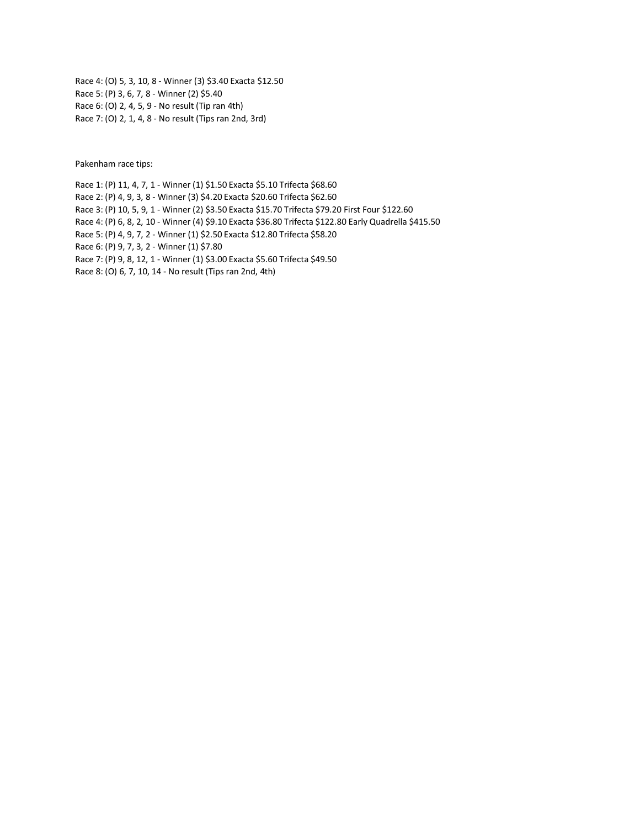Race 4: (O) 5, 3, 10, 8 - Winner (3) \$3.40 Exacta \$12.50 Race 5: (P) 3, 6, 7, 8 - Winner (2) \$5.40 Race 6: (O) 2, 4, 5, 9 - No result (Tip ran 4th) Race 7: (O) 2, 1, 4, 8 - No result (Tips ran 2nd, 3rd)

Pakenham race tips:

Race 1: (P) 11, 4, 7, 1 - Winner (1) \$1.50 Exacta \$5.10 Trifecta \$68.60 Race 2: (P) 4, 9, 3, 8 - Winner (3) \$4.20 Exacta \$20.60 Trifecta \$62.60 Race 3: (P) 10, 5, 9, 1 - Winner (2) \$3.50 Exacta \$15.70 Trifecta \$79.20 First Four \$122.60 Race 4: (P) 6, 8, 2, 10 - Winner (4) \$9.10 Exacta \$36.80 Trifecta \$122.80 Early Quadrella \$415.50 Race 5: (P) 4, 9, 7, 2 - Winner (1) \$2.50 Exacta \$12.80 Trifecta \$58.20 Race 6: (P) 9, 7, 3, 2 - Winner (1) \$7.80 Race 7: (P) 9, 8, 12, 1 - Winner (1) \$3.00 Exacta \$5.60 Trifecta \$49.50 Race 8: (O) 6, 7, 10, 14 - No result (Tips ran 2nd, 4th)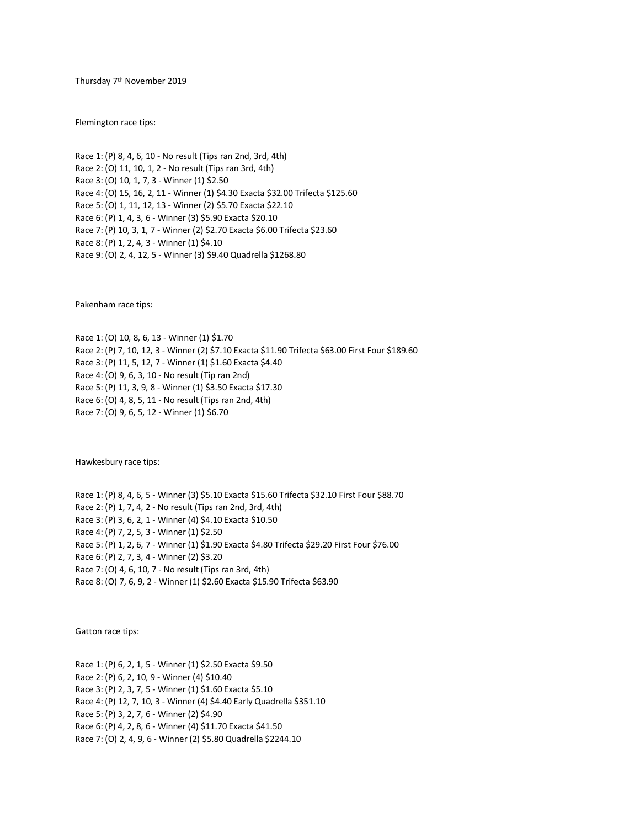Thursday 7th November 2019

Flemington race tips:

Race 1: (P) 8, 4, 6, 10 - No result (Tips ran 2nd, 3rd, 4th) Race 2: (O) 11, 10, 1, 2 - No result (Tips ran 3rd, 4th) Race 3: (O) 10, 1, 7, 3 - Winner (1) \$2.50 Race 4: (O) 15, 16, 2, 11 - Winner (1) \$4.30 Exacta \$32.00 Trifecta \$125.60 Race 5: (O) 1, 11, 12, 13 - Winner (2) \$5.70 Exacta \$22.10 Race 6: (P) 1, 4, 3, 6 - Winner (3) \$5.90 Exacta \$20.10 Race 7: (P) 10, 3, 1, 7 - Winner (2) \$2.70 Exacta \$6.00 Trifecta \$23.60 Race 8: (P) 1, 2, 4, 3 - Winner (1) \$4.10 Race 9: (O) 2, 4, 12, 5 - Winner (3) \$9.40 Quadrella \$1268.80

Pakenham race tips:

Race 1: (O) 10, 8, 6, 13 - Winner (1) \$1.70 Race 2: (P) 7, 10, 12, 3 - Winner (2) \$7.10 Exacta \$11.90 Trifecta \$63.00 First Four \$189.60 Race 3: (P) 11, 5, 12, 7 - Winner (1) \$1.60 Exacta \$4.40 Race 4: (O) 9, 6, 3, 10 - No result (Tip ran 2nd) Race 5: (P) 11, 3, 9, 8 - Winner (1) \$3.50 Exacta \$17.30 Race 6: (O) 4, 8, 5, 11 - No result (Tips ran 2nd, 4th) Race 7: (O) 9, 6, 5, 12 - Winner (1) \$6.70

Hawkesbury race tips:

Race 1: (P) 8, 4, 6, 5 - Winner (3) \$5.10 Exacta \$15.60 Trifecta \$32.10 First Four \$88.70 Race 2: (P) 1, 7, 4, 2 - No result (Tips ran 2nd, 3rd, 4th) Race 3: (P) 3, 6, 2, 1 - Winner (4) \$4.10 Exacta \$10.50 Race 4: (P) 7, 2, 5, 3 - Winner (1) \$2.50 Race 5: (P) 1, 2, 6, 7 - Winner (1) \$1.90 Exacta \$4.80 Trifecta \$29.20 First Four \$76.00 Race 6: (P) 2, 7, 3, 4 - Winner (2) \$3.20 Race 7: (O) 4, 6, 10, 7 - No result (Tips ran 3rd, 4th) Race 8: (O) 7, 6, 9, 2 - Winner (1) \$2.60 Exacta \$15.90 Trifecta \$63.90

Gatton race tips:

Race 1: (P) 6, 2, 1, 5 - Winner (1) \$2.50 Exacta \$9.50 Race 2: (P) 6, 2, 10, 9 - Winner (4) \$10.40 Race 3: (P) 2, 3, 7, 5 - Winner (1) \$1.60 Exacta \$5.10 Race 4: (P) 12, 7, 10, 3 - Winner (4) \$4.40 Early Quadrella \$351.10 Race 5: (P) 3, 2, 7, 6 - Winner (2) \$4.90 Race 6: (P) 4, 2, 8, 6 - Winner (4) \$11.70 Exacta \$41.50 Race 7: (O) 2, 4, 9, 6 - Winner (2) \$5.80 Quadrella \$2244.10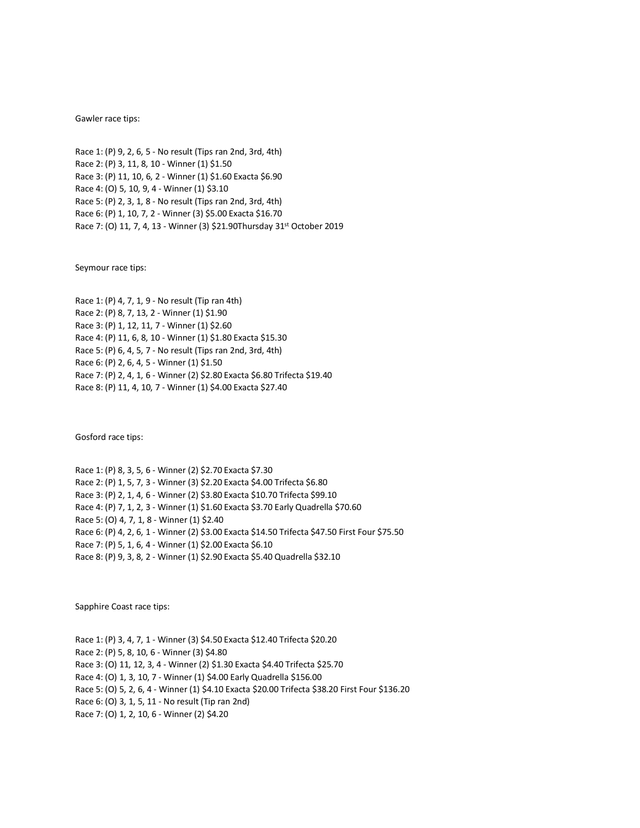## Gawler race tips:

Race 1: (P) 9, 2, 6, 5 - No result (Tips ran 2nd, 3rd, 4th) Race 2: (P) 3, 11, 8, 10 - Winner (1) \$1.50 Race 3: (P) 11, 10, 6, 2 - Winner (1) \$1.60 Exacta \$6.90 Race 4: (O) 5, 10, 9, 4 - Winner (1) \$3.10 Race 5: (P) 2, 3, 1, 8 - No result (Tips ran 2nd, 3rd, 4th) Race 6: (P) 1, 10, 7, 2 - Winner (3) \$5.00 Exacta \$16.70 Race 7: (O) 11, 7, 4, 13 - Winner (3) \$21.90Thursday 31st October 2019

Seymour race tips:

Race 1: (P) 4, 7, 1, 9 - No result (Tip ran 4th) Race 2: (P) 8, 7, 13, 2 - Winner (1) \$1.90 Race 3: (P) 1, 12, 11, 7 - Winner (1) \$2.60 Race 4: (P) 11, 6, 8, 10 - Winner (1) \$1.80 Exacta \$15.30 Race 5: (P) 6, 4, 5, 7 - No result (Tips ran 2nd, 3rd, 4th) Race 6: (P) 2, 6, 4, 5 - Winner (1) \$1.50 Race 7: (P) 2, 4, 1, 6 - Winner (2) \$2.80 Exacta \$6.80 Trifecta \$19.40 Race 8: (P) 11, 4, 10, 7 - Winner (1) \$4.00 Exacta \$27.40

Gosford race tips:

Race 1: (P) 8, 3, 5, 6 - Winner (2) \$2.70 Exacta \$7.30 Race 2: (P) 1, 5, 7, 3 - Winner (3) \$2.20 Exacta \$4.00 Trifecta \$6.80 Race 3: (P) 2, 1, 4, 6 - Winner (2) \$3.80 Exacta \$10.70 Trifecta \$99.10 Race 4: (P) 7, 1, 2, 3 - Winner (1) \$1.60 Exacta \$3.70 Early Quadrella \$70.60 Race 5: (O) 4, 7, 1, 8 - Winner (1) \$2.40 Race 6: (P) 4, 2, 6, 1 - Winner (2) \$3.00 Exacta \$14.50 Trifecta \$47.50 First Four \$75.50 Race 7: (P) 5, 1, 6, 4 - Winner (1) \$2.00 Exacta \$6.10 Race 8: (P) 9, 3, 8, 2 - Winner (1) \$2.90 Exacta \$5.40 Quadrella \$32.10

Sapphire Coast race tips:

Race 1: (P) 3, 4, 7, 1 - Winner (3) \$4.50 Exacta \$12.40 Trifecta \$20.20 Race 2: (P) 5, 8, 10, 6 - Winner (3) \$4.80 Race 3: (O) 11, 12, 3, 4 - Winner (2) \$1.30 Exacta \$4.40 Trifecta \$25.70 Race 4: (O) 1, 3, 10, 7 - Winner (1) \$4.00 Early Quadrella \$156.00 Race 5: (O) 5, 2, 6, 4 - Winner (1) \$4.10 Exacta \$20.00 Trifecta \$38.20 First Four \$136.20 Race 6: (O) 3, 1, 5, 11 - No result (Tip ran 2nd) Race 7: (O) 1, 2, 10, 6 - Winner (2) \$4.20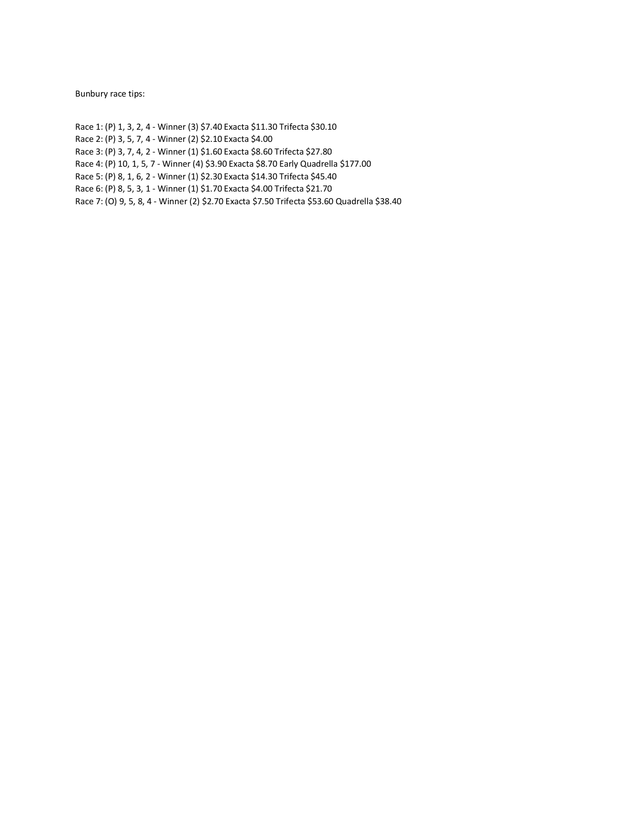Bunbury race tips:

Race 1: (P) 1, 3, 2, 4 - Winner (3) \$7.40 Exacta \$11.30 Trifecta \$30.10 Race 2: (P) 3, 5, 7, 4 - Winner (2) \$2.10 Exacta \$4.00 Race 3: (P) 3, 7, 4, 2 - Winner (1) \$1.60 Exacta \$8.60 Trifecta \$27.80 Race 4: (P) 10, 1, 5, 7 - Winner (4) \$3.90 Exacta \$8.70 Early Quadrella \$177.00 Race 5: (P) 8, 1, 6, 2 - Winner (1) \$2.30 Exacta \$14.30 Trifecta \$45.40 Race 6: (P) 8, 5, 3, 1 - Winner (1) \$1.70 Exacta \$4.00 Trifecta \$21.70

Race 7: (O) 9, 5, 8, 4 - Winner (2) \$2.70 Exacta \$7.50 Trifecta \$53.60 Quadrella \$38.40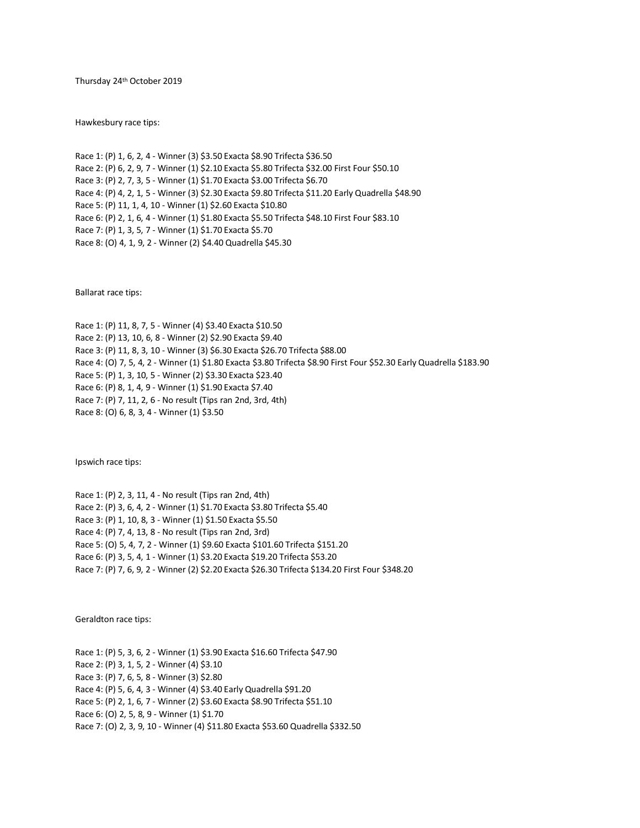Thursday 24th October 2019

Hawkesbury race tips:

Race 1: (P) 1, 6, 2, 4 - Winner (3) \$3.50 Exacta \$8.90 Trifecta \$36.50 Race 2: (P) 6, 2, 9, 7 - Winner (1) \$2.10 Exacta \$5.80 Trifecta \$32.00 First Four \$50.10 Race 3: (P) 2, 7, 3, 5 - Winner (1) \$1.70 Exacta \$3.00 Trifecta \$6.70 Race 4: (P) 4, 2, 1, 5 - Winner (3) \$2.30 Exacta \$9.80 Trifecta \$11.20 Early Quadrella \$48.90 Race 5: (P) 11, 1, 4, 10 - Winner (1) \$2.60 Exacta \$10.80 Race 6: (P) 2, 1, 6, 4 - Winner (1) \$1.80 Exacta \$5.50 Trifecta \$48.10 First Four \$83.10 Race 7: (P) 1, 3, 5, 7 - Winner (1) \$1.70 Exacta \$5.70 Race 8: (O) 4, 1, 9, 2 - Winner (2) \$4.40 Quadrella \$45.30

Ballarat race tips:

Race 1: (P) 11, 8, 7, 5 - Winner (4) \$3.40 Exacta \$10.50 Race 2: (P) 13, 10, 6, 8 - Winner (2) \$2.90 Exacta \$9.40 Race 3: (P) 11, 8, 3, 10 - Winner (3) \$6.30 Exacta \$26.70 Trifecta \$88.00 Race 4: (O) 7, 5, 4, 2 - Winner (1) \$1.80 Exacta \$3.80 Trifecta \$8.90 First Four \$52.30 Early Quadrella \$183.90 Race 5: (P) 1, 3, 10, 5 - Winner (2) \$3.30 Exacta \$23.40 Race 6: (P) 8, 1, 4, 9 - Winner (1) \$1.90 Exacta \$7.40 Race 7: (P) 7, 11, 2, 6 - No result (Tips ran 2nd, 3rd, 4th) Race 8: (O) 6, 8, 3, 4 - Winner (1) \$3.50

Ipswich race tips:

Race 1: (P) 2, 3, 11, 4 - No result (Tips ran 2nd, 4th) Race 2: (P) 3, 6, 4, 2 - Winner (1) \$1.70 Exacta \$3.80 Trifecta \$5.40 Race 3: (P) 1, 10, 8, 3 - Winner (1) \$1.50 Exacta \$5.50 Race 4: (P) 7, 4, 13, 8 - No result (Tips ran 2nd, 3rd) Race 5: (O) 5, 4, 7, 2 - Winner (1) \$9.60 Exacta \$101.60 Trifecta \$151.20 Race 6: (P) 3, 5, 4, 1 - Winner (1) \$3.20 Exacta \$19.20 Trifecta \$53.20 Race 7: (P) 7, 6, 9, 2 - Winner (2) \$2.20 Exacta \$26.30 Trifecta \$134.20 First Four \$348.20

Geraldton race tips:

Race 1: (P) 5, 3, 6, 2 - Winner (1) \$3.90 Exacta \$16.60 Trifecta \$47.90 Race 2: (P) 3, 1, 5, 2 - Winner (4) \$3.10 Race 3: (P) 7, 6, 5, 8 - Winner (3) \$2.80 Race 4: (P) 5, 6, 4, 3 - Winner (4) \$3.40 Early Quadrella \$91.20 Race 5: (P) 2, 1, 6, 7 - Winner (2) \$3.60 Exacta \$8.90 Trifecta \$51.10 Race 6: (O) 2, 5, 8, 9 - Winner (1) \$1.70 Race 7: (O) 2, 3, 9, 10 - Winner (4) \$11.80 Exacta \$53.60 Quadrella \$332.50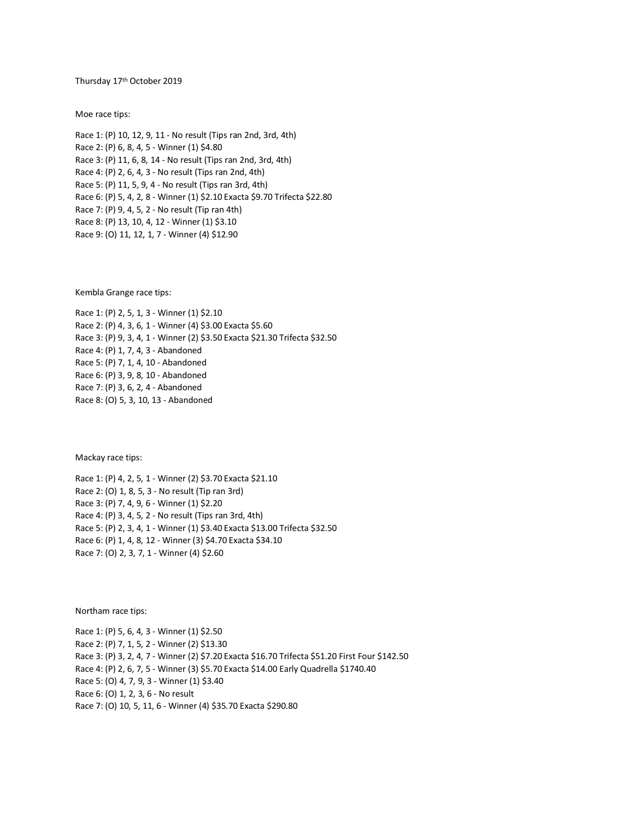Thursday 17th October 2019

Moe race tips:

Race 1: (P) 10, 12, 9, 11 - No result (Tips ran 2nd, 3rd, 4th) Race 2: (P) 6, 8, 4, 5 - Winner (1) \$4.80 Race 3: (P) 11, 6, 8, 14 - No result (Tips ran 2nd, 3rd, 4th) Race 4: (P) 2, 6, 4, 3 - No result (Tips ran 2nd, 4th) Race 5: (P) 11, 5, 9, 4 - No result (Tips ran 3rd, 4th) Race 6: (P) 5, 4, 2, 8 - Winner (1) \$2.10 Exacta \$9.70 Trifecta \$22.80 Race 7: (P) 9, 4, 5, 2 - No result (Tip ran 4th) Race 8: (P) 13, 10, 4, 12 - Winner (1) \$3.10 Race 9: (O) 11, 12, 1, 7 - Winner (4) \$12.90

Kembla Grange race tips:

Race 1: (P) 2, 5, 1, 3 - Winner (1) \$2.10 Race 2: (P) 4, 3, 6, 1 - Winner (4) \$3.00 Exacta \$5.60 Race 3: (P) 9, 3, 4, 1 - Winner (2) \$3.50 Exacta \$21.30 Trifecta \$32.50 Race 4: (P) 1, 7, 4, 3 - Abandoned Race 5: (P) 7, 1, 4, 10 - Abandoned Race 6: (P) 3, 9, 8, 10 - Abandoned Race 7: (P) 3, 6, 2, 4 - Abandoned Race 8: (O) 5, 3, 10, 13 - Abandoned

Mackay race tips:

Race 1: (P) 4, 2, 5, 1 - Winner (2) \$3.70 Exacta \$21.10 Race 2: (O) 1, 8, 5, 3 - No result (Tip ran 3rd) Race 3: (P) 7, 4, 9, 6 - Winner (1) \$2.20 Race 4: (P) 3, 4, 5, 2 - No result (Tips ran 3rd, 4th) Race 5: (P) 2, 3, 4, 1 - Winner (1) \$3.40 Exacta \$13.00 Trifecta \$32.50 Race 6: (P) 1, 4, 8, 12 - Winner (3) \$4.70 Exacta \$34.10 Race 7: (O) 2, 3, 7, 1 - Winner (4) \$2.60

Northam race tips:

Race 1: (P) 5, 6, 4, 3 - Winner (1) \$2.50 Race 2: (P) 7, 1, 5, 2 - Winner (2) \$13.30 Race 3: (P) 3, 2, 4, 7 - Winner (2) \$7.20 Exacta \$16.70 Trifecta \$51.20 First Four \$142.50 Race 4: (P) 2, 6, 7, 5 - Winner (3) \$5.70 Exacta \$14.00 Early Quadrella \$1740.40 Race 5: (O) 4, 7, 9, 3 - Winner (1) \$3.40 Race 6: (O) 1, 2, 3, 6 - No result Race 7: (O) 10, 5, 11, 6 - Winner (4) \$35.70 Exacta \$290.80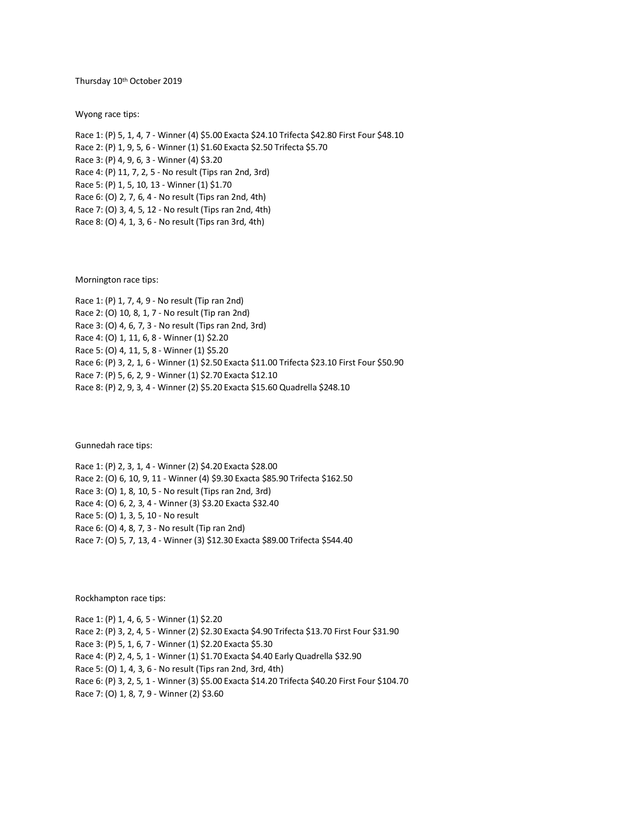Thursday 10th October 2019

Wyong race tips:

Race 1: (P) 5, 1, 4, 7 - Winner (4) \$5.00 Exacta \$24.10 Trifecta \$42.80 First Four \$48.10 Race 2: (P) 1, 9, 5, 6 - Winner (1) \$1.60 Exacta \$2.50 Trifecta \$5.70 Race 3: (P) 4, 9, 6, 3 - Winner (4) \$3.20 Race 4: (P) 11, 7, 2, 5 - No result (Tips ran 2nd, 3rd) Race 5: (P) 1, 5, 10, 13 - Winner (1) \$1.70 Race 6: (O) 2, 7, 6, 4 - No result (Tips ran 2nd, 4th) Race 7: (O) 3, 4, 5, 12 - No result (Tips ran 2nd, 4th) Race 8: (O) 4, 1, 3, 6 - No result (Tips ran 3rd, 4th)

Mornington race tips:

Race 1: (P) 1, 7, 4, 9 - No result (Tip ran 2nd) Race 2: (O) 10, 8, 1, 7 - No result (Tip ran 2nd) Race 3: (O) 4, 6, 7, 3 - No result (Tips ran 2nd, 3rd) Race 4: (O) 1, 11, 6, 8 - Winner (1) \$2.20 Race 5: (O) 4, 11, 5, 8 - Winner (1) \$5.20 Race 6: (P) 3, 2, 1, 6 - Winner (1) \$2.50 Exacta \$11.00 Trifecta \$23.10 First Four \$50.90 Race 7: (P) 5, 6, 2, 9 - Winner (1) \$2.70 Exacta \$12.10 Race 8: (P) 2, 9, 3, 4 - Winner (2) \$5.20 Exacta \$15.60 Quadrella \$248.10

Gunnedah race tips:

Race 1: (P) 2, 3, 1, 4 - Winner (2) \$4.20 Exacta \$28.00 Race 2: (O) 6, 10, 9, 11 - Winner (4) \$9.30 Exacta \$85.90 Trifecta \$162.50 Race 3: (O) 1, 8, 10, 5 - No result (Tips ran 2nd, 3rd) Race 4: (O) 6, 2, 3, 4 - Winner (3) \$3.20 Exacta \$32.40 Race 5: (O) 1, 3, 5, 10 - No result Race 6: (O) 4, 8, 7, 3 - No result (Tip ran 2nd) Race 7: (O) 5, 7, 13, 4 - Winner (3) \$12.30 Exacta \$89.00 Trifecta \$544.40

Rockhampton race tips:

Race 1: (P) 1, 4, 6, 5 - Winner (1) \$2.20 Race 2: (P) 3, 2, 4, 5 - Winner (2) \$2.30 Exacta \$4.90 Trifecta \$13.70 First Four \$31.90 Race 3: (P) 5, 1, 6, 7 - Winner (1) \$2.20 Exacta \$5.30 Race 4: (P) 2, 4, 5, 1 - Winner (1) \$1.70 Exacta \$4.40 Early Quadrella \$32.90 Race 5: (O) 1, 4, 3, 6 - No result (Tips ran 2nd, 3rd, 4th) Race 6: (P) 3, 2, 5, 1 - Winner (3) \$5.00 Exacta \$14.20 Trifecta \$40.20 First Four \$104.70 Race 7: (O) 1, 8, 7, 9 - Winner (2) \$3.60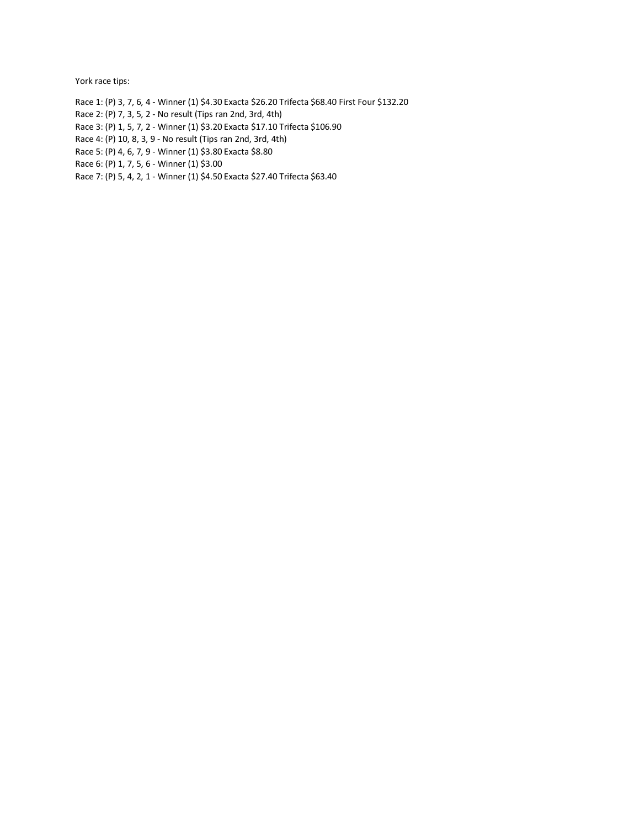York race tips:

- Race 1: (P) 3, 7, 6, 4 Winner (1) \$4.30 Exacta \$26.20 Trifecta \$68.40 First Four \$132.20
- Race 2: (P) 7, 3, 5, 2 No result (Tips ran 2nd, 3rd, 4th)
- Race 3: (P) 1, 5, 7, 2 Winner (1) \$3.20 Exacta \$17.10 Trifecta \$106.90
- Race 4: (P) 10, 8, 3, 9 No result (Tips ran 2nd, 3rd, 4th)
- Race 5: (P) 4, 6, 7, 9 Winner (1) \$3.80 Exacta \$8.80
- Race 6: (P) 1, 7, 5, 6 Winner (1) \$3.00
- Race 7: (P) 5, 4, 2, 1 Winner (1) \$4.50 Exacta \$27.40 Trifecta \$63.40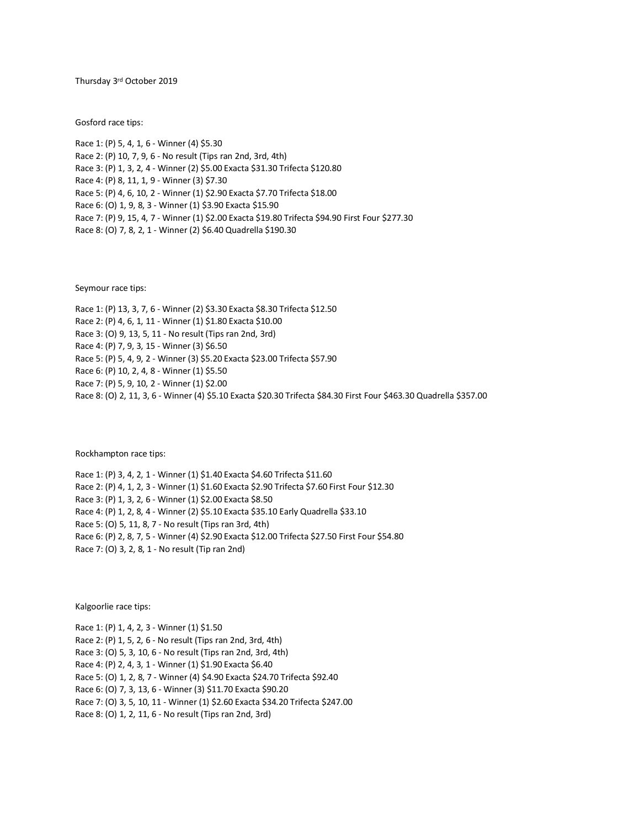Thursday 3<sup>rd</sup> October 2019

Gosford race tips:

Race 1: (P) 5, 4, 1, 6 - Winner (4) \$5.30 Race 2: (P) 10, 7, 9, 6 - No result (Tips ran 2nd, 3rd, 4th) Race 3: (P) 1, 3, 2, 4 - Winner (2) \$5.00 Exacta \$31.30 Trifecta \$120.80 Race 4: (P) 8, 11, 1, 9 - Winner (3) \$7.30 Race 5: (P) 4, 6, 10, 2 - Winner (1) \$2.90 Exacta \$7.70 Trifecta \$18.00 Race 6: (O) 1, 9, 8, 3 - Winner (1) \$3.90 Exacta \$15.90 Race 7: (P) 9, 15, 4, 7 - Winner (1) \$2.00 Exacta \$19.80 Trifecta \$94.90 First Four \$277.30 Race 8: (O) 7, 8, 2, 1 - Winner (2) \$6.40 Quadrella \$190.30

Seymour race tips:

Race 1: (P) 13, 3, 7, 6 - Winner (2) \$3.30 Exacta \$8.30 Trifecta \$12.50 Race 2: (P) 4, 6, 1, 11 - Winner (1) \$1.80 Exacta \$10.00 Race 3: (O) 9, 13, 5, 11 - No result (Tips ran 2nd, 3rd) Race 4: (P) 7, 9, 3, 15 - Winner (3) \$6.50 Race 5: (P) 5, 4, 9, 2 - Winner (3) \$5.20 Exacta \$23.00 Trifecta \$57.90 Race 6: (P) 10, 2, 4, 8 - Winner (1) \$5.50 Race 7: (P) 5, 9, 10, 2 - Winner (1) \$2.00 Race 8: (O) 2, 11, 3, 6 - Winner (4) \$5.10 Exacta \$20.30 Trifecta \$84.30 First Four \$463.30 Quadrella \$357.00

Rockhampton race tips:

Race 1: (P) 3, 4, 2, 1 - Winner (1) \$1.40 Exacta \$4.60 Trifecta \$11.60 Race 2: (P) 4, 1, 2, 3 - Winner (1) \$1.60 Exacta \$2.90 Trifecta \$7.60 First Four \$12.30 Race 3: (P) 1, 3, 2, 6 - Winner (1) \$2.00 Exacta \$8.50 Race 4: (P) 1, 2, 8, 4 - Winner (2) \$5.10 Exacta \$35.10 Early Quadrella \$33.10 Race 5: (O) 5, 11, 8, 7 - No result (Tips ran 3rd, 4th) Race 6: (P) 2, 8, 7, 5 - Winner (4) \$2.90 Exacta \$12.00 Trifecta \$27.50 First Four \$54.80 Race 7: (O) 3, 2, 8, 1 - No result (Tip ran 2nd)

Kalgoorlie race tips:

Race 1: (P) 1, 4, 2, 3 - Winner (1) \$1.50 Race 2: (P) 1, 5, 2, 6 - No result (Tips ran 2nd, 3rd, 4th) Race 3: (O) 5, 3, 10, 6 - No result (Tips ran 2nd, 3rd, 4th) Race 4: (P) 2, 4, 3, 1 - Winner (1) \$1.90 Exacta \$6.40 Race 5: (O) 1, 2, 8, 7 - Winner (4) \$4.90 Exacta \$24.70 Trifecta \$92.40 Race 6: (O) 7, 3, 13, 6 - Winner (3) \$11.70 Exacta \$90.20 Race 7: (O) 3, 5, 10, 11 - Winner (1) \$2.60 Exacta \$34.20 Trifecta \$247.00 Race 8: (O) 1, 2, 11, 6 - No result (Tips ran 2nd, 3rd)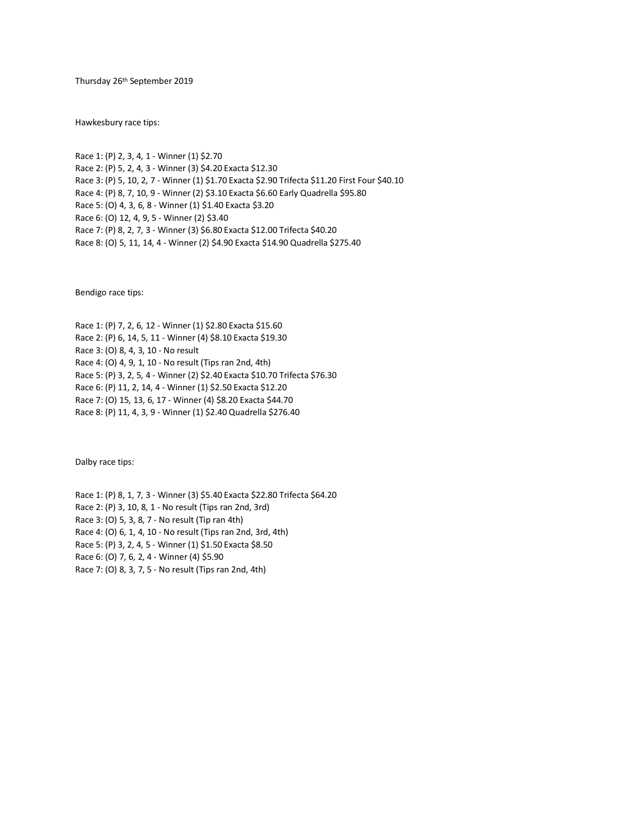Thursday 26 th September 2019

Hawkesbury race tips:

Race 1: (P) 2, 3, 4, 1 - Winner (1) \$2.70 Race 2: (P) 5, 2, 4, 3 - Winner (3) \$4.20 Exacta \$12.30 Race 3: (P) 5, 10, 2, 7 - Winner (1) \$1.70 Exacta \$2.90 Trifecta \$11.20 First Four \$40.10 Race 4: (P) 8, 7, 10, 9 - Winner (2) \$3.10 Exacta \$6.60 Early Quadrella \$95.80 Race 5: (O) 4, 3, 6, 8 - Winner (1) \$1.40 Exacta \$3.20 Race 6: (O) 12, 4, 9, 5 - Winner (2) \$3.40 Race 7: (P) 8, 2, 7, 3 - Winner (3) \$6.80 Exacta \$12.00 Trifecta \$40.20 Race 8: (O) 5, 11, 14, 4 - Winner (2) \$4.90 Exacta \$14.90 Quadrella \$275.40

Bendigo race tips:

Race 1: (P) 7, 2, 6, 12 - Winner (1) \$2.80 Exacta \$15.60 Race 2: (P) 6, 14, 5, 11 - Winner (4) \$8.10 Exacta \$19.30 Race 3: (O) 8, 4, 3, 10 - No result Race 4: (O) 4, 9, 1, 10 - No result (Tips ran 2nd, 4th) Race 5: (P) 3, 2, 5, 4 - Winner (2) \$2.40 Exacta \$10.70 Trifecta \$76.30 Race 6: (P) 11, 2, 14, 4 - Winner (1) \$2.50 Exacta \$12.20 Race 7: (O) 15, 13, 6, 17 - Winner (4) \$8.20 Exacta \$44.70 Race 8: (P) 11, 4, 3, 9 - Winner (1) \$2.40 Quadrella \$276.40

Dalby race tips:

Race 1: (P) 8, 1, 7, 3 - Winner (3) \$5.40 Exacta \$22.80 Trifecta \$64.20 Race 2: (P) 3, 10, 8, 1 - No result (Tips ran 2nd, 3rd) Race 3: (O) 5, 3, 8, 7 - No result (Tip ran 4th) Race 4: (O) 6, 1, 4, 10 - No result (Tips ran 2nd, 3rd, 4th) Race 5: (P) 3, 2, 4, 5 - Winner (1) \$1.50 Exacta \$8.50 Race 6: (O) 7, 6, 2, 4 - Winner (4) \$5.90 Race 7: (O) 8, 3, 7, 5 - No result (Tips ran 2nd, 4th)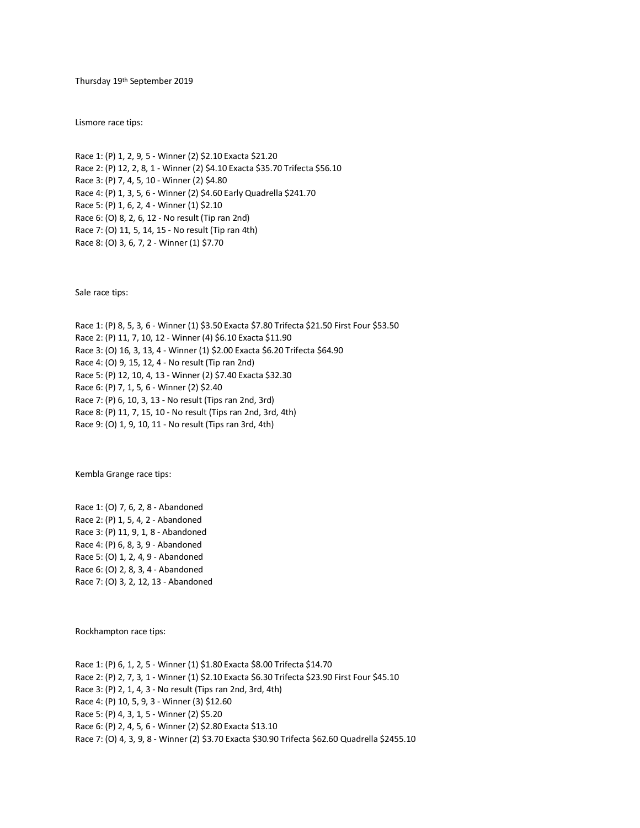Thursday 19th September 2019

Lismore race tips:

Race 1: (P) 1, 2, 9, 5 - Winner (2) \$2.10 Exacta \$21.20 Race 2: (P) 12, 2, 8, 1 - Winner (2) \$4.10 Exacta \$35.70 Trifecta \$56.10 Race 3: (P) 7, 4, 5, 10 - Winner (2) \$4.80 Race 4: (P) 1, 3, 5, 6 - Winner (2) \$4.60 Early Quadrella \$241.70 Race 5: (P) 1, 6, 2, 4 - Winner (1) \$2.10 Race 6: (O) 8, 2, 6, 12 - No result (Tip ran 2nd) Race 7: (O) 11, 5, 14, 15 - No result (Tip ran 4th) Race 8: (O) 3, 6, 7, 2 - Winner (1) \$7.70

Sale race tips:

Race 1: (P) 8, 5, 3, 6 - Winner (1) \$3.50 Exacta \$7.80 Trifecta \$21.50 First Four \$53.50 Race 2: (P) 11, 7, 10, 12 - Winner (4) \$6.10 Exacta \$11.90 Race 3: (O) 16, 3, 13, 4 - Winner (1) \$2.00 Exacta \$6.20 Trifecta \$64.90 Race 4: (O) 9, 15, 12, 4 - No result (Tip ran 2nd) Race 5: (P) 12, 10, 4, 13 - Winner (2) \$7.40 Exacta \$32.30 Race 6: (P) 7, 1, 5, 6 - Winner (2) \$2.40 Race 7: (P) 6, 10, 3, 13 - No result (Tips ran 2nd, 3rd) Race 8: (P) 11, 7, 15, 10 - No result (Tips ran 2nd, 3rd, 4th) Race 9: (O) 1, 9, 10, 11 - No result (Tips ran 3rd, 4th)

Kembla Grange race tips:

Race 1: (O) 7, 6, 2, 8 - Abandoned Race 2: (P) 1, 5, 4, 2 - Abandoned Race 3: (P) 11, 9, 1, 8 - Abandoned Race 4: (P) 6, 8, 3, 9 - Abandoned Race 5: (O) 1, 2, 4, 9 - Abandoned Race 6: (O) 2, 8, 3, 4 - Abandoned Race 7: (O) 3, 2, 12, 13 - Abandoned

Rockhampton race tips:

Race 1: (P) 6, 1, 2, 5 - Winner (1) \$1.80 Exacta \$8.00 Trifecta \$14.70 Race 2: (P) 2, 7, 3, 1 - Winner (1) \$2.10 Exacta \$6.30 Trifecta \$23.90 First Four \$45.10 Race 3: (P) 2, 1, 4, 3 - No result (Tips ran 2nd, 3rd, 4th) Race 4: (P) 10, 5, 9, 3 - Winner (3) \$12.60 Race 5: (P) 4, 3, 1, 5 - Winner (2) \$5.20 Race 6: (P) 2, 4, 5, 6 - Winner (2) \$2.80 Exacta \$13.10 Race 7: (O) 4, 3, 9, 8 - Winner (2) \$3.70 Exacta \$30.90 Trifecta \$62.60 Quadrella \$2455.10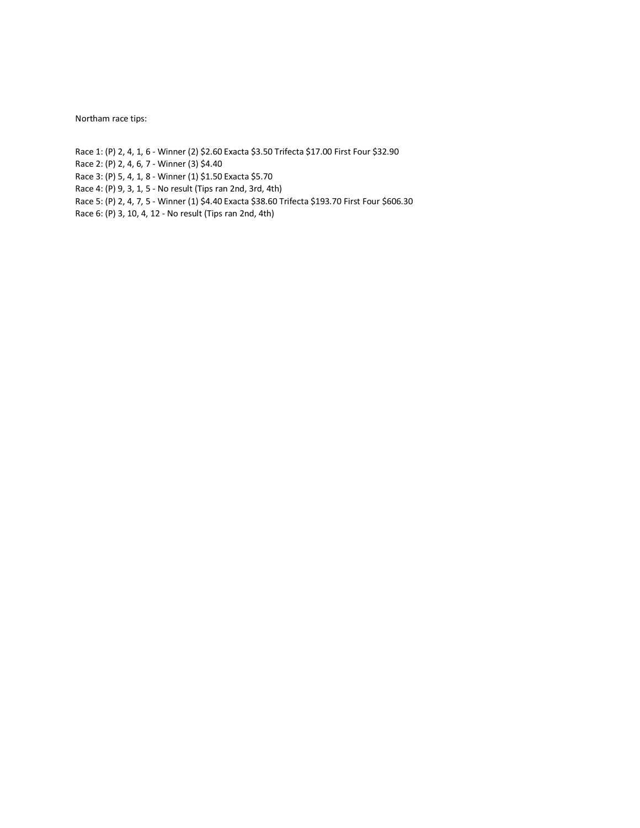Northam race tips:

Race 1: (P) 2, 4, 1, 6 - Winner (2) \$2.60 Exacta \$3.50 Trifecta \$17.00 First Four \$32.90

Race 2: (P) 2, 4, 6, 7 - Winner (3) \$4.40

- Race 3: (P) 5, 4, 1, 8 Winner (1) \$1.50 Exacta \$5.70
- Race 4: (P) 9, 3, 1, 5 No result (Tips ran 2nd, 3rd, 4th)
- Race 5: (P) 2, 4, 7, 5 Winner (1) \$4.40 Exacta \$38.60 Trifecta \$193.70 First Four \$606.30
- Race 6: (P) 3, 10, 4, 12 No result (Tips ran 2nd, 4th)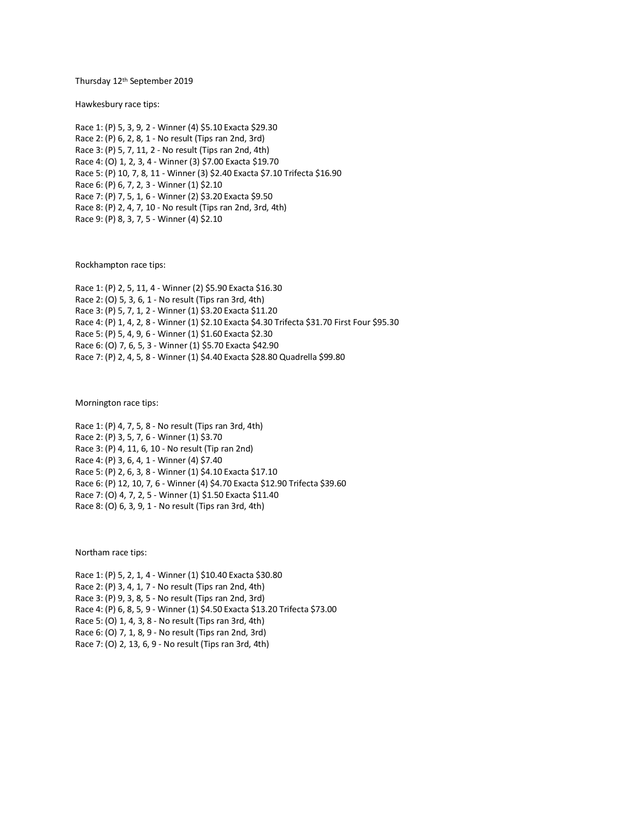Thursday 12th September 2019

Hawkesbury race tips:

Race 1: (P) 5, 3, 9, 2 - Winner (4) \$5.10 Exacta \$29.30 Race 2: (P) 6, 2, 8, 1 - No result (Tips ran 2nd, 3rd) Race 3: (P) 5, 7, 11, 2 - No result (Tips ran 2nd, 4th) Race 4: (O) 1, 2, 3, 4 - Winner (3) \$7.00 Exacta \$19.70 Race 5: (P) 10, 7, 8, 11 - Winner (3) \$2.40 Exacta \$7.10 Trifecta \$16.90 Race 6: (P) 6, 7, 2, 3 - Winner (1) \$2.10 Race 7: (P) 7, 5, 1, 6 - Winner (2) \$3.20 Exacta \$9.50 Race 8: (P) 2, 4, 7, 10 - No result (Tips ran 2nd, 3rd, 4th) Race 9: (P) 8, 3, 7, 5 - Winner (4) \$2.10

Rockhampton race tips:

Race 1: (P) 2, 5, 11, 4 - Winner (2) \$5.90 Exacta \$16.30 Race 2: (O) 5, 3, 6, 1 - No result (Tips ran 3rd, 4th) Race 3: (P) 5, 7, 1, 2 - Winner (1) \$3.20 Exacta \$11.20 Race 4: (P) 1, 4, 2, 8 - Winner (1) \$2.10 Exacta \$4.30 Trifecta \$31.70 First Four \$95.30 Race 5: (P) 5, 4, 9, 6 - Winner (1) \$1.60 Exacta \$2.30 Race 6: (O) 7, 6, 5, 3 - Winner (1) \$5.70 Exacta \$42.90 Race 7: (P) 2, 4, 5, 8 - Winner (1) \$4.40 Exacta \$28.80 Quadrella \$99.80

Mornington race tips:

Race 1: (P) 4, 7, 5, 8 - No result (Tips ran 3rd, 4th) Race 2: (P) 3, 5, 7, 6 - Winner (1) \$3.70 Race 3: (P) 4, 11, 6, 10 - No result (Tip ran 2nd) Race 4: (P) 3, 6, 4, 1 - Winner (4) \$7.40 Race 5: (P) 2, 6, 3, 8 - Winner (1) \$4.10 Exacta \$17.10 Race 6: (P) 12, 10, 7, 6 - Winner (4) \$4.70 Exacta \$12.90 Trifecta \$39.60 Race 7: (O) 4, 7, 2, 5 - Winner (1) \$1.50 Exacta \$11.40 Race 8: (O) 6, 3, 9, 1 - No result (Tips ran 3rd, 4th)

Northam race tips:

Race 1: (P) 5, 2, 1, 4 - Winner (1) \$10.40 Exacta \$30.80 Race 2: (P) 3, 4, 1, 7 - No result (Tips ran 2nd, 4th) Race 3: (P) 9, 3, 8, 5 - No result (Tips ran 2nd, 3rd) Race 4: (P) 6, 8, 5, 9 - Winner (1) \$4.50 Exacta \$13.20 Trifecta \$73.00 Race 5: (O) 1, 4, 3, 8 - No result (Tips ran 3rd, 4th) Race 6: (O) 7, 1, 8, 9 - No result (Tips ran 2nd, 3rd) Race 7: (O) 2, 13, 6, 9 - No result (Tips ran 3rd, 4th)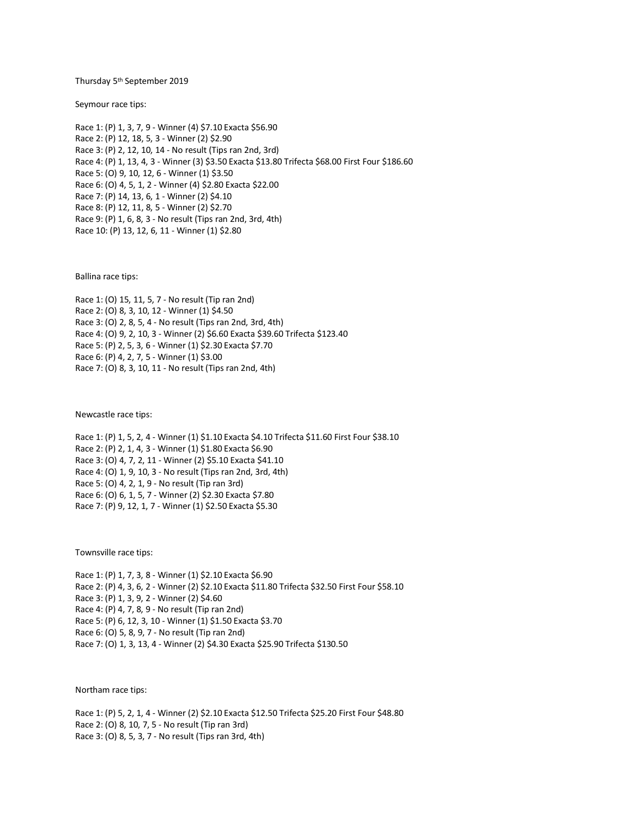Thursday 5 th September 2019

Seymour race tips:

Race 1: (P) 1, 3, 7, 9 - Winner (4) \$7.10 Exacta \$56.90 Race 2: (P) 12, 18, 5, 3 - Winner (2) \$2.90 Race 3: (P) 2, 12, 10, 14 - No result (Tips ran 2nd, 3rd) Race 4: (P) 1, 13, 4, 3 - Winner (3) \$3.50 Exacta \$13.80 Trifecta \$68.00 First Four \$186.60 Race 5: (O) 9, 10, 12, 6 - Winner (1) \$3.50 Race 6: (O) 4, 5, 1, 2 - Winner (4) \$2.80 Exacta \$22.00 Race 7: (P) 14, 13, 6, 1 - Winner (2) \$4.10 Race 8: (P) 12, 11, 8, 5 - Winner (2) \$2.70 Race 9: (P) 1, 6, 8, 3 - No result (Tips ran 2nd, 3rd, 4th) Race 10: (P) 13, 12, 6, 11 - Winner (1) \$2.80

Ballina race tips:

Race 1: (O) 15, 11, 5, 7 - No result (Tip ran 2nd) Race 2: (O) 8, 3, 10, 12 - Winner (1) \$4.50 Race 3: (O) 2, 8, 5, 4 - No result (Tips ran 2nd, 3rd, 4th) Race 4: (O) 9, 2, 10, 3 - Winner (2) \$6.60 Exacta \$39.60 Trifecta \$123.40 Race 5: (P) 2, 5, 3, 6 - Winner (1) \$2.30 Exacta \$7.70 Race 6: (P) 4, 2, 7, 5 - Winner (1) \$3.00 Race 7: (O) 8, 3, 10, 11 - No result (Tips ran 2nd, 4th)

Newcastle race tips:

Race 1: (P) 1, 5, 2, 4 - Winner (1) \$1.10 Exacta \$4.10 Trifecta \$11.60 First Four \$38.10 Race 2: (P) 2, 1, 4, 3 - Winner (1) \$1.80 Exacta \$6.90 Race 3: (O) 4, 7, 2, 11 - Winner (2) \$5.10 Exacta \$41.10 Race 4: (O) 1, 9, 10, 3 - No result (Tips ran 2nd, 3rd, 4th) Race 5: (O) 4, 2, 1, 9 - No result (Tip ran 3rd) Race 6: (O) 6, 1, 5, 7 - Winner (2) \$2.30 Exacta \$7.80 Race 7: (P) 9, 12, 1, 7 - Winner (1) \$2.50 Exacta \$5.30

Townsville race tips:

Race 1: (P) 1, 7, 3, 8 - Winner (1) \$2.10 Exacta \$6.90 Race 2: (P) 4, 3, 6, 2 - Winner (2) \$2.10 Exacta \$11.80 Trifecta \$32.50 First Four \$58.10 Race 3: (P) 1, 3, 9, 2 - Winner (2) \$4.60 Race 4: (P) 4, 7, 8, 9 - No result (Tip ran 2nd) Race 5: (P) 6, 12, 3, 10 - Winner (1) \$1.50 Exacta \$3.70 Race 6: (O) 5, 8, 9, 7 - No result (Tip ran 2nd) Race 7: (O) 1, 3, 13, 4 - Winner (2) \$4.30 Exacta \$25.90 Trifecta \$130.50

Northam race tips:

Race 1: (P) 5, 2, 1, 4 - Winner (2) \$2.10 Exacta \$12.50 Trifecta \$25.20 First Four \$48.80 Race 2: (O) 8, 10, 7, 5 - No result (Tip ran 3rd) Race 3: (O) 8, 5, 3, 7 - No result (Tips ran 3rd, 4th)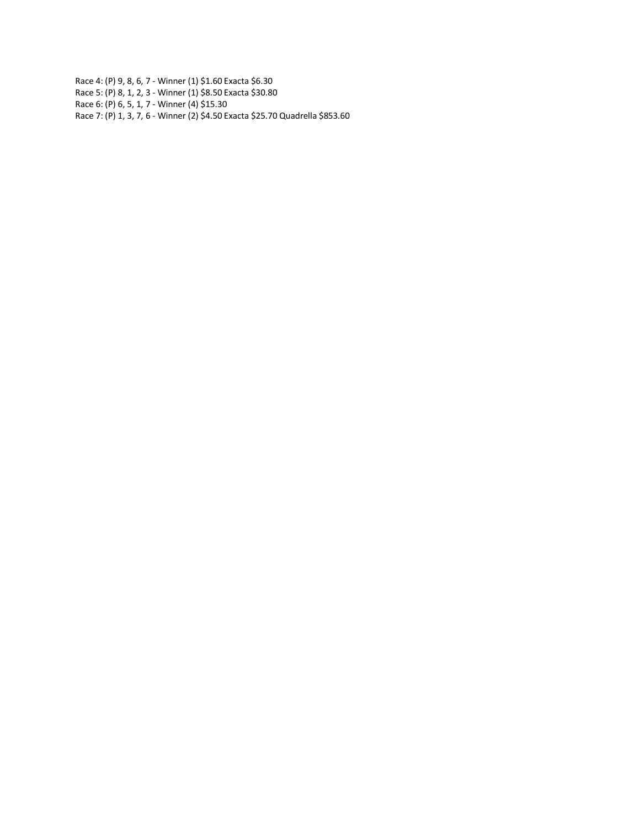Race 4: (P) 9, 8, 6, 7 - Winner (1) \$1.60 Exacta \$6.30 Race 5: (P) 8, 1, 2, 3 - Winner (1) \$8.50 Exacta \$30.80 Race 6: (P) 6, 5, 1, 7 - Winner (4) \$15.30 Race 7: (P) 1, 3, 7, 6 - Winner (2) \$4.50 Exacta \$25.70 Quadrella \$853.60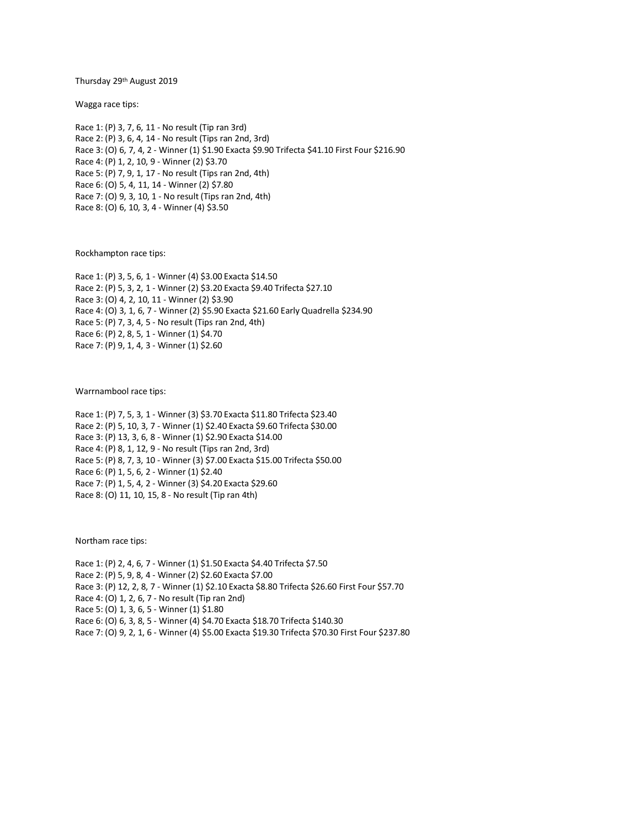Thursday 29th August 2019

Wagga race tips:

Race 1: (P) 3, 7, 6, 11 - No result (Tip ran 3rd) Race 2: (P) 3, 6, 4, 14 - No result (Tips ran 2nd, 3rd) Race 3: (O) 6, 7, 4, 2 - Winner (1) \$1.90 Exacta \$9.90 Trifecta \$41.10 First Four \$216.90 Race 4: (P) 1, 2, 10, 9 - Winner (2) \$3.70 Race 5: (P) 7, 9, 1, 17 - No result (Tips ran 2nd, 4th) Race 6: (O) 5, 4, 11, 14 - Winner (2) \$7.80 Race 7: (O) 9, 3, 10, 1 - No result (Tips ran 2nd, 4th) Race 8: (O) 6, 10, 3, 4 - Winner (4) \$3.50

Rockhampton race tips:

Race 1: (P) 3, 5, 6, 1 - Winner (4) \$3.00 Exacta \$14.50 Race 2: (P) 5, 3, 2, 1 - Winner (2) \$3.20 Exacta \$9.40 Trifecta \$27.10 Race 3: (O) 4, 2, 10, 11 - Winner (2) \$3.90 Race 4: (O) 3, 1, 6, 7 - Winner (2) \$5.90 Exacta \$21.60 Early Quadrella \$234.90 Race 5: (P) 7, 3, 4, 5 - No result (Tips ran 2nd, 4th) Race 6: (P) 2, 8, 5, 1 - Winner (1) \$4.70 Race 7: (P) 9, 1, 4, 3 - Winner (1) \$2.60

Warrnambool race tips:

Race 1: (P) 7, 5, 3, 1 - Winner (3) \$3.70 Exacta \$11.80 Trifecta \$23.40 Race 2: (P) 5, 10, 3, 7 - Winner (1) \$2.40 Exacta \$9.60 Trifecta \$30.00 Race 3: (P) 13, 3, 6, 8 - Winner (1) \$2.90 Exacta \$14.00 Race 4: (P) 8, 1, 12, 9 - No result (Tips ran 2nd, 3rd) Race 5: (P) 8, 7, 3, 10 - Winner (3) \$7.00 Exacta \$15.00 Trifecta \$50.00 Race 6: (P) 1, 5, 6, 2 - Winner (1) \$2.40 Race 7: (P) 1, 5, 4, 2 - Winner (3) \$4.20 Exacta \$29.60 Race 8: (O) 11, 10, 15, 8 - No result (Tip ran 4th)

Northam race tips:

Race 1: (P) 2, 4, 6, 7 - Winner (1) \$1.50 Exacta \$4.40 Trifecta \$7.50 Race 2: (P) 5, 9, 8, 4 - Winner (2) \$2.60 Exacta \$7.00 Race 3: (P) 12, 2, 8, 7 - Winner (1) \$2.10 Exacta \$8.80 Trifecta \$26.60 First Four \$57.70 Race 4: (O) 1, 2, 6, 7 - No result (Tip ran 2nd) Race 5: (O) 1, 3, 6, 5 - Winner (1) \$1.80 Race 6: (O) 6, 3, 8, 5 - Winner (4) \$4.70 Exacta \$18.70 Trifecta \$140.30 Race 7: (O) 9, 2, 1, 6 - Winner (4) \$5.00 Exacta \$19.30 Trifecta \$70.30 First Four \$237.80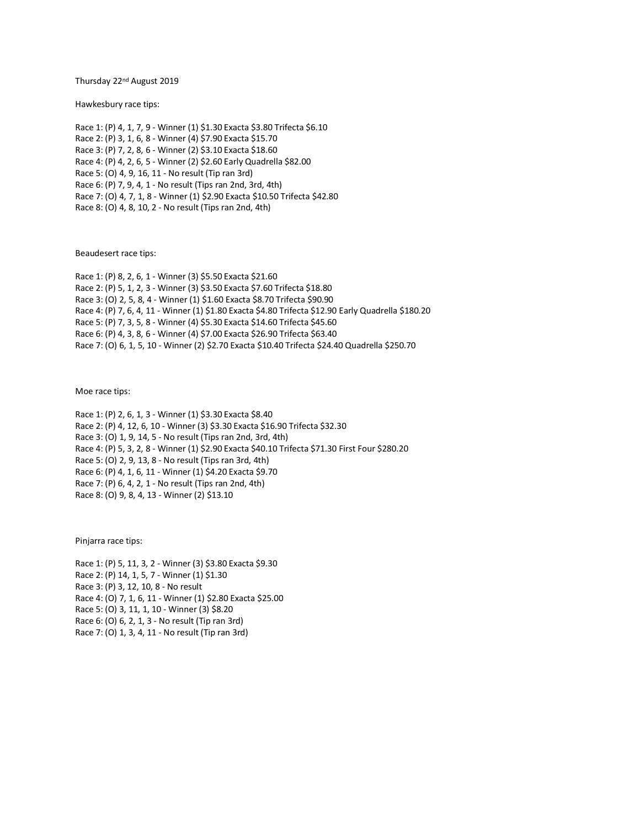Thursday 22nd August 2019

Hawkesbury race tips:

Race 1: (P) 4, 1, 7, 9 - Winner (1) \$1.30 Exacta \$3.80 Trifecta \$6.10 Race 2: (P) 3, 1, 6, 8 - Winner (4) \$7.90 Exacta \$15.70 Race 3: (P) 7, 2, 8, 6 - Winner (2) \$3.10 Exacta \$18.60 Race 4: (P) 4, 2, 6, 5 - Winner (2) \$2.60 Early Quadrella \$82.00 Race 5: (O) 4, 9, 16, 11 - No result (Tip ran 3rd) Race 6: (P) 7, 9, 4, 1 - No result (Tips ran 2nd, 3rd, 4th) Race 7: (O) 4, 7, 1, 8 - Winner (1) \$2.90 Exacta \$10.50 Trifecta \$42.80 Race 8: (O) 4, 8, 10, 2 - No result (Tips ran 2nd, 4th)

Beaudesert race tips:

Race 1: (P) 8, 2, 6, 1 - Winner (3) \$5.50 Exacta \$21.60 Race 2: (P) 5, 1, 2, 3 - Winner (3) \$3.50 Exacta \$7.60 Trifecta \$18.80 Race 3: (O) 2, 5, 8, 4 - Winner (1) \$1.60 Exacta \$8.70 Trifecta \$90.90 Race 4: (P) 7, 6, 4, 11 - Winner (1) \$1.80 Exacta \$4.80 Trifecta \$12.90 Early Quadrella \$180.20 Race 5: (P) 7, 3, 5, 8 - Winner (4) \$5.30 Exacta \$14.60 Trifecta \$45.60 Race 6: (P) 4, 3, 8, 6 - Winner (4) \$7.00 Exacta \$26.90 Trifecta \$63.40 Race 7: (O) 6, 1, 5, 10 - Winner (2) \$2.70 Exacta \$10.40 Trifecta \$24.40 Quadrella \$250.70

Moe race tips:

Race 1: (P) 2, 6, 1, 3 - Winner (1) \$3.30 Exacta \$8.40 Race 2: (P) 4, 12, 6, 10 - Winner (3) \$3.30 Exacta \$16.90 Trifecta \$32.30 Race 3: (O) 1, 9, 14, 5 - No result (Tips ran 2nd, 3rd, 4th) Race 4: (P) 5, 3, 2, 8 - Winner (1) \$2.90 Exacta \$40.10 Trifecta \$71.30 First Four \$280.20 Race 5: (O) 2, 9, 13, 8 - No result (Tips ran 3rd, 4th) Race 6: (P) 4, 1, 6, 11 - Winner (1) \$4.20 Exacta \$9.70 Race 7: (P) 6, 4, 2, 1 - No result (Tips ran 2nd, 4th) Race 8: (O) 9, 8, 4, 13 - Winner (2) \$13.10

Pinjarra race tips:

Race 1: (P) 5, 11, 3, 2 - Winner (3) \$3.80 Exacta \$9.30 Race 2: (P) 14, 1, 5, 7 - Winner (1) \$1.30 Race 3: (P) 3, 12, 10, 8 - No result Race 4: (O) 7, 1, 6, 11 - Winner (1) \$2.80 Exacta \$25.00 Race 5: (O) 3, 11, 1, 10 - Winner (3) \$8.20 Race 6: (O) 6, 2, 1, 3 - No result (Tip ran 3rd) Race 7: (O) 1, 3, 4, 11 - No result (Tip ran 3rd)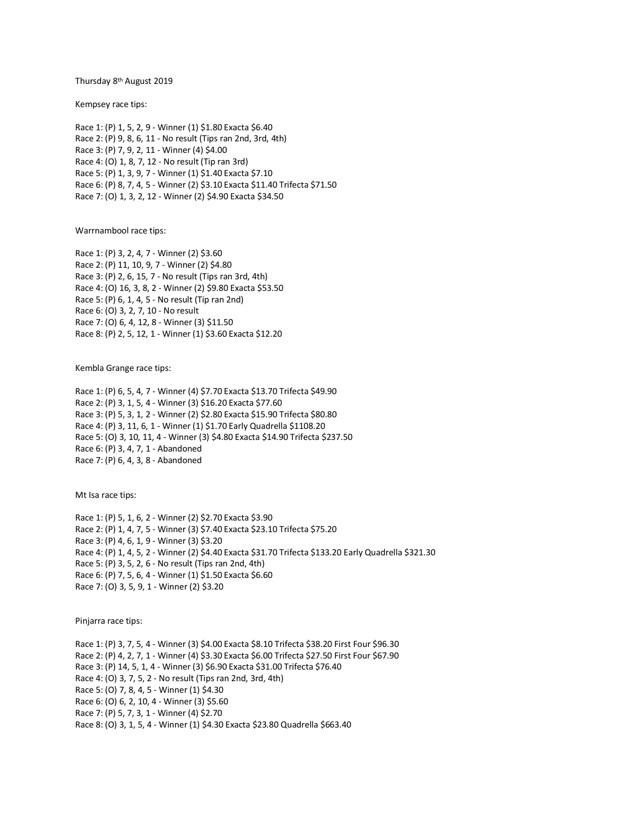Thursday 8 th August 2019

Kempsey race tips:

Race 1: (P) 1, 5, 2, 9 - Winner (1) \$1.80 Exacta \$6.40 Race 2: (P) 9, 8, 6, 11 - No result (Tips ran 2nd, 3rd, 4th) Race 3: (P) 7, 9, 2, 11 - Winner (4) \$4.00 Race 4: (O) 1, 8, 7, 12 - No result (Tip ran 3rd) Race 5: (P) 1, 3, 9, 7 - Winner (1) \$1.40 Exacta \$7.10 Race 6: (P) 8, 7, 4, 5 - Winner (2) \$3.10 Exacta \$11.40 Trifecta \$71.50 Race 7: (O) 1, 3, 2, 12 - Winner (2) \$4.90 Exacta \$34.50

Warrnambool race tips:

Race 1: (P) 3, 2, 4, 7 - Winner (2) \$3.60 Race 2: (P) 11, 10, 9, 7 - Winner (2) \$4.80 Race 3: (P) 2, 6, 15, 7 - No result (Tips ran 3rd, 4th) Race 4: (O) 16, 3, 8, 2 - Winner (2) \$9.80 Exacta \$53.50 Race 5: (P) 6, 1, 4, 5 - No result (Tip ran 2nd) Race 6: (O) 3, 2, 7, 10 - No result Race 7: (O) 6, 4, 12, 8 - Winner (3) \$11.50 Race 8: (P) 2, 5, 12, 1 - Winner (1) \$3.60 Exacta \$12.20

Kembla Grange race tips:

Race 1: (P) 6, 5, 4, 7 - Winner (4) \$7.70 Exacta \$13.70 Trifecta \$49.90 Race 2: (P) 3, 1, 5, 4 - Winner (3) \$16.20 Exacta \$77.60 Race 3: (P) 5, 3, 1, 2 - Winner (2) \$2.80 Exacta \$15.90 Trifecta \$80.80 Race 4: (P) 3, 11, 6, 1 - Winner (1) \$1.70 Early Quadrella \$1108.20 Race 5: (O) 3, 10, 11, 4 - Winner (3) \$4.80 Exacta \$14.90 Trifecta \$237.50 Race 6: (P) 3, 4, 7, 1 - Abandoned Race 7: (P) 6, 4, 3, 8 - Abandoned

Mt Isa race tips:

Race 1: (P) 5, 1, 6, 2 - Winner (2) \$2.70 Exacta \$3.90 Race 2: (P) 1, 4, 7, 5 - Winner (3) \$7.40 Exacta \$23.10 Trifecta \$75.20 Race 3: (P) 4, 6, 1, 9 - Winner (3) \$3.20 Race 4: (P) 1, 4, 5, 2 - Winner (2) \$4.40 Exacta \$31.70 Trifecta \$133.20 Early Quadrella \$321.30 Race 5: (P) 3, 5, 2, 6 - No result (Tips ran 2nd, 4th) Race 6: (P) 7, 5, 6, 4 - Winner (1) \$1.50 Exacta \$6.60 Race 7: (O) 3, 5, 9, 1 - Winner (2) \$3.20

Pinjarra race tips:

Race 1: (P) 3, 7, 5, 4 - Winner (3) \$4.00 Exacta \$8.10 Trifecta \$38.20 First Four \$96.30 Race 2: (P) 4, 2, 7, 1 - Winner (4) \$3.30 Exacta \$6.00 Trifecta \$27.50 First Four \$67.90 Race 3: (P) 14, 5, 1, 4 - Winner (3) \$6.90 Exacta \$31.00 Trifecta \$76.40 Race 4: (O) 3, 7, 5, 2 - No result (Tips ran 2nd, 3rd, 4th) Race 5: (O) 7, 8, 4, 5 - Winner (1) \$4.30 Race 6: (O) 6, 2, 10, 4 - Winner (3) \$5.60 Race 7: (P) 5, 7, 3, 1 - Winner (4) \$2.70 Race 8: (O) 3, 1, 5, 4 - Winner (1) \$4.30 Exacta \$23.80 Quadrella \$663.40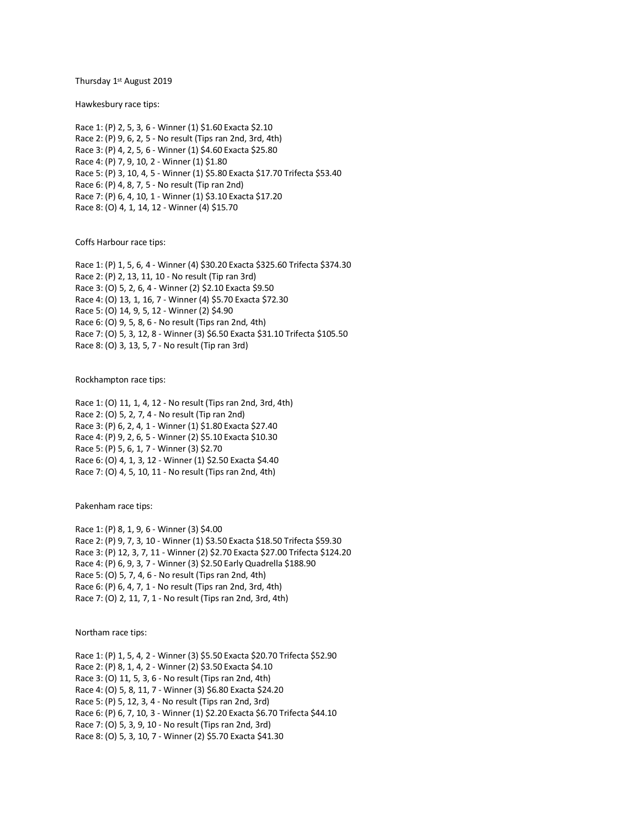Thursday 1st August 2019

Hawkesbury race tips:

Race 1: (P) 2, 5, 3, 6 - Winner (1) \$1.60 Exacta \$2.10 Race 2: (P) 9, 6, 2, 5 - No result (Tips ran 2nd, 3rd, 4th) Race 3: (P) 4, 2, 5, 6 - Winner (1) \$4.60 Exacta \$25.80 Race 4: (P) 7, 9, 10, 2 - Winner (1) \$1.80 Race 5: (P) 3, 10, 4, 5 - Winner (1) \$5.80 Exacta \$17.70 Trifecta \$53.40 Race 6: (P) 4, 8, 7, 5 - No result (Tip ran 2nd) Race 7: (P) 6, 4, 10, 1 - Winner (1) \$3.10 Exacta \$17.20 Race 8: (O) 4, 1, 14, 12 - Winner (4) \$15.70

Coffs Harbour race tips:

Race 1: (P) 1, 5, 6, 4 - Winner (4) \$30.20 Exacta \$325.60 Trifecta \$374.30 Race 2: (P) 2, 13, 11, 10 - No result (Tip ran 3rd) Race 3: (O) 5, 2, 6, 4 - Winner (2) \$2.10 Exacta \$9.50 Race 4: (O) 13, 1, 16, 7 - Winner (4) \$5.70 Exacta \$72.30 Race 5: (O) 14, 9, 5, 12 - Winner (2) \$4.90 Race 6: (O) 9, 5, 8, 6 - No result (Tips ran 2nd, 4th) Race 7: (O) 5, 3, 12, 8 - Winner (3) \$6.50 Exacta \$31.10 Trifecta \$105.50 Race 8: (O) 3, 13, 5, 7 - No result (Tip ran 3rd)

Rockhampton race tips:

Race 1: (O) 11, 1, 4, 12 - No result (Tips ran 2nd, 3rd, 4th) Race 2: (O) 5, 2, 7, 4 - No result (Tip ran 2nd) Race 3: (P) 6, 2, 4, 1 - Winner (1) \$1.80 Exacta \$27.40 Race 4: (P) 9, 2, 6, 5 - Winner (2) \$5.10 Exacta \$10.30 Race 5: (P) 5, 6, 1, 7 - Winner (3) \$2.70 Race 6: (O) 4, 1, 3, 12 - Winner (1) \$2.50 Exacta \$4.40 Race 7: (O) 4, 5, 10, 11 - No result (Tips ran 2nd, 4th)

Pakenham race tips:

Race 1: (P) 8, 1, 9, 6 - Winner (3) \$4.00 Race 2: (P) 9, 7, 3, 10 - Winner (1) \$3.50 Exacta \$18.50 Trifecta \$59.30 Race 3: (P) 12, 3, 7, 11 - Winner (2) \$2.70 Exacta \$27.00 Trifecta \$124.20 Race 4: (P) 6, 9, 3, 7 - Winner (3) \$2.50 Early Quadrella \$188.90 Race 5: (O) 5, 7, 4, 6 - No result (Tips ran 2nd, 4th) Race 6: (P) 6, 4, 7, 1 - No result (Tips ran 2nd, 3rd, 4th) Race 7: (O) 2, 11, 7, 1 - No result (Tips ran 2nd, 3rd, 4th)

Northam race tips:

Race 1: (P) 1, 5, 4, 2 - Winner (3) \$5.50 Exacta \$20.70 Trifecta \$52.90 Race 2: (P) 8, 1, 4, 2 - Winner (2) \$3.50 Exacta \$4.10 Race 3: (O) 11, 5, 3, 6 - No result (Tips ran 2nd, 4th) Race 4: (O) 5, 8, 11, 7 - Winner (3) \$6.80 Exacta \$24.20 Race 5: (P) 5, 12, 3, 4 - No result (Tips ran 2nd, 3rd) Race 6: (P) 6, 7, 10, 3 - Winner (1) \$2.20 Exacta \$6.70 Trifecta \$44.10 Race 7: (O) 5, 3, 9, 10 - No result (Tips ran 2nd, 3rd) Race 8: (O) 5, 3, 10, 7 - Winner (2) \$5.70 Exacta \$41.30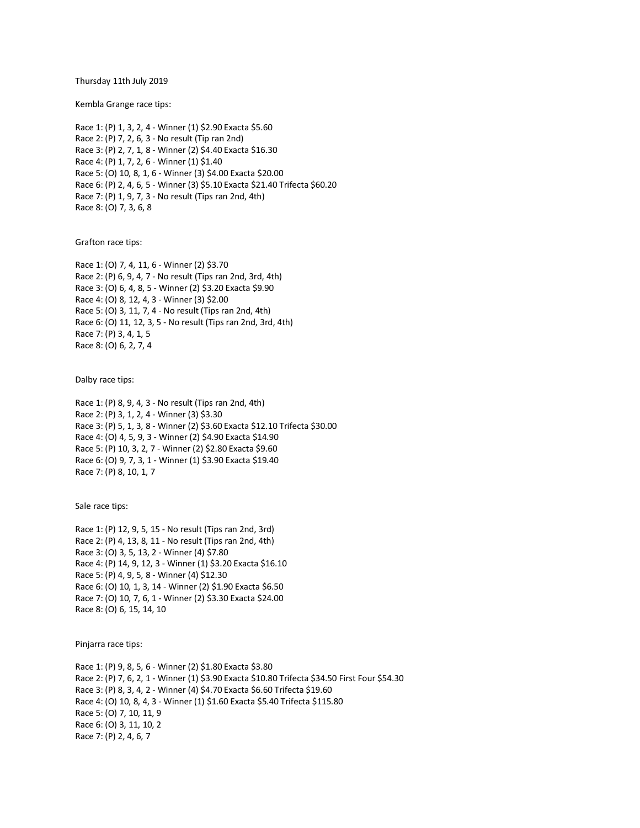Thursday 11th July 2019

Kembla Grange race tips:

Race 1: (P) 1, 3, 2, 4 - Winner (1) \$2.90 Exacta \$5.60 Race 2: (P) 7, 2, 6, 3 - No result (Tip ran 2nd) Race 3: (P) 2, 7, 1, 8 - Winner (2) \$4.40 Exacta \$16.30 Race 4: (P) 1, 7, 2, 6 - Winner (1) \$1.40 Race 5: (O) 10, 8, 1, 6 - Winner (3) \$4.00 Exacta \$20.00 Race 6: (P) 2, 4, 6, 5 - Winner (3) \$5.10 Exacta \$21.40 Trifecta \$60.20 Race 7: (P) 1, 9, 7, 3 - No result (Tips ran 2nd, 4th) Race 8: (O) 7, 3, 6, 8

Grafton race tips:

Race 1: (O) 7, 4, 11, 6 - Winner (2) \$3.70 Race 2: (P) 6, 9, 4, 7 - No result (Tips ran 2nd, 3rd, 4th) Race 3: (O) 6, 4, 8, 5 - Winner (2) \$3.20 Exacta \$9.90 Race 4: (O) 8, 12, 4, 3 - Winner (3) \$2.00 Race 5: (O) 3, 11, 7, 4 - No result (Tips ran 2nd, 4th) Race 6: (O) 11, 12, 3, 5 - No result (Tips ran 2nd, 3rd, 4th) Race 7: (P) 3, 4, 1, 5 Race 8: (O) 6, 2, 7, 4

Dalby race tips:

Race 1: (P) 8, 9, 4, 3 - No result (Tips ran 2nd, 4th) Race 2: (P) 3, 1, 2, 4 - Winner (3) \$3.30 Race 3: (P) 5, 1, 3, 8 - Winner (2) \$3.60 Exacta \$12.10 Trifecta \$30.00 Race 4: (O) 4, 5, 9, 3 - Winner (2) \$4.90 Exacta \$14.90 Race 5: (P) 10, 3, 2, 7 - Winner (2) \$2.80 Exacta \$9.60 Race 6: (O) 9, 7, 3, 1 - Winner (1) \$3.90 Exacta \$19.40 Race 7: (P) 8, 10, 1, 7

Sale race tips:

Race 1: (P) 12, 9, 5, 15 - No result (Tips ran 2nd, 3rd) Race 2: (P) 4, 13, 8, 11 - No result (Tips ran 2nd, 4th) Race 3: (O) 3, 5, 13, 2 - Winner (4) \$7.80 Race 4: (P) 14, 9, 12, 3 - Winner (1) \$3.20 Exacta \$16.10 Race 5: (P) 4, 9, 5, 8 - Winner (4) \$12.30 Race 6: (O) 10, 1, 3, 14 - Winner (2) \$1.90 Exacta \$6.50 Race 7: (O) 10, 7, 6, 1 - Winner (2) \$3.30 Exacta \$24.00 Race 8: (O) 6, 15, 14, 10

Pinjarra race tips:

Race 1: (P) 9, 8, 5, 6 - Winner (2) \$1.80 Exacta \$3.80 Race 2: (P) 7, 6, 2, 1 - Winner (1) \$3.90 Exacta \$10.80 Trifecta \$34.50 First Four \$54.30 Race 3: (P) 8, 3, 4, 2 - Winner (4) \$4.70 Exacta \$6.60 Trifecta \$19.60 Race 4: (O) 10, 8, 4, 3 - Winner (1) \$1.60 Exacta \$5.40 Trifecta \$115.80 Race 5: (O) 7, 10, 11, 9 Race 6: (O) 3, 11, 10, 2 Race 7: (P) 2, 4, 6, 7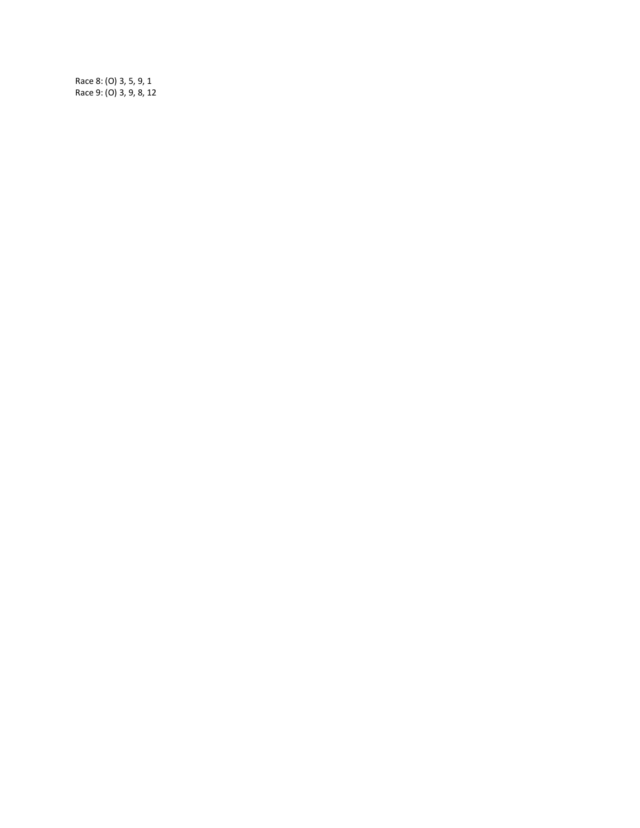Race 8: (O) 3, 5, 9, 1 Race 9: (O) 3, 9, 8, 12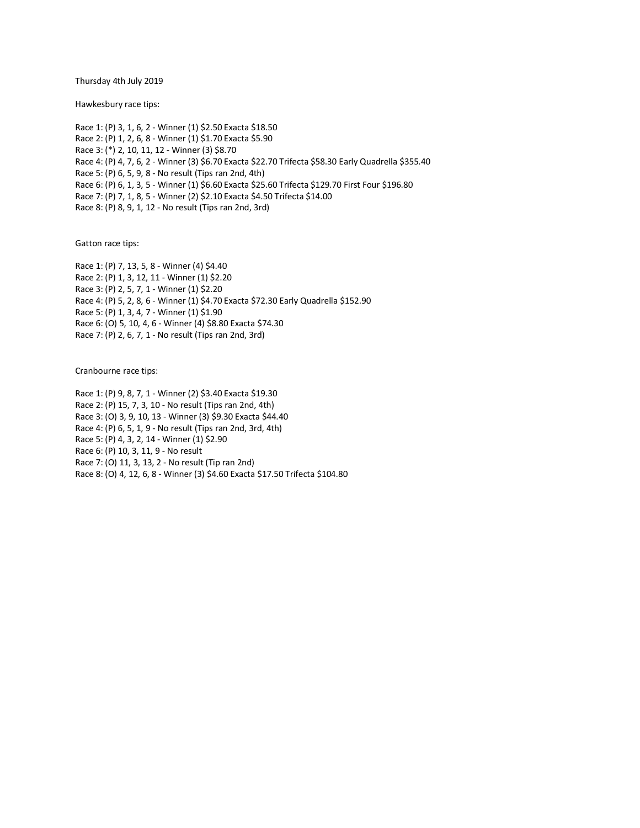Thursday 4th July 2019

Hawkesbury race tips:

Race 1: (P) 3, 1, 6, 2 - Winner (1) \$2.50 Exacta \$18.50 Race 2: (P) 1, 2, 6, 8 - Winner (1) \$1.70 Exacta \$5.90 Race 3: (\*) 2, 10, 11, 12 - Winner (3) \$8.70 Race 4: (P) 4, 7, 6, 2 - Winner (3) \$6.70 Exacta \$22.70 Trifecta \$58.30 Early Quadrella \$355.40 Race 5: (P) 6, 5, 9, 8 - No result (Tips ran 2nd, 4th) Race 6: (P) 6, 1, 3, 5 - Winner (1) \$6.60 Exacta \$25.60 Trifecta \$129.70 First Four \$196.80 Race 7: (P) 7, 1, 8, 5 - Winner (2) \$2.10 Exacta \$4.50 Trifecta \$14.00 Race 8: (P) 8, 9, 1, 12 - No result (Tips ran 2nd, 3rd)

Gatton race tips:

Race 1: (P) 7, 13, 5, 8 - Winner (4) \$4.40 Race 2: (P) 1, 3, 12, 11 - Winner (1) \$2.20 Race 3: (P) 2, 5, 7, 1 - Winner (1) \$2.20 Race 4: (P) 5, 2, 8, 6 - Winner (1) \$4.70 Exacta \$72.30 Early Quadrella \$152.90 Race 5: (P) 1, 3, 4, 7 - Winner (1) \$1.90 Race 6: (O) 5, 10, 4, 6 - Winner (4) \$8.80 Exacta \$74.30 Race 7: (P) 2, 6, 7, 1 - No result (Tips ran 2nd, 3rd)

Cranbourne race tips:

Race 1: (P) 9, 8, 7, 1 - Winner (2) \$3.40 Exacta \$19.30 Race 2: (P) 15, 7, 3, 10 - No result (Tips ran 2nd, 4th) Race 3: (O) 3, 9, 10, 13 - Winner (3) \$9.30 Exacta \$44.40 Race 4: (P) 6, 5, 1, 9 - No result (Tips ran 2nd, 3rd, 4th) Race 5: (P) 4, 3, 2, 14 - Winner (1) \$2.90 Race 6: (P) 10, 3, 11, 9 - No result Race 7: (O) 11, 3, 13, 2 - No result (Tip ran 2nd) Race 8: (O) 4, 12, 6, 8 - Winner (3) \$4.60 Exacta \$17.50 Trifecta \$104.80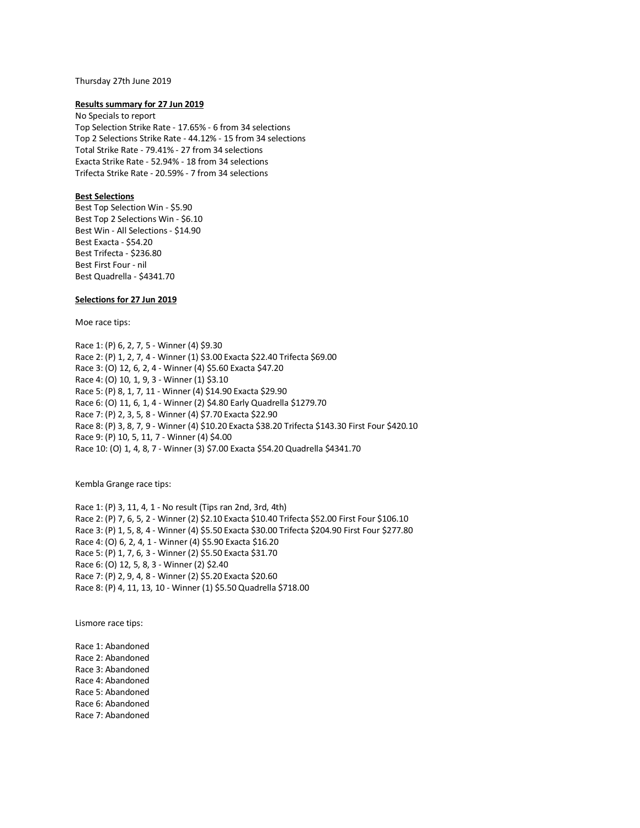#### Thursday 27th June 2019

#### **Results summary for 27 Jun 2019**

No Specials to report Top Selection Strike Rate - 17.65% - 6 from 34 selections Top 2 Selections Strike Rate - 44.12% - 15 from 34 selections Total Strike Rate - 79.41% - 27 from 34 selections Exacta Strike Rate - 52.94% - 18 from 34 selections Trifecta Strike Rate - 20.59% - 7 from 34 selections

## **Best Selections**

Best Top Selection Win - \$5.90 Best Top 2 Selections Win - \$6.10 Best Win - All Selections - \$14.90 Best Exacta - \$54.20 Best Trifecta - \$236.80 Best First Four - nil Best Quadrella - \$4341.70

## **Selections for 27 Jun 2019**

Moe race tips:

Race 1: (P) 6, 2, 7, 5 - Winner (4) \$9.30 Race 2: (P) 1, 2, 7, 4 - Winner (1) \$3.00 Exacta \$22.40 Trifecta \$69.00 Race 3: (O) 12, 6, 2, 4 - Winner (4) \$5.60 Exacta \$47.20 Race 4: (O) 10, 1, 9, 3 - Winner (1) \$3.10 Race 5: (P) 8, 1, 7, 11 - Winner (4) \$14.90 Exacta \$29.90 Race 6: (O) 11, 6, 1, 4 - Winner (2) \$4.80 Early Quadrella \$1279.70 Race 7: (P) 2, 3, 5, 8 - Winner (4) \$7.70 Exacta \$22.90 Race 8: (P) 3, 8, 7, 9 - Winner (4) \$10.20 Exacta \$38.20 Trifecta \$143.30 First Four \$420.10 Race 9: (P) 10, 5, 11, 7 - Winner (4) \$4.00 Race 10: (O) 1, 4, 8, 7 - Winner (3) \$7.00 Exacta \$54.20 Quadrella \$4341.70

Kembla Grange race tips:

Race 1: (P) 3, 11, 4, 1 - No result (Tips ran 2nd, 3rd, 4th) Race 2: (P) 7, 6, 5, 2 - Winner (2) \$2.10 Exacta \$10.40 Trifecta \$52.00 First Four \$106.10 Race 3: (P) 1, 5, 8, 4 - Winner (4) \$5.50 Exacta \$30.00 Trifecta \$204.90 First Four \$277.80 Race 4: (O) 6, 2, 4, 1 - Winner (4) \$5.90 Exacta \$16.20 Race 5: (P) 1, 7, 6, 3 - Winner (2) \$5.50 Exacta \$31.70 Race 6: (O) 12, 5, 8, 3 - Winner (2) \$2.40 Race 7: (P) 2, 9, 4, 8 - Winner (2) \$5.20 Exacta \$20.60 Race 8: (P) 4, 11, 13, 10 - Winner (1) \$5.50 Quadrella \$718.00

Lismore race tips:

Race 1: Abandoned Race 2: Abandoned Race 3: Abandoned Race 4: Abandoned Race 5: Abandoned Race 6: Abandoned Race 7: Abandoned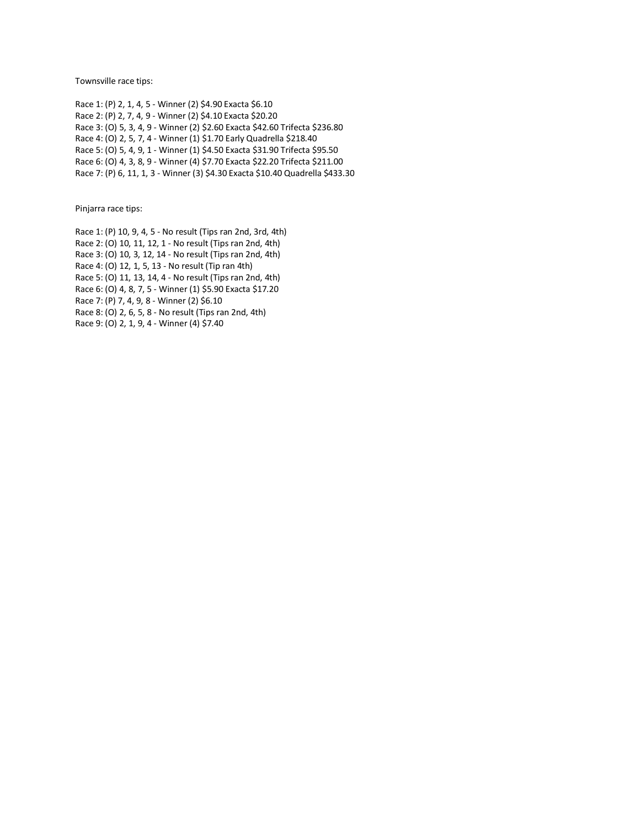Townsville race tips:

Race 1: (P) 2, 1, 4, 5 - Winner (2) \$4.90 Exacta \$6.10 Race 2: (P) 2, 7, 4, 9 - Winner (2) \$4.10 Exacta \$20.20 Race 3: (O) 5, 3, 4, 9 - Winner (2) \$2.60 Exacta \$42.60 Trifecta \$236.80 Race 4: (O) 2, 5, 7, 4 - Winner (1) \$1.70 Early Quadrella \$218.40 Race 5: (O) 5, 4, 9, 1 - Winner (1) \$4.50 Exacta \$31.90 Trifecta \$95.50 Race 6: (O) 4, 3, 8, 9 - Winner (4) \$7.70 Exacta \$22.20 Trifecta \$211.00 Race 7: (P) 6, 11, 1, 3 - Winner (3) \$4.30 Exacta \$10.40 Quadrella \$433.30

Pinjarra race tips:

Race 1: (P) 10, 9, 4, 5 - No result (Tips ran 2nd, 3rd, 4th) Race 2: (O) 10, 11, 12, 1 - No result (Tips ran 2nd, 4th) Race 3: (O) 10, 3, 12, 14 - No result (Tips ran 2nd, 4th) Race 4: (O) 12, 1, 5, 13 - No result (Tip ran 4th) Race 5: (O) 11, 13, 14, 4 - No result (Tips ran 2nd, 4th) Race 6: (O) 4, 8, 7, 5 - Winner (1) \$5.90 Exacta \$17.20 Race 7: (P) 7, 4, 9, 8 - Winner (2) \$6.10 Race 8: (O) 2, 6, 5, 8 - No result (Tips ran 2nd, 4th) Race 9: (O) 2, 1, 9, 4 - Winner (4) \$7.40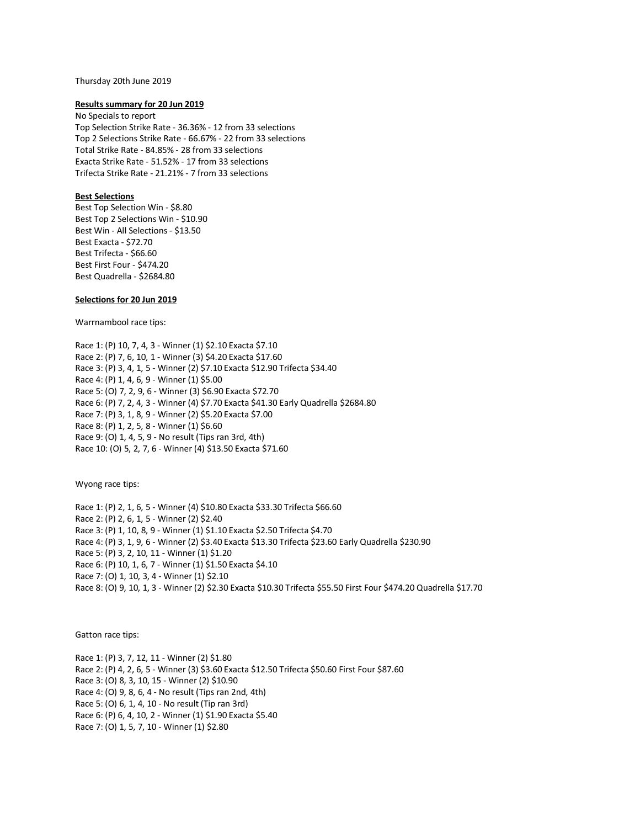Thursday 20th June 2019

### **Results summary for 20 Jun 2019**

No Specials to report Top Selection Strike Rate - 36.36% - 12 from 33 selections Top 2 Selections Strike Rate - 66.67% - 22 from 33 selections Total Strike Rate - 84.85% - 28 from 33 selections Exacta Strike Rate - 51.52% - 17 from 33 selections Trifecta Strike Rate - 21.21% - 7 from 33 selections

# **Best Selections**

Best Top Selection Win - \$8.80 Best Top 2 Selections Win - \$10.90 Best Win - All Selections - \$13.50 Best Exacta - \$72.70 Best Trifecta - \$66.60 Best First Four - \$474.20 Best Quadrella - \$2684.80

# **Selections for 20 Jun 2019**

Warrnambool race tips:

Race 1: (P) 10, 7, 4, 3 - Winner (1) \$2.10 Exacta \$7.10 Race 2: (P) 7, 6, 10, 1 - Winner (3) \$4.20 Exacta \$17.60 Race 3: (P) 3, 4, 1, 5 - Winner (2) \$7.10 Exacta \$12.90 Trifecta \$34.40 Race 4: (P) 1, 4, 6, 9 - Winner (1) \$5.00 Race 5: (O) 7, 2, 9, 6 - Winner (3) \$6.90 Exacta \$72.70 Race 6: (P) 7, 2, 4, 3 - Winner (4) \$7.70 Exacta \$41.30 Early Quadrella \$2684.80 Race 7: (P) 3, 1, 8, 9 - Winner (2) \$5.20 Exacta \$7.00 Race 8: (P) 1, 2, 5, 8 - Winner (1) \$6.60 Race 9: (O) 1, 4, 5, 9 - No result (Tips ran 3rd, 4th) Race 10: (O) 5, 2, 7, 6 - Winner (4) \$13.50 Exacta \$71.60

Wyong race tips:

Race 1: (P) 2, 1, 6, 5 - Winner (4) \$10.80 Exacta \$33.30 Trifecta \$66.60 Race 2: (P) 2, 6, 1, 5 - Winner (2) \$2.40 Race 3: (P) 1, 10, 8, 9 - Winner (1) \$1.10 Exacta \$2.50 Trifecta \$4.70 Race 4: (P) 3, 1, 9, 6 - Winner (2) \$3.40 Exacta \$13.30 Trifecta \$23.60 Early Quadrella \$230.90 Race 5: (P) 3, 2, 10, 11 - Winner (1) \$1.20 Race 6: (P) 10, 1, 6, 7 - Winner (1) \$1.50 Exacta \$4.10 Race 7: (O) 1, 10, 3, 4 - Winner (1) \$2.10 Race 8: (O) 9, 10, 1, 3 - Winner (2) \$2.30 Exacta \$10.30 Trifecta \$55.50 First Four \$474.20 Quadrella \$17.70

Gatton race tips:

Race 1: (P) 3, 7, 12, 11 - Winner (2) \$1.80 Race 2: (P) 4, 2, 6, 5 - Winner (3) \$3.60 Exacta \$12.50 Trifecta \$50.60 First Four \$87.60 Race 3: (O) 8, 3, 10, 15 - Winner (2) \$10.90 Race 4: (O) 9, 8, 6, 4 - No result (Tips ran 2nd, 4th) Race 5: (O) 6, 1, 4, 10 - No result (Tip ran 3rd) Race 6: (P) 6, 4, 10, 2 - Winner (1) \$1.90 Exacta \$5.40 Race 7: (O) 1, 5, 7, 10 - Winner (1) \$2.80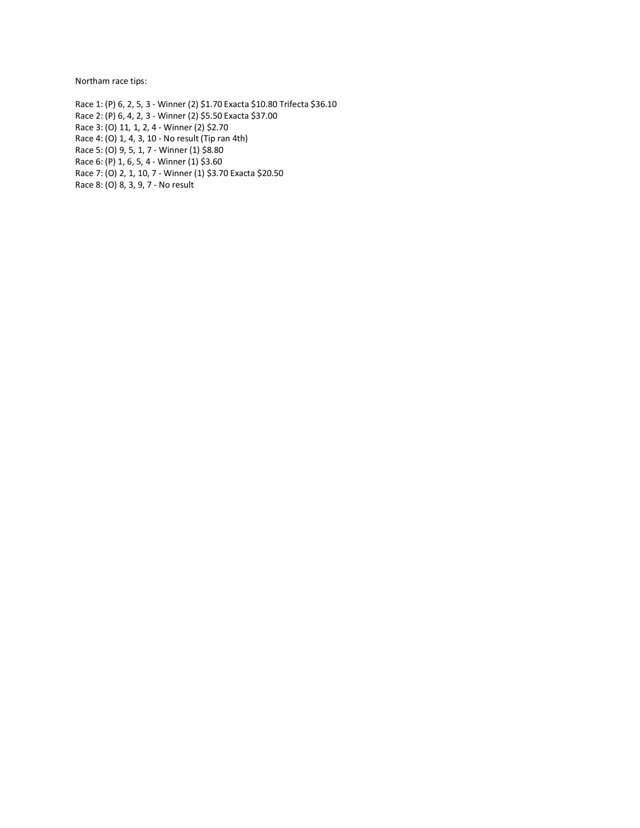Northam race tips:

Race 1: (P) 6, 2, 5, 3 - Winner (2) \$1.70 Exacta \$10.80 Trifecta \$36.10 Race 2: (P) 6, 4, 2, 3 - Winner (2) \$5.50 Exacta \$37.00 Race 3: (O) 11, 1, 2, 4 - Winner (2) \$2.70 Race 4: (O) 1, 4, 3, 10 - No result (Tip ran 4th) Race 5: (O) 9, 5, 1, 7 - Winner (1) \$8.80 Race 6: (P) 1, 6, 5, 4 - Winner (1) \$3.60 Race 7: (O) 2, 1, 10, 7 - Winner (1) \$3.70 Exacta \$20.50

Race 8: (O) 8, 3, 9, 7 - No result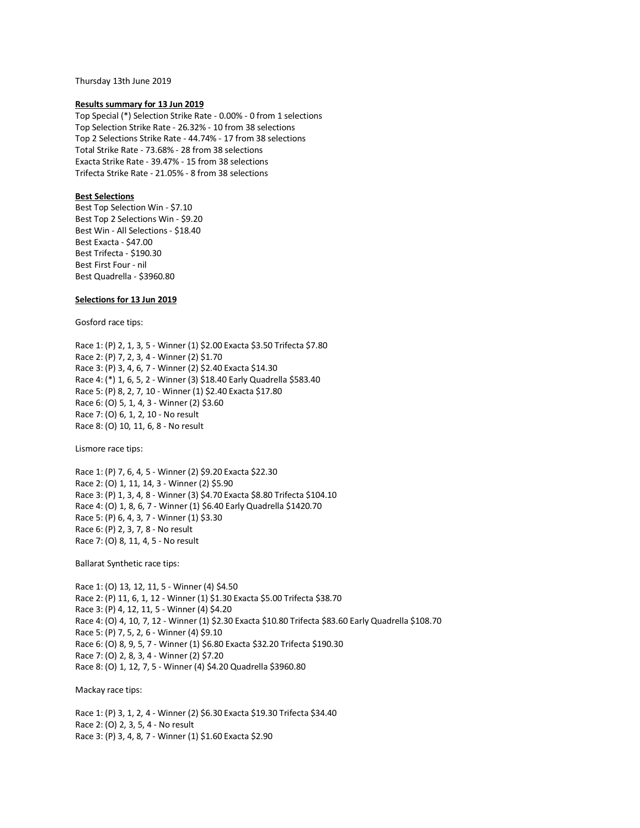Thursday 13th June 2019

### **Results summary for 13 Jun 2019**

Top Special (\*) Selection Strike Rate - 0.00% - 0 from 1 selections Top Selection Strike Rate - 26.32% - 10 from 38 selections Top 2 Selections Strike Rate - 44.74% - 17 from 38 selections Total Strike Rate - 73.68% - 28 from 38 selections Exacta Strike Rate - 39.47% - 15 from 38 selections Trifecta Strike Rate - 21.05% - 8 from 38 selections

# **Best Selections**

Best Top Selection Win - \$7.10 Best Top 2 Selections Win - \$9.20 Best Win - All Selections - \$18.40 Best Exacta - \$47.00 Best Trifecta - \$190.30 Best First Four - nil Best Quadrella - \$3960.80

## **Selections for 13 Jun 2019**

Gosford race tips:

Race 1: (P) 2, 1, 3, 5 - Winner (1) \$2.00 Exacta \$3.50 Trifecta \$7.80 Race 2: (P) 7, 2, 3, 4 - Winner (2) \$1.70 Race 3: (P) 3, 4, 6, 7 - Winner (2) \$2.40 Exacta \$14.30 Race 4: (\*) 1, 6, 5, 2 - Winner (3) \$18.40 Early Quadrella \$583.40 Race 5: (P) 8, 2, 7, 10 - Winner (1) \$2.40 Exacta \$17.80 Race 6: (O) 5, 1, 4, 3 - Winner (2) \$3.60 Race 7: (O) 6, 1, 2, 10 - No result Race 8: (O) 10, 11, 6, 8 - No result

Lismore race tips:

Race 1: (P) 7, 6, 4, 5 - Winner (2) \$9.20 Exacta \$22.30 Race 2: (O) 1, 11, 14, 3 - Winner (2) \$5.90 Race 3: (P) 1, 3, 4, 8 - Winner (3) \$4.70 Exacta \$8.80 Trifecta \$104.10 Race 4: (O) 1, 8, 6, 7 - Winner (1) \$6.40 Early Quadrella \$1420.70 Race 5: (P) 6, 4, 3, 7 - Winner (1) \$3.30 Race 6: (P) 2, 3, 7, 8 - No result Race 7: (O) 8, 11, 4, 5 - No result

Ballarat Synthetic race tips:

Race 1: (O) 13, 12, 11, 5 - Winner (4) \$4.50 Race 2: (P) 11, 6, 1, 12 - Winner (1) \$1.30 Exacta \$5.00 Trifecta \$38.70 Race 3: (P) 4, 12, 11, 5 - Winner (4) \$4.20 Race 4: (O) 4, 10, 7, 12 - Winner (1) \$2.30 Exacta \$10.80 Trifecta \$83.60 Early Quadrella \$108.70 Race 5: (P) 7, 5, 2, 6 - Winner (4) \$9.10 Race 6: (O) 8, 9, 5, 7 - Winner (1) \$6.80 Exacta \$32.20 Trifecta \$190.30 Race 7: (O) 2, 8, 3, 4 - Winner (2) \$7.20 Race 8: (O) 1, 12, 7, 5 - Winner (4) \$4.20 Quadrella \$3960.80

Mackay race tips:

Race 1: (P) 3, 1, 2, 4 - Winner (2) \$6.30 Exacta \$19.30 Trifecta \$34.40 Race 2: (O) 2, 3, 5, 4 - No result Race 3: (P) 3, 4, 8, 7 - Winner (1) \$1.60 Exacta \$2.90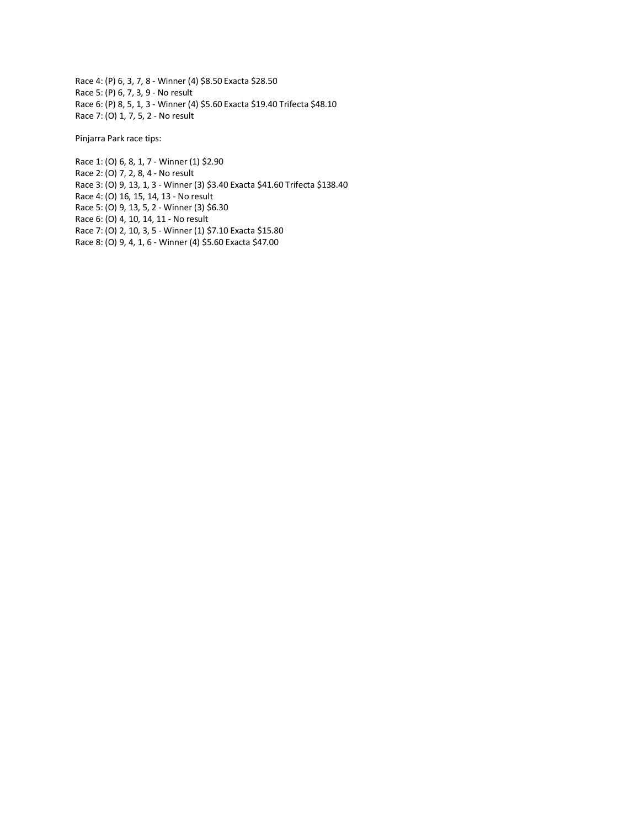Race 4: (P) 6, 3, 7, 8 - Winner (4) \$8.50 Exacta \$28.50 Race 5: (P) 6, 7, 3, 9 - No result Race 6: (P) 8, 5, 1, 3 - Winner (4) \$5.60 Exacta \$19.40 Trifecta \$48.10 Race 7: (O) 1, 7, 5, 2 - No result

Pinjarra Park race tips:

Race 1: (O) 6, 8, 1, 7 - Winner (1) \$2.90 Race 2: (O) 7, 2, 8, 4 - No result Race 3: (O) 9, 13, 1, 3 - Winner (3) \$3.40 Exacta \$41.60 Trifecta \$138.40 Race 4: (O) 16, 15, 14, 13 - No result Race 5: (O) 9, 13, 5, 2 - Winner (3) \$6.30 Race 6: (O) 4, 10, 14, 11 - No result Race 7: (O) 2, 10, 3, 5 - Winner (1) \$7.10 Exacta \$15.80 Race 8: (O) 9, 4, 1, 6 - Winner (4) \$5.60 Exacta \$47.00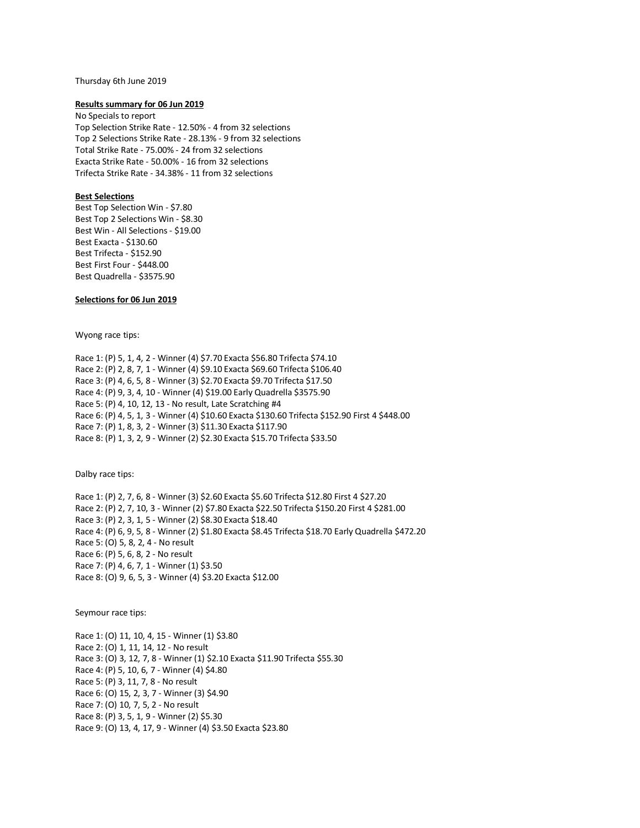#### Thursday 6th June 2019

### **Results summary for 06 Jun 2019**

No Specials to report Top Selection Strike Rate - 12.50% - 4 from 32 selections Top 2 Selections Strike Rate - 28.13% - 9 from 32 selections Total Strike Rate - 75.00% - 24 from 32 selections Exacta Strike Rate - 50.00% - 16 from 32 selections Trifecta Strike Rate - 34.38% - 11 from 32 selections

# **Best Selections**

Best Top Selection Win - \$7.80 Best Top 2 Selections Win - \$8.30 Best Win - All Selections - \$19.00 Best Exacta - \$130.60 Best Trifecta - \$152.90 Best First Four - \$448.00 Best Quadrella - \$3575.90

# **Selections for 06 Jun 2019**

Wyong race tips:

Race 1: (P) 5, 1, 4, 2 - Winner (4) \$7.70 Exacta \$56.80 Trifecta \$74.10 Race 2: (P) 2, 8, 7, 1 - Winner (4) \$9.10 Exacta \$69.60 Trifecta \$106.40 Race 3: (P) 4, 6, 5, 8 - Winner (3) \$2.70 Exacta \$9.70 Trifecta \$17.50 Race 4: (P) 9, 3, 4, 10 - Winner (4) \$19.00 Early Quadrella \$3575.90 Race 5: (P) 4, 10, 12, 13 - No result, Late Scratching #4 Race 6: (P) 4, 5, 1, 3 - Winner (4) \$10.60 Exacta \$130.60 Trifecta \$152.90 First 4 \$448.00 Race 7: (P) 1, 8, 3, 2 - Winner (3) \$11.30 Exacta \$117.90 Race 8: (P) 1, 3, 2, 9 - Winner (2) \$2.30 Exacta \$15.70 Trifecta \$33.50

Dalby race tips:

Race 1: (P) 2, 7, 6, 8 - Winner (3) \$2.60 Exacta \$5.60 Trifecta \$12.80 First 4 \$27.20 Race 2: (P) 2, 7, 10, 3 - Winner (2) \$7.80 Exacta \$22.50 Trifecta \$150.20 First 4 \$281.00 Race 3: (P) 2, 3, 1, 5 - Winner (2) \$8.30 Exacta \$18.40 Race 4: (P) 6, 9, 5, 8 - Winner (2) \$1.80 Exacta \$8.45 Trifecta \$18.70 Early Quadrella \$472.20 Race 5: (O) 5, 8, 2, 4 - No result Race 6: (P) 5, 6, 8, 2 - No result Race 7: (P) 4, 6, 7, 1 - Winner (1) \$3.50 Race 8: (O) 9, 6, 5, 3 - Winner (4) \$3.20 Exacta \$12.00

Seymour race tips:

Race 1: (O) 11, 10, 4, 15 - Winner (1) \$3.80 Race 2: (O) 1, 11, 14, 12 - No result Race 3: (O) 3, 12, 7, 8 - Winner (1) \$2.10 Exacta \$11.90 Trifecta \$55.30 Race 4: (P) 5, 10, 6, 7 - Winner (4) \$4.80 Race 5: (P) 3, 11, 7, 8 - No result Race 6: (O) 15, 2, 3, 7 - Winner (3) \$4.90 Race 7: (O) 10, 7, 5, 2 - No result Race 8: (P) 3, 5, 1, 9 - Winner (2) \$5.30 Race 9: (O) 13, 4, 17, 9 - Winner (4) \$3.50 Exacta \$23.80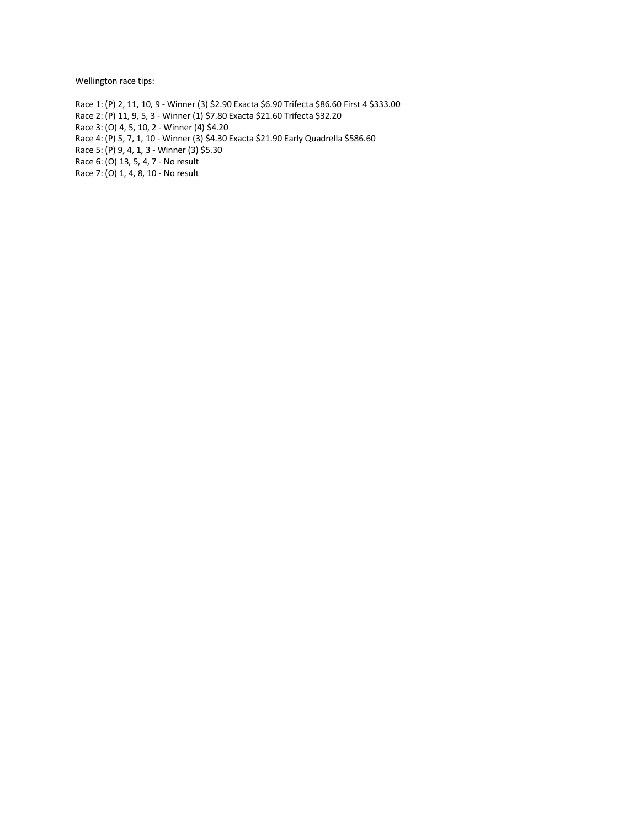Wellington race tips:

Race 1: (P) 2, 11, 10, 9 - Winner (3) \$2.90 Exacta \$6.90 Trifecta \$86.60 First 4 \$333.00 Race 2: (P) 11, 9, 5, 3 - Winner (1) \$7.80 Exacta \$21.60 Trifecta \$32.20 Race 3: (O) 4, 5, 10, 2 - Winner (4) \$4.20 Race 4: (P) 5, 7, 1, 10 - Winner (3) \$4.30 Exacta \$21.90 Early Quadrella \$586.60 Race 5: (P) 9, 4, 1, 3 - Winner (3) \$5.30 Race 6: (O) 13, 5, 4, 7 - No result Race 7: (O) 1, 4, 8, 10 - No result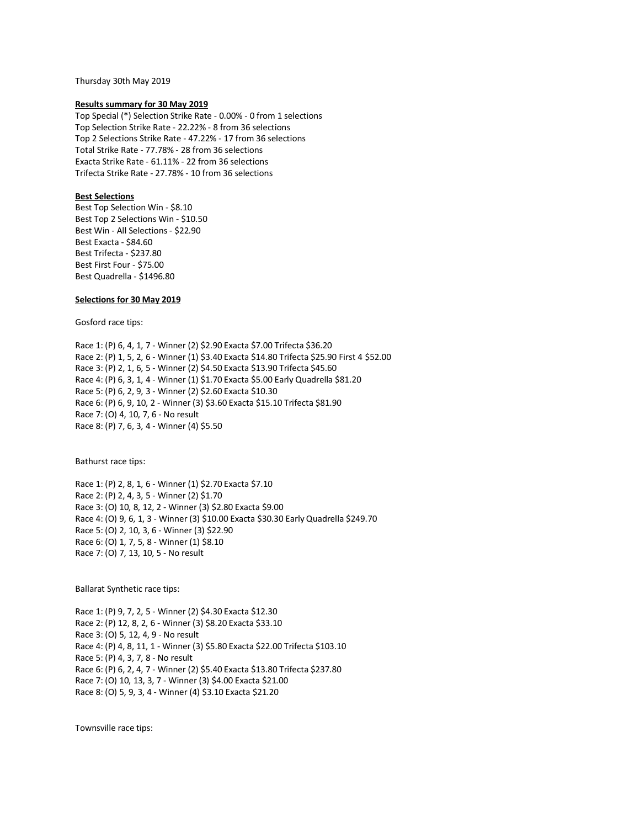Thursday 30th May 2019

### **Results summary for 30 May 2019**

Top Special (\*) Selection Strike Rate - 0.00% - 0 from 1 selections Top Selection Strike Rate - 22.22% - 8 from 36 selections Top 2 Selections Strike Rate - 47.22% - 17 from 36 selections Total Strike Rate - 77.78% - 28 from 36 selections Exacta Strike Rate - 61.11% - 22 from 36 selections Trifecta Strike Rate - 27.78% - 10 from 36 selections

# **Best Selections**

Best Top Selection Win - \$8.10 Best Top 2 Selections Win - \$10.50 Best Win - All Selections - \$22.90 Best Exacta - \$84.60 Best Trifecta - \$237.80 Best First Four - \$75.00 Best Quadrella - \$1496.80

## **Selections for 30 May 2019**

Gosford race tips:

Race 1: (P) 6, 4, 1, 7 - Winner (2) \$2.90 Exacta \$7.00 Trifecta \$36.20 Race 2: (P) 1, 5, 2, 6 - Winner (1) \$3.40 Exacta \$14.80 Trifecta \$25.90 First 4 \$52.00 Race 3: (P) 2, 1, 6, 5 - Winner (2) \$4.50 Exacta \$13.90 Trifecta \$45.60 Race 4: (P) 6, 3, 1, 4 - Winner (1) \$1.70 Exacta \$5.00 Early Quadrella \$81.20 Race 5: (P) 6, 2, 9, 3 - Winner (2) \$2.60 Exacta \$10.30 Race 6: (P) 6, 9, 10, 2 - Winner (3) \$3.60 Exacta \$15.10 Trifecta \$81.90 Race 7: (O) 4, 10, 7, 6 - No result Race 8: (P) 7, 6, 3, 4 - Winner (4) \$5.50

Bathurst race tips:

Race 1: (P) 2, 8, 1, 6 - Winner (1) \$2.70 Exacta \$7.10 Race 2: (P) 2, 4, 3, 5 - Winner (2) \$1.70 Race 3: (O) 10, 8, 12, 2 - Winner (3) \$2.80 Exacta \$9.00 Race 4: (O) 9, 6, 1, 3 - Winner (3) \$10.00 Exacta \$30.30 Early Quadrella \$249.70 Race 5: (O) 2, 10, 3, 6 - Winner (3) \$22.90 Race 6: (O) 1, 7, 5, 8 - Winner (1) \$8.10 Race 7: (O) 7, 13, 10, 5 - No result

Ballarat Synthetic race tips:

Race 1: (P) 9, 7, 2, 5 - Winner (2) \$4.30 Exacta \$12.30 Race 2: (P) 12, 8, 2, 6 - Winner (3) \$8.20 Exacta \$33.10 Race 3: (O) 5, 12, 4, 9 - No result Race 4: (P) 4, 8, 11, 1 - Winner (3) \$5.80 Exacta \$22.00 Trifecta \$103.10 Race 5: (P) 4, 3, 7, 8 - No result Race 6: (P) 6, 2, 4, 7 - Winner (2) \$5.40 Exacta \$13.80 Trifecta \$237.80 Race 7: (O) 10, 13, 3, 7 - Winner (3) \$4.00 Exacta \$21.00 Race 8: (O) 5, 9, 3, 4 - Winner (4) \$3.10 Exacta \$21.20

Townsville race tips: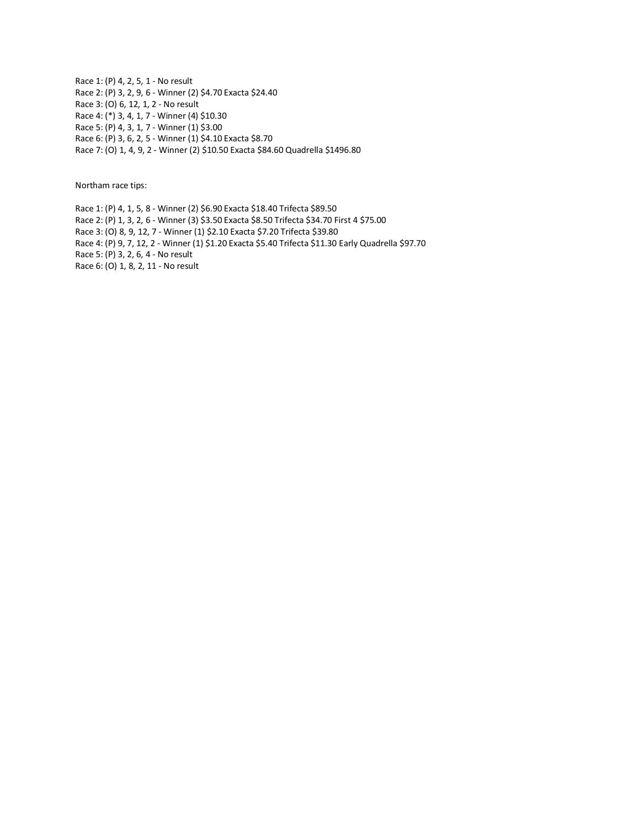Race 1: (P) 4, 2, 5, 1 - No result Race 2: (P) 3, 2, 9, 6 - Winner (2) \$4.70 Exacta \$24.40 Race 3: (O) 6, 12, 1, 2 - No result Race 4: (\*) 3, 4, 1, 7 - Winner (4) \$10.30 Race 5: (P) 4, 3, 1, 7 - Winner (1) \$3.00 Race 6: (P) 3, 6, 2, 5 - Winner (1) \$4.10 Exacta \$8.70 Race 7: (O) 1, 4, 9, 2 - Winner (2) \$10.50 Exacta \$84.60 Quadrella \$1496.80

Northam race tips:

Race 1: (P) 4, 1, 5, 8 - Winner (2) \$6.90 Exacta \$18.40 Trifecta \$89.50 Race 2: (P) 1, 3, 2, 6 - Winner (3) \$3.50 Exacta \$8.50 Trifecta \$34.70 First 4 \$75.00 Race 3: (O) 8, 9, 12, 7 - Winner (1) \$2.10 Exacta \$7.20 Trifecta \$39.80 Race 4: (P) 9, 7, 12, 2 - Winner (1) \$1.20 Exacta \$5.40 Trifecta \$11.30 Early Quadrella \$97.70 Race 5: (P) 3, 2, 6, 4 - No result Race 6: (O) 1, 8, 2, 11 - No result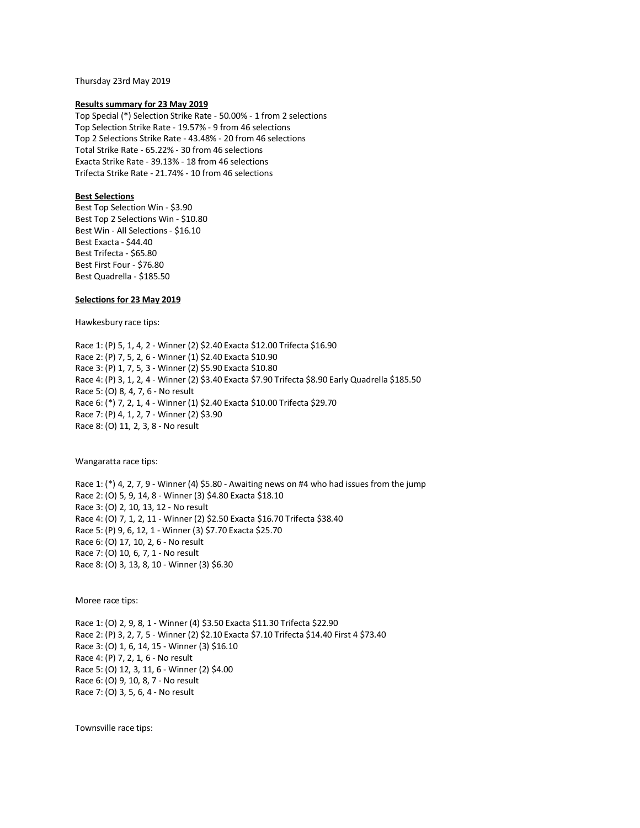Thursday 23rd May 2019

### **Results summary for 23 May 2019**

Top Special (\*) Selection Strike Rate - 50.00% - 1 from 2 selections Top Selection Strike Rate - 19.57% - 9 from 46 selections Top 2 Selections Strike Rate - 43.48% - 20 from 46 selections Total Strike Rate - 65.22% - 30 from 46 selections Exacta Strike Rate - 39.13% - 18 from 46 selections Trifecta Strike Rate - 21.74% - 10 from 46 selections

## **Best Selections**

Best Top Selection Win - \$3.90 Best Top 2 Selections Win - \$10.80 Best Win - All Selections - \$16.10 Best Exacta - \$44.40 Best Trifecta - \$65.80 Best First Four - \$76.80 Best Quadrella - \$185.50

## **Selections for 23 May 2019**

Hawkesbury race tips:

Race 1: (P) 5, 1, 4, 2 - Winner (2) \$2.40 Exacta \$12.00 Trifecta \$16.90 Race 2: (P) 7, 5, 2, 6 - Winner (1) \$2.40 Exacta \$10.90 Race 3: (P) 1, 7, 5, 3 - Winner (2) \$5.90 Exacta \$10.80 Race 4: (P) 3, 1, 2, 4 - Winner (2) \$3.40 Exacta \$7.90 Trifecta \$8.90 Early Quadrella \$185.50 Race 5: (O) 8, 4, 7, 6 - No result Race 6: (\*) 7, 2, 1, 4 - Winner (1) \$2.40 Exacta \$10.00 Trifecta \$29.70 Race 7: (P) 4, 1, 2, 7 - Winner (2) \$3.90 Race 8: (O) 11, 2, 3, 8 - No result

Wangaratta race tips:

Race 1: (\*) 4, 2, 7, 9 - Winner (4) \$5.80 - Awaiting news on #4 who had issues from the jump Race 2: (O) 5, 9, 14, 8 - Winner (3) \$4.80 Exacta \$18.10 Race 3: (O) 2, 10, 13, 12 - No result Race 4: (O) 7, 1, 2, 11 - Winner (2) \$2.50 Exacta \$16.70 Trifecta \$38.40 Race 5: (P) 9, 6, 12, 1 - Winner (3) \$7.70 Exacta \$25.70 Race 6: (O) 17, 10, 2, 6 - No result Race 7: (O) 10, 6, 7, 1 - No result Race 8: (O) 3, 13, 8, 10 - Winner (3) \$6.30

Moree race tips:

Race 1: (O) 2, 9, 8, 1 - Winner (4) \$3.50 Exacta \$11.30 Trifecta \$22.90 Race 2: (P) 3, 2, 7, 5 - Winner (2) \$2.10 Exacta \$7.10 Trifecta \$14.40 First 4 \$73.40 Race 3: (O) 1, 6, 14, 15 - Winner (3) \$16.10 Race 4: (P) 7, 2, 1, 6 - No result Race 5: (O) 12, 3, 11, 6 - Winner (2) \$4.00 Race 6: (O) 9, 10, 8, 7 - No result Race 7: (O) 3, 5, 6, 4 - No result

Townsville race tips: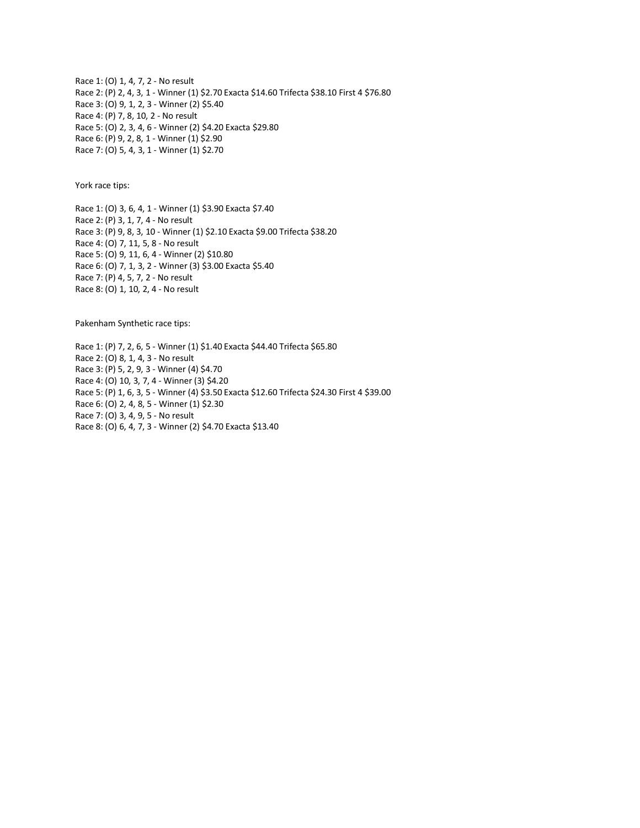Race 1: (O) 1, 4, 7, 2 - No result Race 2: (P) 2, 4, 3, 1 - Winner (1) \$2.70 Exacta \$14.60 Trifecta \$38.10 First 4 \$76.80 Race 3: (O) 9, 1, 2, 3 - Winner (2) \$5.40 Race 4: (P) 7, 8, 10, 2 - No result Race 5: (O) 2, 3, 4, 6 - Winner (2) \$4.20 Exacta \$29.80 Race 6: (P) 9, 2, 8, 1 - Winner (1) \$2.90 Race 7: (O) 5, 4, 3, 1 - Winner (1) \$2.70

York race tips:

Race 1: (O) 3, 6, 4, 1 - Winner (1) \$3.90 Exacta \$7.40 Race 2: (P) 3, 1, 7, 4 - No result Race 3: (P) 9, 8, 3, 10 - Winner (1) \$2.10 Exacta \$9.00 Trifecta \$38.20 Race 4: (O) 7, 11, 5, 8 - No result Race 5: (O) 9, 11, 6, 4 - Winner (2) \$10.80 Race 6: (O) 7, 1, 3, 2 - Winner (3) \$3.00 Exacta \$5.40 Race 7: (P) 4, 5, 7, 2 - No result Race 8: (O) 1, 10, 2, 4 - No result

Pakenham Synthetic race tips:

Race 1: (P) 7, 2, 6, 5 - Winner (1) \$1.40 Exacta \$44.40 Trifecta \$65.80 Race 2: (O) 8, 1, 4, 3 - No result Race 3: (P) 5, 2, 9, 3 - Winner (4) \$4.70 Race 4: (O) 10, 3, 7, 4 - Winner (3) \$4.20 Race 5: (P) 1, 6, 3, 5 - Winner (4) \$3.50 Exacta \$12.60 Trifecta \$24.30 First 4 \$39.00 Race 6: (O) 2, 4, 8, 5 - Winner (1) \$2.30 Race 7: (O) 3, 4, 9, 5 - No result Race 8: (O) 6, 4, 7, 3 - Winner (2) \$4.70 Exacta \$13.40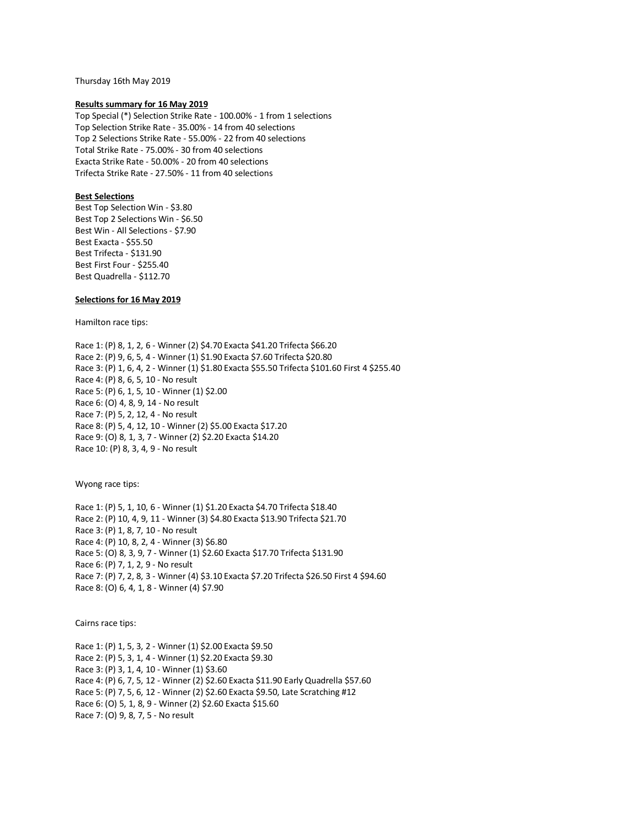Thursday 16th May 2019

### **Results summary for 16 May 2019**

Top Special (\*) Selection Strike Rate - 100.00% - 1 from 1 selections Top Selection Strike Rate - 35.00% - 14 from 40 selections Top 2 Selections Strike Rate - 55.00% - 22 from 40 selections Total Strike Rate - 75.00% - 30 from 40 selections Exacta Strike Rate - 50.00% - 20 from 40 selections Trifecta Strike Rate - 27.50% - 11 from 40 selections

# **Best Selections**

Best Top Selection Win - \$3.80 Best Top 2 Selections Win - \$6.50 Best Win - All Selections - \$7.90 Best Exacta - \$55.50 Best Trifecta - \$131.90 Best First Four - \$255.40 Best Quadrella - \$112.70

## **Selections for 16 May 2019**

Hamilton race tips:

Race 1: (P) 8, 1, 2, 6 - Winner (2) \$4.70 Exacta \$41.20 Trifecta \$66.20 Race 2: (P) 9, 6, 5, 4 - Winner (1) \$1.90 Exacta \$7.60 Trifecta \$20.80 Race 3: (P) 1, 6, 4, 2 - Winner (1) \$1.80 Exacta \$55.50 Trifecta \$101.60 First 4 \$255.40 Race 4: (P) 8, 6, 5, 10 - No result Race 5: (P) 6, 1, 5, 10 - Winner (1) \$2.00 Race 6: (O) 4, 8, 9, 14 - No result Race 7: (P) 5, 2, 12, 4 - No result Race 8: (P) 5, 4, 12, 10 - Winner (2) \$5.00 Exacta \$17.20 Race 9: (O) 8, 1, 3, 7 - Winner (2) \$2.20 Exacta \$14.20 Race 10: (P) 8, 3, 4, 9 - No result

Wyong race tips:

Race 1: (P) 5, 1, 10, 6 - Winner (1) \$1.20 Exacta \$4.70 Trifecta \$18.40 Race 2: (P) 10, 4, 9, 11 - Winner (3) \$4.80 Exacta \$13.90 Trifecta \$21.70 Race 3: (P) 1, 8, 7, 10 - No result Race 4: (P) 10, 8, 2, 4 - Winner (3) \$6.80 Race 5: (O) 8, 3, 9, 7 - Winner (1) \$2.60 Exacta \$17.70 Trifecta \$131.90 Race 6: (P) 7, 1, 2, 9 - No result Race 7: (P) 7, 2, 8, 3 - Winner (4) \$3.10 Exacta \$7.20 Trifecta \$26.50 First 4 \$94.60 Race 8: (O) 6, 4, 1, 8 - Winner (4) \$7.90

Cairns race tips:

Race 1: (P) 1, 5, 3, 2 - Winner (1) \$2.00 Exacta \$9.50 Race 2: (P) 5, 3, 1, 4 - Winner (1) \$2.20 Exacta \$9.30 Race 3: (P) 3, 1, 4, 10 - Winner (1) \$3.60 Race 4: (P) 6, 7, 5, 12 - Winner (2) \$2.60 Exacta \$11.90 Early Quadrella \$57.60 Race 5: (P) 7, 5, 6, 12 - Winner (2) \$2.60 Exacta \$9.50, Late Scratching #12 Race 6: (O) 5, 1, 8, 9 - Winner (2) \$2.60 Exacta \$15.60 Race 7: (O) 9, 8, 7, 5 - No result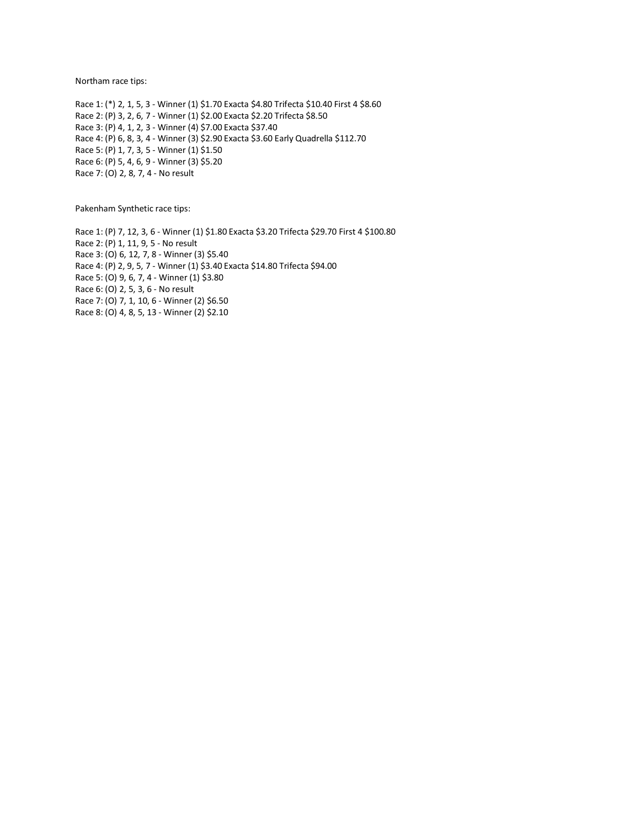Northam race tips:

Race 1: (\*) 2, 1, 5, 3 - Winner (1) \$1.70 Exacta \$4.80 Trifecta \$10.40 First 4 \$8.60 Race 2: (P) 3, 2, 6, 7 - Winner (1) \$2.00 Exacta \$2.20 Trifecta \$8.50 Race 3: (P) 4, 1, 2, 3 - Winner (4) \$7.00 Exacta \$37.40 Race 4: (P) 6, 8, 3, 4 - Winner (3) \$2.90 Exacta \$3.60 Early Quadrella \$112.70 Race 5: (P) 1, 7, 3, 5 - Winner (1) \$1.50 Race 6: (P) 5, 4, 6, 9 - Winner (3) \$5.20 Race 7: (O) 2, 8, 7, 4 - No result

Pakenham Synthetic race tips:

Race 1: (P) 7, 12, 3, 6 - Winner (1) \$1.80 Exacta \$3.20 Trifecta \$29.70 First 4 \$100.80 Race 2: (P) 1, 11, 9, 5 - No result Race 3: (O) 6, 12, 7, 8 - Winner (3) \$5.40 Race 4: (P) 2, 9, 5, 7 - Winner (1) \$3.40 Exacta \$14.80 Trifecta \$94.00 Race 5: (O) 9, 6, 7, 4 - Winner (1) \$3.80 Race 6: (O) 2, 5, 3, 6 - No result Race 7: (O) 7, 1, 10, 6 - Winner (2) \$6.50 Race 8: (O) 4, 8, 5, 13 - Winner (2) \$2.10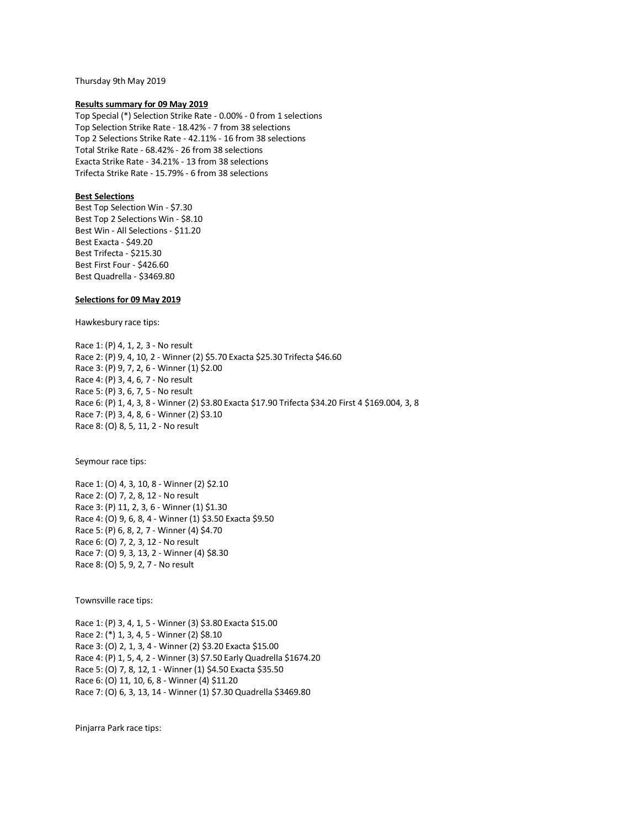Thursday 9th May 2019

### **Results summary for 09 May 2019**

Top Special (\*) Selection Strike Rate - 0.00% - 0 from 1 selections Top Selection Strike Rate - 18.42% - 7 from 38 selections Top 2 Selections Strike Rate - 42.11% - 16 from 38 selections Total Strike Rate - 68.42% - 26 from 38 selections Exacta Strike Rate - 34.21% - 13 from 38 selections Trifecta Strike Rate - 15.79% - 6 from 38 selections

# **Best Selections**

Best Top Selection Win - \$7.30 Best Top 2 Selections Win - \$8.10 Best Win - All Selections - \$11.20 Best Exacta - \$49.20 Best Trifecta - \$215.30 Best First Four - \$426.60 Best Quadrella - \$3469.80

## **Selections for 09 May 2019**

Hawkesbury race tips:

Race 1: (P) 4, 1, 2, 3 - No result Race 2: (P) 9, 4, 10, 2 - Winner (2) \$5.70 Exacta \$25.30 Trifecta \$46.60 Race 3: (P) 9, 7, 2, 6 - Winner (1) \$2.00 Race 4: (P) 3, 4, 6, 7 - No result Race 5: (P) 3, 6, 7, 5 - No result Race 6: (P) 1, 4, 3, 8 - Winner (2) \$3.80 Exacta \$17.90 Trifecta \$34.20 First 4 \$169.004, 3, 8 Race 7: (P) 3, 4, 8, 6 - Winner (2) \$3.10 Race 8: (O) 8, 5, 11, 2 - No result

Seymour race tips:

Race 1: (O) 4, 3, 10, 8 - Winner (2) \$2.10 Race 2: (O) 7, 2, 8, 12 - No result Race 3: (P) 11, 2, 3, 6 - Winner (1) \$1.30 Race 4: (O) 9, 6, 8, 4 - Winner (1) \$3.50 Exacta \$9.50 Race 5: (P) 6, 8, 2, 7 - Winner (4) \$4.70 Race 6: (O) 7, 2, 3, 12 - No result Race 7: (O) 9, 3, 13, 2 - Winner (4) \$8.30 Race 8: (O) 5, 9, 2, 7 - No result

Townsville race tips:

Race 1: (P) 3, 4, 1, 5 - Winner (3) \$3.80 Exacta \$15.00 Race 2: (\*) 1, 3, 4, 5 - Winner (2) \$8.10 Race 3: (O) 2, 1, 3, 4 - Winner (2) \$3.20 Exacta \$15.00 Race 4: (P) 1, 5, 4, 2 - Winner (3) \$7.50 Early Quadrella \$1674.20 Race 5: (O) 7, 8, 12, 1 - Winner (1) \$4.50 Exacta \$35.50 Race 6: (O) 11, 10, 6, 8 - Winner (4) \$11.20 Race 7: (O) 6, 3, 13, 14 - Winner (1) \$7.30 Quadrella \$3469.80

Pinjarra Park race tips: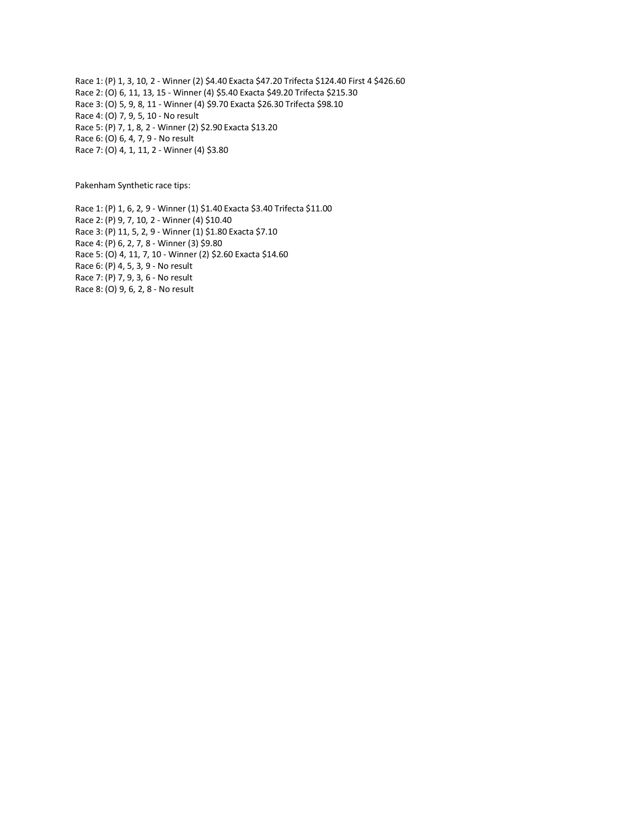Race 1: (P) 1, 3, 10, 2 - Winner (2) \$4.40 Exacta \$47.20 Trifecta \$124.40 First 4 \$426.60 Race 2: (O) 6, 11, 13, 15 - Winner (4) \$5.40 Exacta \$49.20 Trifecta \$215.30 Race 3: (O) 5, 9, 8, 11 - Winner (4) \$9.70 Exacta \$26.30 Trifecta \$98.10 Race 4: (O) 7, 9, 5, 10 - No result Race 5: (P) 7, 1, 8, 2 - Winner (2) \$2.90 Exacta \$13.20 Race 6: (O) 6, 4, 7, 9 - No result Race 7: (O) 4, 1, 11, 2 - Winner (4) \$3.80

Pakenham Synthetic race tips:

Race 1: (P) 1, 6, 2, 9 - Winner (1) \$1.40 Exacta \$3.40 Trifecta \$11.00 Race 2: (P) 9, 7, 10, 2 - Winner (4) \$10.40 Race 3: (P) 11, 5, 2, 9 - Winner (1) \$1.80 Exacta \$7.10 Race 4: (P) 6, 2, 7, 8 - Winner (3) \$9.80 Race 5: (O) 4, 11, 7, 10 - Winner (2) \$2.60 Exacta \$14.60 Race 6: (P) 4, 5, 3, 9 - No result Race 7: (P) 7, 9, 3, 6 - No result Race 8: (O) 9, 6, 2, 8 - No result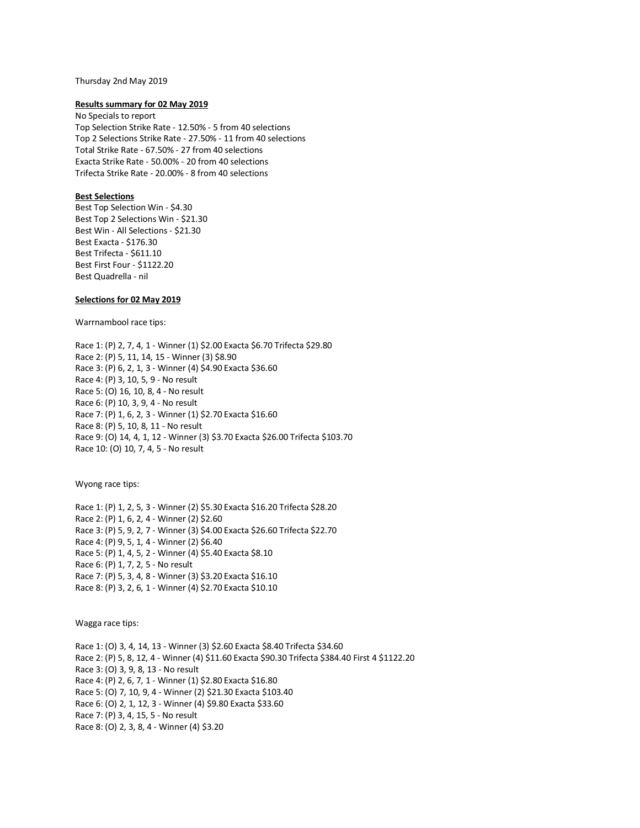### Thursday 2nd May 2019

### **Results summary for 02 May 2019**

No Specials to report Top Selection Strike Rate - 12.50% - 5 from 40 selections Top 2 Selections Strike Rate - 27.50% - 11 from 40 selections Total Strike Rate - 67.50% - 27 from 40 selections Exacta Strike Rate - 50.00% - 20 from 40 selections Trifecta Strike Rate - 20.00% - 8 from 40 selections

# **Best Selections**

Best Top Selection Win - \$4.30 Best Top 2 Selections Win - \$21.30 Best Win - All Selections - \$21.30 Best Exacta - \$176.30 Best Trifecta - \$611.10 Best First Four - \$1122.20 Best Quadrella - nil

## **Selections for 02 May 2019**

Warrnambool race tips:

Race 1: (P) 2, 7, 4, 1 - Winner (1) \$2.00 Exacta \$6.70 Trifecta \$29.80 Race 2: (P) 5, 11, 14, 15 - Winner (3) \$8.90 Race 3: (P) 6, 2, 1, 3 - Winner (4) \$4.90 Exacta \$36.60 Race 4: (P) 3, 10, 5, 9 - No result Race 5: (O) 16, 10, 8, 4 - No result Race 6: (P) 10, 3, 9, 4 - No result Race 7: (P) 1, 6, 2, 3 - Winner (1) \$2.70 Exacta \$16.60 Race 8: (P) 5, 10, 8, 11 - No result Race 9: (O) 14, 4, 1, 12 - Winner (3) \$3.70 Exacta \$26.00 Trifecta \$103.70 Race 10: (O) 10, 7, 4, 5 - No result

Wyong race tips:

Race 1: (P) 1, 2, 5, 3 - Winner (2) \$5.30 Exacta \$16.20 Trifecta \$28.20 Race 2: (P) 1, 6, 2, 4 - Winner (2) \$2.60 Race 3: (P) 5, 9, 2, 7 - Winner (3) \$4.00 Exacta \$26.60 Trifecta \$22.70 Race 4: (P) 9, 5, 1, 4 - Winner (2) \$6.40 Race 5: (P) 1, 4, 5, 2 - Winner (4) \$5.40 Exacta \$8.10 Race 6: (P) 1, 7, 2, 5 - No result Race 7: (P) 5, 3, 4, 8 - Winner (3) \$3.20 Exacta \$16.10 Race 8: (P) 3, 2, 6, 1 - Winner (4) \$2.70 Exacta \$10.10

Wagga race tips:

Race 1: (O) 3, 4, 14, 13 - Winner (3) \$2.60 Exacta \$8.40 Trifecta \$34.60 Race 2: (P) 5, 8, 12, 4 - Winner (4) \$11.60 Exacta \$90.30 Trifecta \$384.40 First 4 \$1122.20 Race 3: (O) 3, 9, 8, 13 - No result Race 4: (P) 2, 6, 7, 1 - Winner (1) \$2.80 Exacta \$16.80 Race 5: (O) 7, 10, 9, 4 - Winner (2) \$21.30 Exacta \$103.40 Race 6: (O) 2, 1, 12, 3 - Winner (4) \$9.80 Exacta \$33.60 Race 7: (P) 3, 4, 15, 5 - No result Race 8: (O) 2, 3, 8, 4 - Winner (4) \$3.20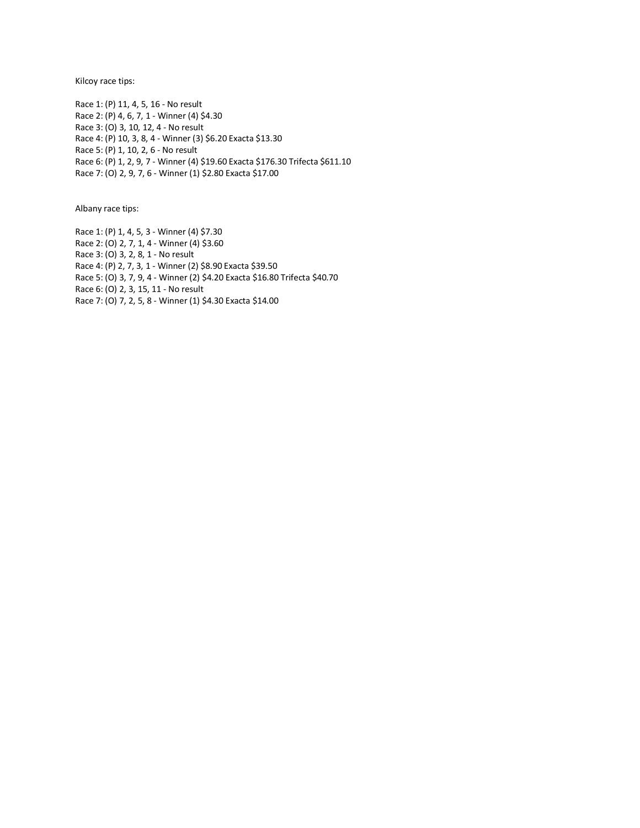Kilcoy race tips:

Race 1: (P) 11, 4, 5, 16 - No result Race 2: (P) 4, 6, 7, 1 - Winner (4) \$4.30 Race 3: (O) 3, 10, 12, 4 - No result Race 4: (P) 10, 3, 8, 4 - Winner (3) \$6.20 Exacta \$13.30 Race 5: (P) 1, 10, 2, 6 - No result Race 6: (P) 1, 2, 9, 7 - Winner (4) \$19.60 Exacta \$176.30 Trifecta \$611.10 Race 7: (O) 2, 9, 7, 6 - Winner (1) \$2.80 Exacta \$17.00

Albany race tips:

Race 1: (P) 1, 4, 5, 3 - Winner (4) \$7.30 Race 2: (O) 2, 7, 1, 4 - Winner (4) \$3.60 Race 3: (O) 3, 2, 8, 1 - No result Race 4: (P) 2, 7, 3, 1 - Winner (2) \$8.90 Exacta \$39.50 Race 5: (O) 3, 7, 9, 4 - Winner (2) \$4.20 Exacta \$16.80 Trifecta \$40.70 Race 6: (O) 2, 3, 15, 11 - No result Race 7: (O) 7, 2, 5, 8 - Winner (1) \$4.30 Exacta \$14.00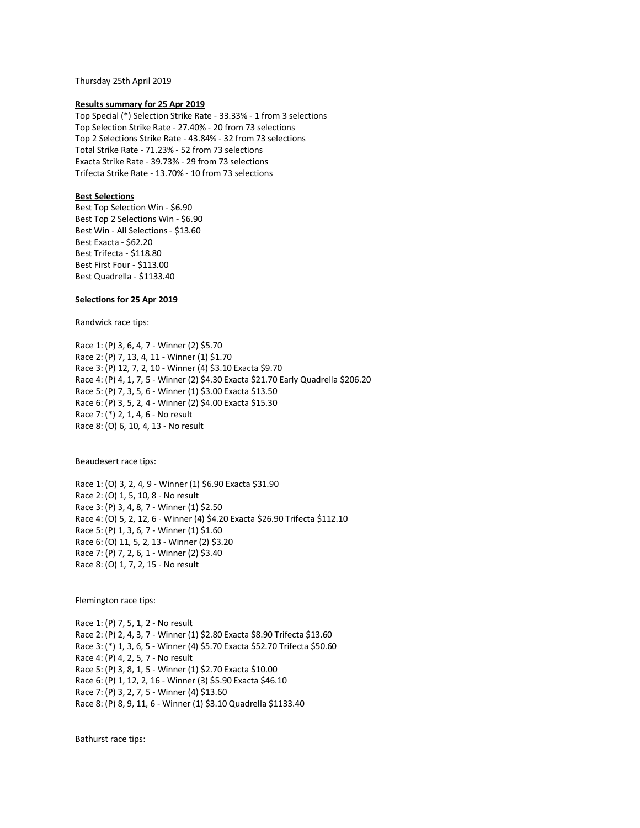Thursday 25th April 2019

### **Results summary for 25 Apr 2019**

Top Special (\*) Selection Strike Rate - 33.33% - 1 from 3 selections Top Selection Strike Rate - 27.40% - 20 from 73 selections Top 2 Selections Strike Rate - 43.84% - 32 from 73 selections Total Strike Rate - 71.23% - 52 from 73 selections Exacta Strike Rate - 39.73% - 29 from 73 selections Trifecta Strike Rate - 13.70% - 10 from 73 selections

## **Best Selections**

Best Top Selection Win - \$6.90 Best Top 2 Selections Win - \$6.90 Best Win - All Selections - \$13.60 Best Exacta - \$62.20 Best Trifecta - \$118.80 Best First Four - \$113.00 Best Quadrella - \$1133.40

# **Selections for 25 Apr 2019**

Randwick race tips:

Race 1: (P) 3, 6, 4, 7 - Winner (2) \$5.70 Race 2: (P) 7, 13, 4, 11 - Winner (1) \$1.70 Race 3: (P) 12, 7, 2, 10 - Winner (4) \$3.10 Exacta \$9.70 Race 4: (P) 4, 1, 7, 5 - Winner (2) \$4.30 Exacta \$21.70 Early Quadrella \$206.20 Race 5: (P) 7, 3, 5, 6 - Winner (1) \$3.00 Exacta \$13.50 Race 6: (P) 3, 5, 2, 4 - Winner (2) \$4.00 Exacta \$15.30 Race 7: (\*) 2, 1, 4, 6 - No result Race 8: (O) 6, 10, 4, 13 - No result

Beaudesert race tips:

Race 1: (O) 3, 2, 4, 9 - Winner (1) \$6.90 Exacta \$31.90 Race 2: (O) 1, 5, 10, 8 - No result Race 3: (P) 3, 4, 8, 7 - Winner (1) \$2.50 Race 4: (O) 5, 2, 12, 6 - Winner (4) \$4.20 Exacta \$26.90 Trifecta \$112.10 Race 5: (P) 1, 3, 6, 7 - Winner (1) \$1.60 Race 6: (O) 11, 5, 2, 13 - Winner (2) \$3.20 Race 7: (P) 7, 2, 6, 1 - Winner (2) \$3.40 Race 8: (O) 1, 7, 2, 15 - No result

Flemington race tips:

Race 1: (P) 7, 5, 1, 2 - No result Race 2: (P) 2, 4, 3, 7 - Winner (1) \$2.80 Exacta \$8.90 Trifecta \$13.60 Race 3: (\*) 1, 3, 6, 5 - Winner (4) \$5.70 Exacta \$52.70 Trifecta \$50.60 Race 4: (P) 4, 2, 5, 7 - No result Race 5: (P) 3, 8, 1, 5 - Winner (1) \$2.70 Exacta \$10.00 Race 6: (P) 1, 12, 2, 16 - Winner (3) \$5.90 Exacta \$46.10 Race 7: (P) 3, 2, 7, 5 - Winner (4) \$13.60 Race 8: (P) 8, 9, 11, 6 - Winner (1) \$3.10 Quadrella \$1133.40

Bathurst race tips: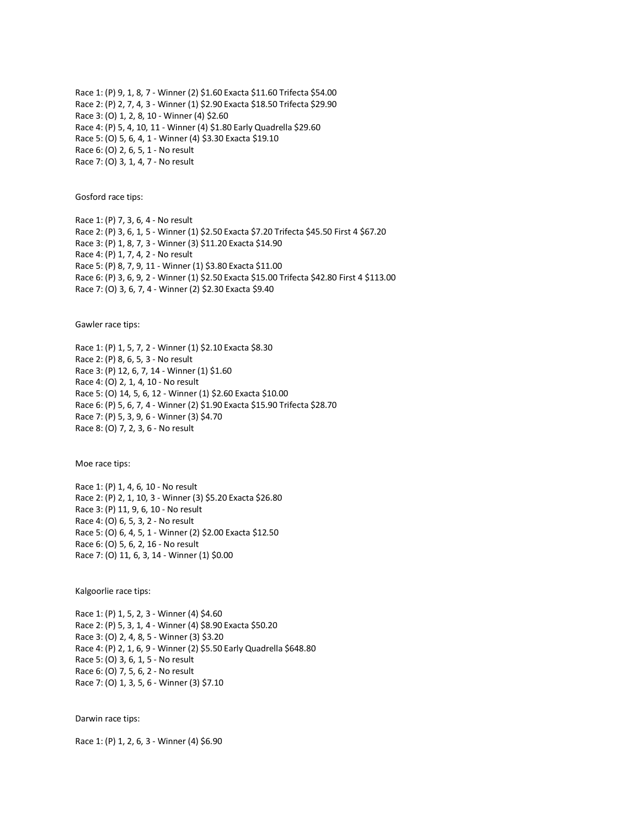Race 1: (P) 9, 1, 8, 7 - Winner (2) \$1.60 Exacta \$11.60 Trifecta \$54.00 Race 2: (P) 2, 7, 4, 3 - Winner (1) \$2.90 Exacta \$18.50 Trifecta \$29.90 Race 3: (O) 1, 2, 8, 10 - Winner (4) \$2.60 Race 4: (P) 5, 4, 10, 11 - Winner (4) \$1.80 Early Quadrella \$29.60 Race 5: (O) 5, 6, 4, 1 - Winner (4) \$3.30 Exacta \$19.10 Race 6: (O) 2, 6, 5, 1 - No result Race 7: (O) 3, 1, 4, 7 - No result

Gosford race tips:

Race 1: (P) 7, 3, 6, 4 - No result Race 2: (P) 3, 6, 1, 5 - Winner (1) \$2.50 Exacta \$7.20 Trifecta \$45.50 First 4 \$67.20 Race 3: (P) 1, 8, 7, 3 - Winner (3) \$11.20 Exacta \$14.90 Race 4: (P) 1, 7, 4, 2 - No result Race 5: (P) 8, 7, 9, 11 - Winner (1) \$3.80 Exacta \$11.00 Race 6: (P) 3, 6, 9, 2 - Winner (1) \$2.50 Exacta \$15.00 Trifecta \$42.80 First 4 \$113.00 Race 7: (O) 3, 6, 7, 4 - Winner (2) \$2.30 Exacta \$9.40

Gawler race tips:

Race 1: (P) 1, 5, 7, 2 - Winner (1) \$2.10 Exacta \$8.30 Race 2: (P) 8, 6, 5, 3 - No result Race 3: (P) 12, 6, 7, 14 - Winner (1) \$1.60 Race 4: (O) 2, 1, 4, 10 - No result Race 5: (O) 14, 5, 6, 12 - Winner (1) \$2.60 Exacta \$10.00 Race 6: (P) 5, 6, 7, 4 - Winner (2) \$1.90 Exacta \$15.90 Trifecta \$28.70 Race 7: (P) 5, 3, 9, 6 - Winner (3) \$4.70 Race 8: (O) 7, 2, 3, 6 - No result

Moe race tips:

Race 1: (P) 1, 4, 6, 10 - No result Race 2: (P) 2, 1, 10, 3 - Winner (3) \$5.20 Exacta \$26.80 Race 3: (P) 11, 9, 6, 10 - No result Race 4: (O) 6, 5, 3, 2 - No result Race 5: (O) 6, 4, 5, 1 - Winner (2) \$2.00 Exacta \$12.50 Race 6: (O) 5, 6, 2, 16 - No result Race 7: (O) 11, 6, 3, 14 - Winner (1) \$0.00

Kalgoorlie race tips:

Race 1: (P) 1, 5, 2, 3 - Winner (4) \$4.60 Race 2: (P) 5, 3, 1, 4 - Winner (4) \$8.90 Exacta \$50.20 Race 3: (O) 2, 4, 8, 5 - Winner (3) \$3.20 Race 4: (P) 2, 1, 6, 9 - Winner (2) \$5.50 Early Quadrella \$648.80 Race 5: (O) 3, 6, 1, 5 - No result Race 6: (O) 7, 5, 6, 2 - No result Race 7: (O) 1, 3, 5, 6 - Winner (3) \$7.10

Darwin race tips:

Race 1: (P) 1, 2, 6, 3 - Winner (4) \$6.90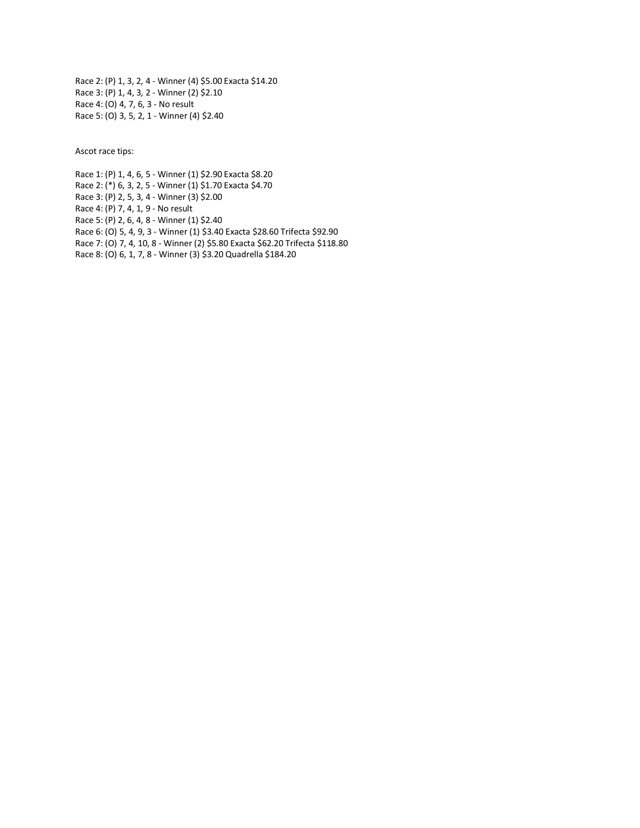Race 2: (P) 1, 3, 2, 4 - Winner (4) \$5.00 Exacta \$14.20 Race 3: (P) 1, 4, 3, 2 - Winner (2) \$2.10 Race 4: (O) 4, 7, 6, 3 - No result Race 5: (O) 3, 5, 2, 1 - Winner (4) \$2.40

Ascot race tips:

Race 1: (P) 1, 4, 6, 5 - Winner (1) \$2.90 Exacta \$8.20 Race 2: (\*) 6, 3, 2, 5 - Winner (1) \$1.70 Exacta \$4.70 Race 3: (P) 2, 5, 3, 4 - Winner (3) \$2.00 Race 4: (P) 7, 4, 1, 9 - No result Race 5: (P) 2, 6, 4, 8 - Winner (1) \$2.40 Race 6: (O) 5, 4, 9, 3 - Winner (1) \$3.40 Exacta \$28.60 Trifecta \$92.90 Race 7: (O) 7, 4, 10, 8 - Winner (2) \$5.80 Exacta \$62.20 Trifecta \$118.80 Race 8: (O) 6, 1, 7, 8 - Winner (3) \$3.20 Quadrella \$184.20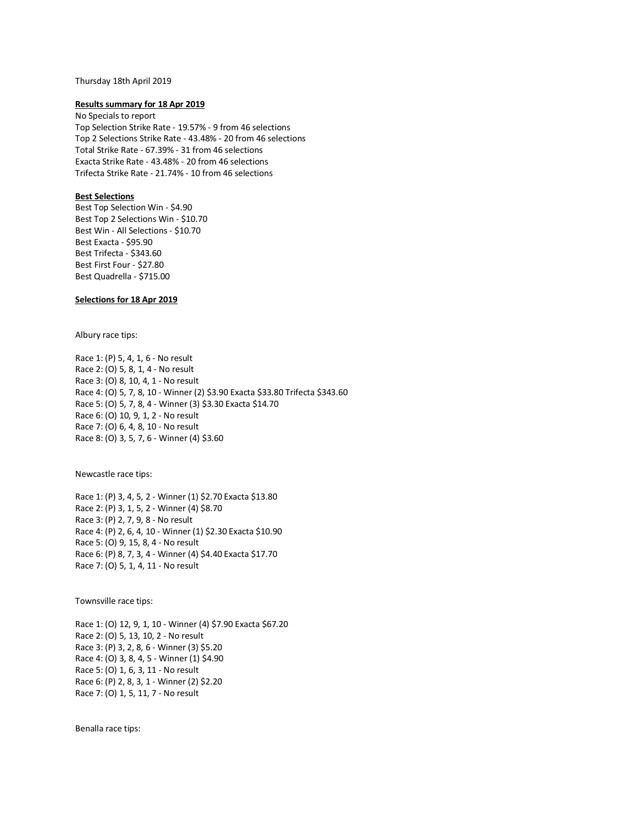#### Thursday 18th April 2019

#### **Results summary for 18 Apr 2019**

No Specials to report Top Selection Strike Rate - 19.57% - 9 from 46 selections Top 2 Selections Strike Rate - 43.48% - 20 from 46 selections Total Strike Rate - 67.39% - 31 from 46 selections Exacta Strike Rate - 43.48% - 20 from 46 selections Trifecta Strike Rate - 21.74% - 10 from 46 selections

## **Best Selections**

Best Top Selection Win - \$4.90 Best Top 2 Selections Win - \$10.70 Best Win - All Selections - \$10.70 Best Exacta - \$95.90 Best Trifecta - \$343.60 Best First Four - \$27.80 Best Quadrella - \$715.00

# **Selections for 18 Apr 2019**

Albury race tips:

Race 1: (P) 5, 4, 1, 6 - No result Race 2: (O) 5, 8, 1, 4 - No result Race 3: (O) 8, 10, 4, 1 - No result Race 4: (O) 5, 7, 8, 10 - Winner (2) \$3.90 Exacta \$33.80 Trifecta \$343.60 Race 5: (O) 5, 7, 8, 4 - Winner (3) \$3.30 Exacta \$14.70 Race 6: (O) 10, 9, 1, 2 - No result Race 7: (O) 6, 4, 8, 10 - No result Race 8: (O) 3, 5, 7, 6 - Winner (4) \$3.60

Newcastle race tips:

Race 1: (P) 3, 4, 5, 2 - Winner (1) \$2.70 Exacta \$13.80 Race 2: (P) 3, 1, 5, 2 - Winner (4) \$8.70 Race 3: (P) 2, 7, 9, 8 - No result Race 4: (P) 2, 6, 4, 10 - Winner (1) \$2.30 Exacta \$10.90 Race 5: (O) 9, 15, 8, 4 - No result Race 6: (P) 8, 7, 3, 4 - Winner (4) \$4.40 Exacta \$17.70 Race 7: (O) 5, 1, 4, 11 - No result

Townsville race tips:

Race 1: (O) 12, 9, 1, 10 - Winner (4) \$7.90 Exacta \$67.20 Race 2: (O) 5, 13, 10, 2 - No result Race 3: (P) 3, 2, 8, 6 - Winner (3) \$5.20 Race 4: (O) 3, 8, 4, 5 - Winner (1) \$4.90 Race 5: (O) 1, 6, 3, 11 - No result Race 6: (P) 2, 8, 3, 1 - Winner (2) \$2.20 Race 7: (O) 1, 5, 11, 7 - No result

Benalla race tips: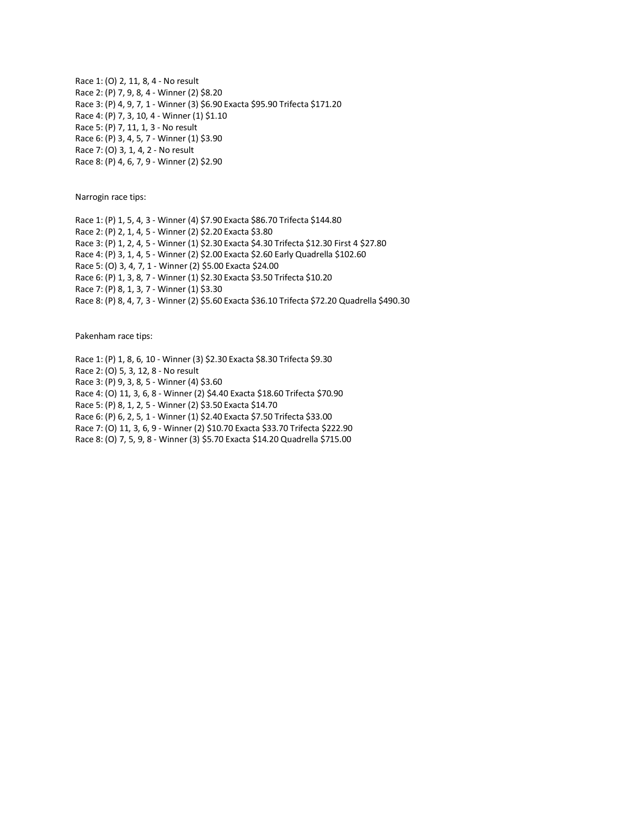Race 1: (O) 2, 11, 8, 4 - No result Race 2: (P) 7, 9, 8, 4 - Winner (2) \$8.20 Race 3: (P) 4, 9, 7, 1 - Winner (3) \$6.90 Exacta \$95.90 Trifecta \$171.20 Race 4: (P) 7, 3, 10, 4 - Winner (1) \$1.10 Race 5: (P) 7, 11, 1, 3 - No result Race 6: (P) 3, 4, 5, 7 - Winner (1) \$3.90 Race 7: (O) 3, 1, 4, 2 - No result Race 8: (P) 4, 6, 7, 9 - Winner (2) \$2.90

Narrogin race tips:

Race 1: (P) 1, 5, 4, 3 - Winner (4) \$7.90 Exacta \$86.70 Trifecta \$144.80 Race 2: (P) 2, 1, 4, 5 - Winner (2) \$2.20 Exacta \$3.80 Race 3: (P) 1, 2, 4, 5 - Winner (1) \$2.30 Exacta \$4.30 Trifecta \$12.30 First 4 \$27.80 Race 4: (P) 3, 1, 4, 5 - Winner (2) \$2.00 Exacta \$2.60 Early Quadrella \$102.60 Race 5: (O) 3, 4, 7, 1 - Winner (2) \$5.00 Exacta \$24.00 Race 6: (P) 1, 3, 8, 7 - Winner (1) \$2.30 Exacta \$3.50 Trifecta \$10.20 Race 7: (P) 8, 1, 3, 7 - Winner (1) \$3.30 Race 8: (P) 8, 4, 7, 3 - Winner (2) \$5.60 Exacta \$36.10 Trifecta \$72.20 Quadrella \$490.30

Pakenham race tips:

Race 1: (P) 1, 8, 6, 10 - Winner (3) \$2.30 Exacta \$8.30 Trifecta \$9.30 Race 2: (O) 5, 3, 12, 8 - No result Race 3: (P) 9, 3, 8, 5 - Winner (4) \$3.60 Race 4: (O) 11, 3, 6, 8 - Winner (2) \$4.40 Exacta \$18.60 Trifecta \$70.90 Race 5: (P) 8, 1, 2, 5 - Winner (2) \$3.50 Exacta \$14.70 Race 6: (P) 6, 2, 5, 1 - Winner (1) \$2.40 Exacta \$7.50 Trifecta \$33.00 Race 7: (O) 11, 3, 6, 9 - Winner (2) \$10.70 Exacta \$33.70 Trifecta \$222.90 Race 8: (O) 7, 5, 9, 8 - Winner (3) \$5.70 Exacta \$14.20 Quadrella \$715.00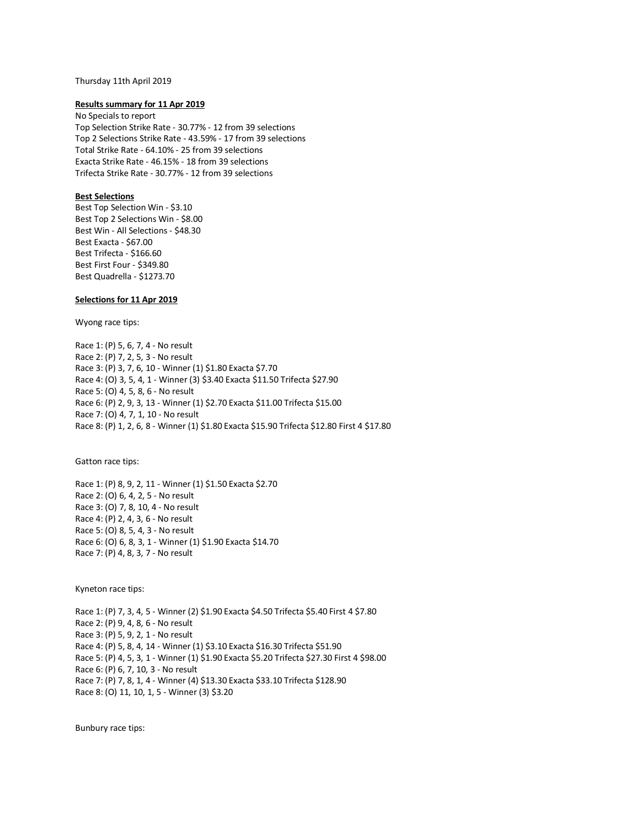# Thursday 11th April 2019

### **Results summary for 11 Apr 2019**

No Specials to report Top Selection Strike Rate - 30.77% - 12 from 39 selections Top 2 Selections Strike Rate - 43.59% - 17 from 39 selections Total Strike Rate - 64.10% - 25 from 39 selections Exacta Strike Rate - 46.15% - 18 from 39 selections Trifecta Strike Rate - 30.77% - 12 from 39 selections

## **Best Selections**

Best Top Selection Win - \$3.10 Best Top 2 Selections Win - \$8.00 Best Win - All Selections - \$48.30 Best Exacta - \$67.00 Best Trifecta - \$166.60 Best First Four - \$349.80 Best Quadrella - \$1273.70

## **Selections for 11 Apr 2019**

Wyong race tips:

Race 1: (P) 5, 6, 7, 4 - No result Race 2: (P) 7, 2, 5, 3 - No result Race 3: (P) 3, 7, 6, 10 - Winner (1) \$1.80 Exacta \$7.70 Race 4: (O) 3, 5, 4, 1 - Winner (3) \$3.40 Exacta \$11.50 Trifecta \$27.90 Race 5: (O) 4, 5, 8, 6 - No result Race 6: (P) 2, 9, 3, 13 - Winner (1) \$2.70 Exacta \$11.00 Trifecta \$15.00 Race 7: (O) 4, 7, 1, 10 - No result Race 8: (P) 1, 2, 6, 8 - Winner (1) \$1.80 Exacta \$15.90 Trifecta \$12.80 First 4 \$17.80

Gatton race tips:

Race 1: (P) 8, 9, 2, 11 - Winner (1) \$1.50 Exacta \$2.70 Race 2: (O) 6, 4, 2, 5 - No result Race 3: (O) 7, 8, 10, 4 - No result Race 4: (P) 2, 4, 3, 6 - No result Race 5: (O) 8, 5, 4, 3 - No result Race 6: (O) 6, 8, 3, 1 - Winner (1) \$1.90 Exacta \$14.70 Race 7: (P) 4, 8, 3, 7 - No result

Kyneton race tips:

Race 1: (P) 7, 3, 4, 5 - Winner (2) \$1.90 Exacta \$4.50 Trifecta \$5.40 First 4 \$7.80 Race 2: (P) 9, 4, 8, 6 - No result Race 3: (P) 5, 9, 2, 1 - No result Race 4: (P) 5, 8, 4, 14 - Winner (1) \$3.10 Exacta \$16.30 Trifecta \$51.90 Race 5: (P) 4, 5, 3, 1 - Winner (1) \$1.90 Exacta \$5.20 Trifecta \$27.30 First 4 \$98.00 Race 6: (P) 6, 7, 10, 3 - No result Race 7: (P) 7, 8, 1, 4 - Winner (4) \$13.30 Exacta \$33.10 Trifecta \$128.90 Race 8: (O) 11, 10, 1, 5 - Winner (3) \$3.20

Bunbury race tips: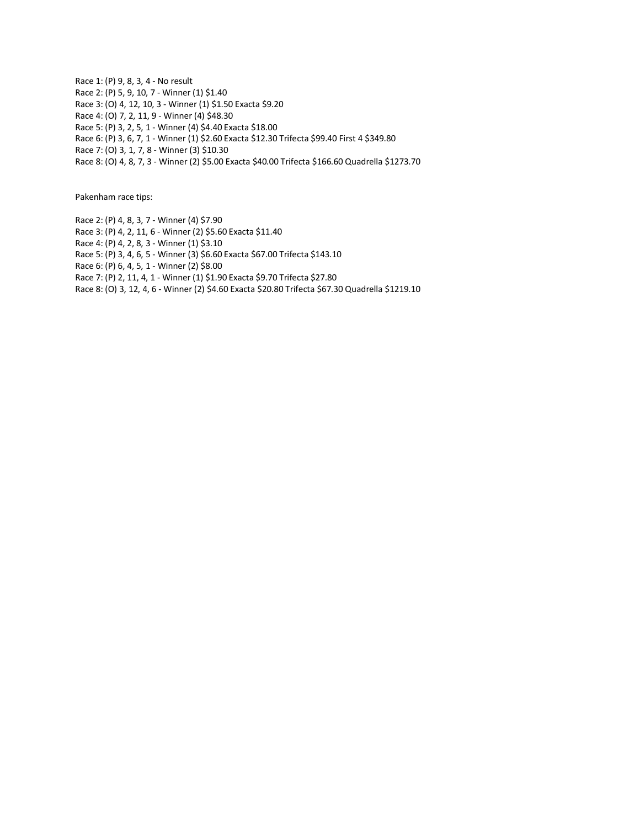Race 1: (P) 9, 8, 3, 4 - No result Race 2: (P) 5, 9, 10, 7 - Winner (1) \$1.40 Race 3: (O) 4, 12, 10, 3 - Winner (1) \$1.50 Exacta \$9.20 Race 4: (O) 7, 2, 11, 9 - Winner (4) \$48.30 Race 5: (P) 3, 2, 5, 1 - Winner (4) \$4.40 Exacta \$18.00 Race 6: (P) 3, 6, 7, 1 - Winner (1) \$2.60 Exacta \$12.30 Trifecta \$99.40 First 4 \$349.80 Race 7: (O) 3, 1, 7, 8 - Winner (3) \$10.30

Race 8: (O) 4, 8, 7, 3 - Winner (2) \$5.00 Exacta \$40.00 Trifecta \$166.60 Quadrella \$1273.70

Pakenham race tips:

Race 2: (P) 4, 8, 3, 7 - Winner (4) \$7.90 Race 3: (P) 4, 2, 11, 6 - Winner (2) \$5.60 Exacta \$11.40 Race 4: (P) 4, 2, 8, 3 - Winner (1) \$3.10 Race 5: (P) 3, 4, 6, 5 - Winner (3) \$6.60 Exacta \$67.00 Trifecta \$143.10 Race 6: (P) 6, 4, 5, 1 - Winner (2) \$8.00 Race 7: (P) 2, 11, 4, 1 - Winner (1) \$1.90 Exacta \$9.70 Trifecta \$27.80 Race 8: (O) 3, 12, 4, 6 - Winner (2) \$4.60 Exacta \$20.80 Trifecta \$67.30 Quadrella \$1219.10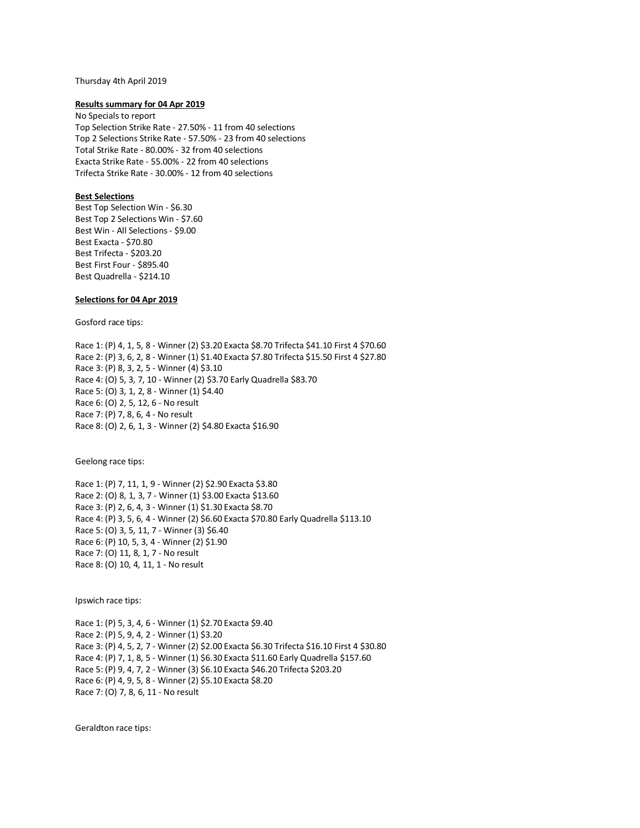#### Thursday 4th April 2019

### **Results summary for 04 Apr 2019**

No Specials to report Top Selection Strike Rate - 27.50% - 11 from 40 selections Top 2 Selections Strike Rate - 57.50% - 23 from 40 selections Total Strike Rate - 80.00% - 32 from 40 selections Exacta Strike Rate - 55.00% - 22 from 40 selections Trifecta Strike Rate - 30.00% - 12 from 40 selections

## **Best Selections**

Best Top Selection Win - \$6.30 Best Top 2 Selections Win - \$7.60 Best Win - All Selections - \$9.00 Best Exacta - \$70.80 Best Trifecta - \$203.20 Best First Four - \$895.40 Best Quadrella - \$214.10

### **Selections for 04 Apr 2019**

Gosford race tips:

Race 1: (P) 4, 1, 5, 8 - Winner (2) \$3.20 Exacta \$8.70 Trifecta \$41.10 First 4 \$70.60 Race 2: (P) 3, 6, 2, 8 - Winner (1) \$1.40 Exacta \$7.80 Trifecta \$15.50 First 4 \$27.80 Race 3: (P) 8, 3, 2, 5 - Winner (4) \$3.10 Race 4: (O) 5, 3, 7, 10 - Winner (2) \$3.70 Early Quadrella \$83.70 Race 5: (O) 3, 1, 2, 8 - Winner (1) \$4.40 Race 6: (O) 2, 5, 12, 6 - No result Race 7: (P) 7, 8, 6, 4 - No result Race 8: (O) 2, 6, 1, 3 - Winner (2) \$4.80 Exacta \$16.90

Geelong race tips:

Race 1: (P) 7, 11, 1, 9 - Winner (2) \$2.90 Exacta \$3.80 Race 2: (O) 8, 1, 3, 7 - Winner (1) \$3.00 Exacta \$13.60 Race 3: (P) 2, 6, 4, 3 - Winner (1) \$1.30 Exacta \$8.70 Race 4: (P) 3, 5, 6, 4 - Winner (2) \$6.60 Exacta \$70.80 Early Quadrella \$113.10 Race 5: (O) 3, 5, 11, 7 - Winner (3) \$6.40 Race 6: (P) 10, 5, 3, 4 - Winner (2) \$1.90 Race 7: (O) 11, 8, 1, 7 - No result Race 8: (O) 10, 4, 11, 1 - No result

Ipswich race tips:

Race 1: (P) 5, 3, 4, 6 - Winner (1) \$2.70 Exacta \$9.40 Race 2: (P) 5, 9, 4, 2 - Winner (1) \$3.20 Race 3: (P) 4, 5, 2, 7 - Winner (2) \$2.00 Exacta \$6.30 Trifecta \$16.10 First 4 \$30.80 Race 4: (P) 7, 1, 8, 5 - Winner (1) \$6.30 Exacta \$11.60 Early Quadrella \$157.60 Race 5: (P) 9, 4, 7, 2 - Winner (3) \$6.10 Exacta \$46.20 Trifecta \$203.20 Race 6: (P) 4, 9, 5, 8 - Winner (2) \$5.10 Exacta \$8.20 Race 7: (O) 7, 8, 6, 11 - No result

Geraldton race tips: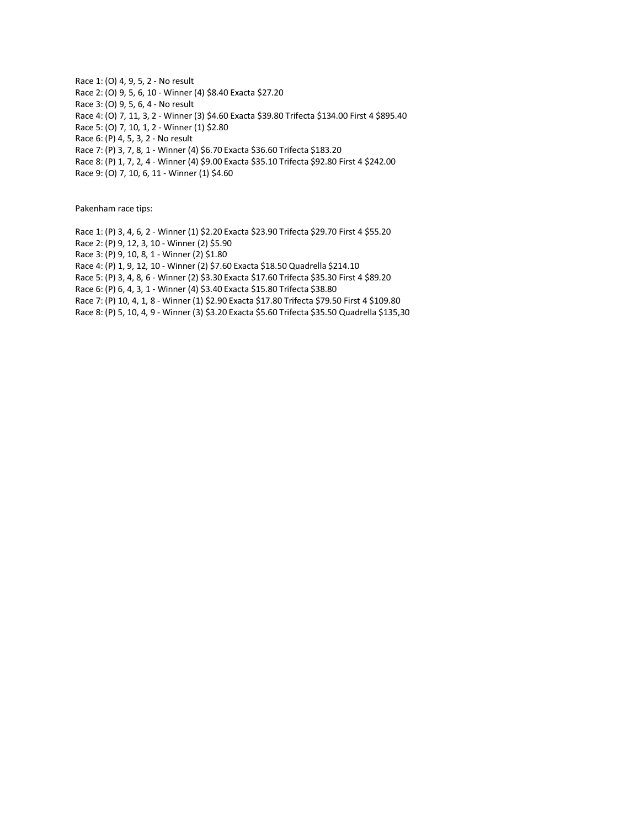Race 1: (O) 4, 9, 5, 2 - No result Race 2: (O) 9, 5, 6, 10 - Winner (4) \$8.40 Exacta \$27.20 Race 3: (O) 9, 5, 6, 4 - No result Race 4: (O) 7, 11, 3, 2 - Winner (3) \$4.60 Exacta \$39.80 Trifecta \$134.00 First 4 \$895.40 Race 5: (O) 7, 10, 1, 2 - Winner (1) \$2.80 Race 6: (P) 4, 5, 3, 2 - No result Race 7: (P) 3, 7, 8, 1 - Winner (4) \$6.70 Exacta \$36.60 Trifecta \$183.20 Race 8: (P) 1, 7, 2, 4 - Winner (4) \$9.00 Exacta \$35.10 Trifecta \$92.80 First 4 \$242.00

Race 9: (O) 7, 10, 6, 11 - Winner (1) \$4.60

Pakenham race tips:

Race 1: (P) 3, 4, 6, 2 - Winner (1) \$2.20 Exacta \$23.90 Trifecta \$29.70 First 4 \$55.20 Race 2: (P) 9, 12, 3, 10 - Winner (2) \$5.90 Race 3: (P) 9, 10, 8, 1 - Winner (2) \$1.80 Race 4: (P) 1, 9, 12, 10 - Winner (2) \$7.60 Exacta \$18.50 Quadrella \$214.10 Race 5: (P) 3, 4, 8, 6 - Winner (2) \$3.30 Exacta \$17.60 Trifecta \$35.30 First 4 \$89.20 Race 6: (P) 6, 4, 3, 1 - Winner (4) \$3.40 Exacta \$15.80 Trifecta \$38.80 Race 7: (P) 10, 4, 1, 8 - Winner (1) \$2.90 Exacta \$17.80 Trifecta \$79.50 First 4 \$109.80 Race 8: (P) 5, 10, 4, 9 - Winner (3) \$3.20 Exacta \$5.60 Trifecta \$35.50 Quadrella \$135,30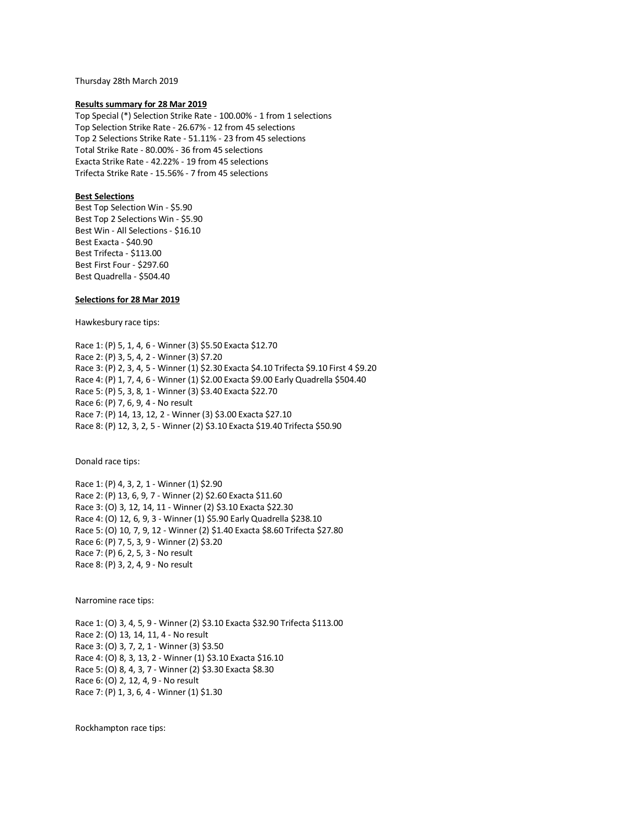Thursday 28th March 2019

### **Results summary for 28 Mar 2019**

Top Special (\*) Selection Strike Rate - 100.00% - 1 from 1 selections Top Selection Strike Rate - 26.67% - 12 from 45 selections Top 2 Selections Strike Rate - 51.11% - 23 from 45 selections Total Strike Rate - 80.00% - 36 from 45 selections Exacta Strike Rate - 42.22% - 19 from 45 selections Trifecta Strike Rate - 15.56% - 7 from 45 selections

# **Best Selections**

Best Top Selection Win - \$5.90 Best Top 2 Selections Win - \$5.90 Best Win - All Selections - \$16.10 Best Exacta - \$40.90 Best Trifecta - \$113.00 Best First Four - \$297.60 Best Quadrella - \$504.40

## **Selections for 28 Mar 2019**

Hawkesbury race tips:

Race 1: (P) 5, 1, 4, 6 - Winner (3) \$5.50 Exacta \$12.70 Race 2: (P) 3, 5, 4, 2 - Winner (3) \$7.20 Race 3: (P) 2, 3, 4, 5 - Winner (1) \$2.30 Exacta \$4.10 Trifecta \$9.10 First 4 \$9.20 Race 4: (P) 1, 7, 4, 6 - Winner (1) \$2.00 Exacta \$9.00 Early Quadrella \$504.40 Race 5: (P) 5, 3, 8, 1 - Winner (3) \$3.40 Exacta \$22.70 Race 6: (P) 7, 6, 9, 4 - No result Race 7: (P) 14, 13, 12, 2 - Winner (3) \$3.00 Exacta \$27.10 Race 8: (P) 12, 3, 2, 5 - Winner (2) \$3.10 Exacta \$19.40 Trifecta \$50.90

Donald race tips:

Race 1: (P) 4, 3, 2, 1 - Winner (1) \$2.90 Race 2: (P) 13, 6, 9, 7 - Winner (2) \$2.60 Exacta \$11.60 Race 3: (O) 3, 12, 14, 11 - Winner (2) \$3.10 Exacta \$22.30 Race 4: (O) 12, 6, 9, 3 - Winner (1) \$5.90 Early Quadrella \$238.10 Race 5: (O) 10, 7, 9, 12 - Winner (2) \$1.40 Exacta \$8.60 Trifecta \$27.80 Race 6: (P) 7, 5, 3, 9 - Winner (2) \$3.20 Race 7: (P) 6, 2, 5, 3 - No result Race 8: (P) 3, 2, 4, 9 - No result

Narromine race tips:

Race 1: (O) 3, 4, 5, 9 - Winner (2) \$3.10 Exacta \$32.90 Trifecta \$113.00 Race 2: (O) 13, 14, 11, 4 - No result Race 3: (O) 3, 7, 2, 1 - Winner (3) \$3.50 Race 4: (O) 8, 3, 13, 2 - Winner (1) \$3.10 Exacta \$16.10 Race 5: (O) 8, 4, 3, 7 - Winner (2) \$3.30 Exacta \$8.30 Race 6: (O) 2, 12, 4, 9 - No result Race 7: (P) 1, 3, 6, 4 - Winner (1) \$1.30

Rockhampton race tips: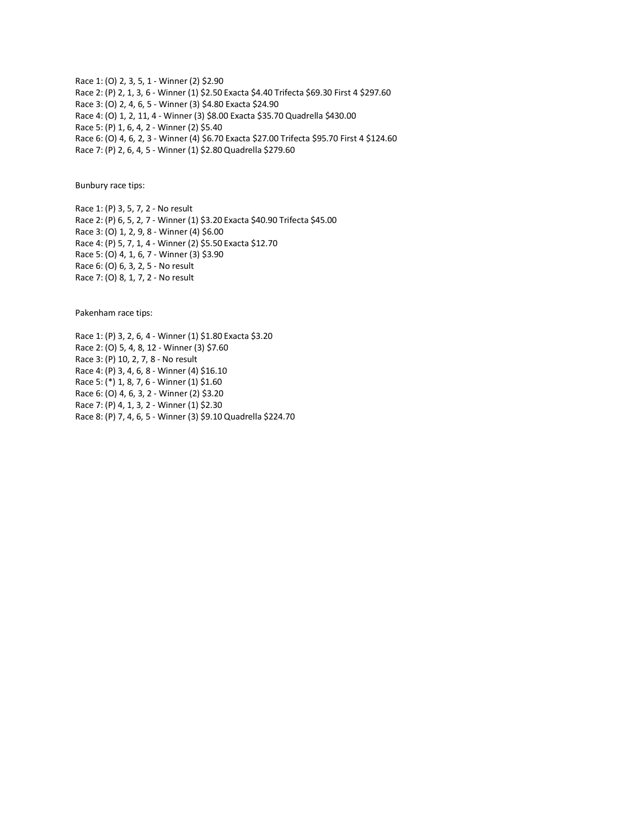Race 1: (O) 2, 3, 5, 1 - Winner (2) \$2.90 Race 2: (P) 2, 1, 3, 6 - Winner (1) \$2.50 Exacta \$4.40 Trifecta \$69.30 First 4 \$297.60 Race 3: (O) 2, 4, 6, 5 - Winner (3) \$4.80 Exacta \$24.90 Race 4: (O) 1, 2, 11, 4 - Winner (3) \$8.00 Exacta \$35.70 Quadrella \$430.00 Race 5: (P) 1, 6, 4, 2 - Winner (2) \$5.40 Race 6: (O) 4, 6, 2, 3 - Winner (4) \$6.70 Exacta \$27.00 Trifecta \$95.70 First 4 \$124.60 Race 7: (P) 2, 6, 4, 5 - Winner (1) \$2.80 Quadrella \$279.60

Bunbury race tips:

Race 1: (P) 3, 5, 7, 2 - No result Race 2: (P) 6, 5, 2, 7 - Winner (1) \$3.20 Exacta \$40.90 Trifecta \$45.00 Race 3: (O) 1, 2, 9, 8 - Winner (4) \$6.00 Race 4: (P) 5, 7, 1, 4 - Winner (2) \$5.50 Exacta \$12.70 Race 5: (O) 4, 1, 6, 7 - Winner (3) \$3.90 Race 6: (O) 6, 3, 2, 5 - No result Race 7: (O) 8, 1, 7, 2 - No result

Pakenham race tips:

Race 1: (P) 3, 2, 6, 4 - Winner (1) \$1.80 Exacta \$3.20 Race 2: (O) 5, 4, 8, 12 - Winner (3) \$7.60 Race 3: (P) 10, 2, 7, 8 - No result Race 4: (P) 3, 4, 6, 8 - Winner (4) \$16.10 Race 5: (\*) 1, 8, 7, 6 - Winner (1) \$1.60 Race 6: (O) 4, 6, 3, 2 - Winner (2) \$3.20 Race 7: (P) 4, 1, 3, 2 - Winner (1) \$2.30 Race 8: (P) 7, 4, 6, 5 - Winner (3) \$9.10 Quadrella \$224.70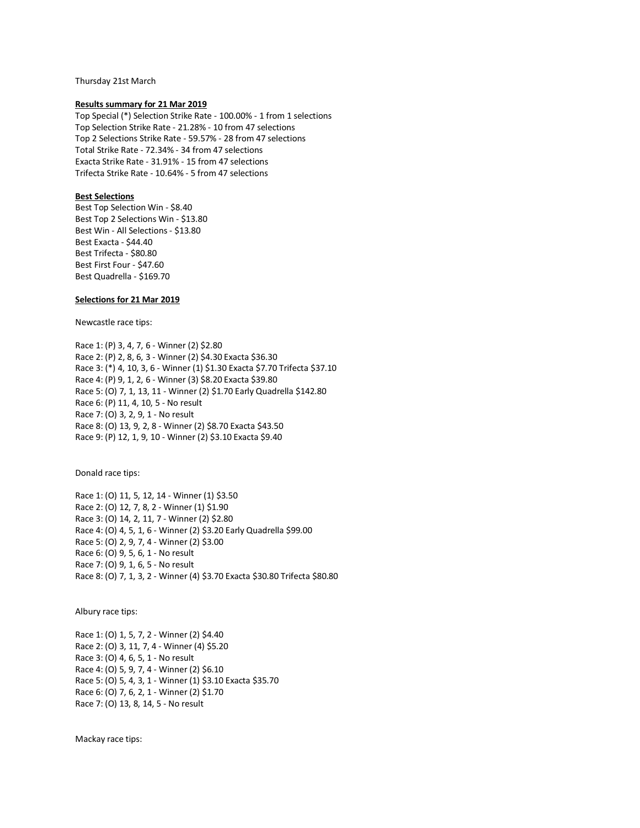Thursday 21st March

### **Results summary for 21 Mar 2019**

Top Special (\*) Selection Strike Rate - 100.00% - 1 from 1 selections Top Selection Strike Rate - 21.28% - 10 from 47 selections Top 2 Selections Strike Rate - 59.57% - 28 from 47 selections Total Strike Rate - 72.34% - 34 from 47 selections Exacta Strike Rate - 31.91% - 15 from 47 selections Trifecta Strike Rate - 10.64% - 5 from 47 selections

# **Best Selections**

Best Top Selection Win - \$8.40 Best Top 2 Selections Win - \$13.80 Best Win - All Selections - \$13.80 Best Exacta - \$44.40 Best Trifecta - \$80.80 Best First Four - \$47.60 Best Quadrella - \$169.70

# **Selections for 21 Mar 2019**

Newcastle race tips:

Race 1: (P) 3, 4, 7, 6 - Winner (2) \$2.80 Race 2: (P) 2, 8, 6, 3 - Winner (2) \$4.30 Exacta \$36.30 Race 3: (\*) 4, 10, 3, 6 - Winner (1) \$1.30 Exacta \$7.70 Trifecta \$37.10 Race 4: (P) 9, 1, 2, 6 - Winner (3) \$8.20 Exacta \$39.80 Race 5: (O) 7, 1, 13, 11 - Winner (2) \$1.70 Early Quadrella \$142.80 Race 6: (P) 11, 4, 10, 5 - No result Race 7: (O) 3, 2, 9, 1 - No result Race 8: (O) 13, 9, 2, 8 - Winner (2) \$8.70 Exacta \$43.50 Race 9: (P) 12, 1, 9, 10 - Winner (2) \$3.10 Exacta \$9.40

Donald race tips:

Race 1: (O) 11, 5, 12, 14 - Winner (1) \$3.50 Race 2: (O) 12, 7, 8, 2 - Winner (1) \$1.90 Race 3: (O) 14, 2, 11, 7 - Winner (2) \$2.80 Race 4: (O) 4, 5, 1, 6 - Winner (2) \$3.20 Early Quadrella \$99.00 Race 5: (O) 2, 9, 7, 4 - Winner (2) \$3.00 Race 6: (O) 9, 5, 6, 1 - No result Race 7: (O) 9, 1, 6, 5 - No result Race 8: (O) 7, 1, 3, 2 - Winner (4) \$3.70 Exacta \$30.80 Trifecta \$80.80

Albury race tips:

Race 1: (O) 1, 5, 7, 2 - Winner (2) \$4.40 Race 2: (O) 3, 11, 7, 4 - Winner (4) \$5.20 Race 3: (O) 4, 6, 5, 1 - No result Race 4: (O) 5, 9, 7, 4 - Winner (2) \$6.10 Race 5: (O) 5, 4, 3, 1 - Winner (1) \$3.10 Exacta \$35.70 Race 6: (O) 7, 6, 2, 1 - Winner (2) \$1.70 Race 7: (O) 13, 8, 14, 5 - No result

Mackay race tips: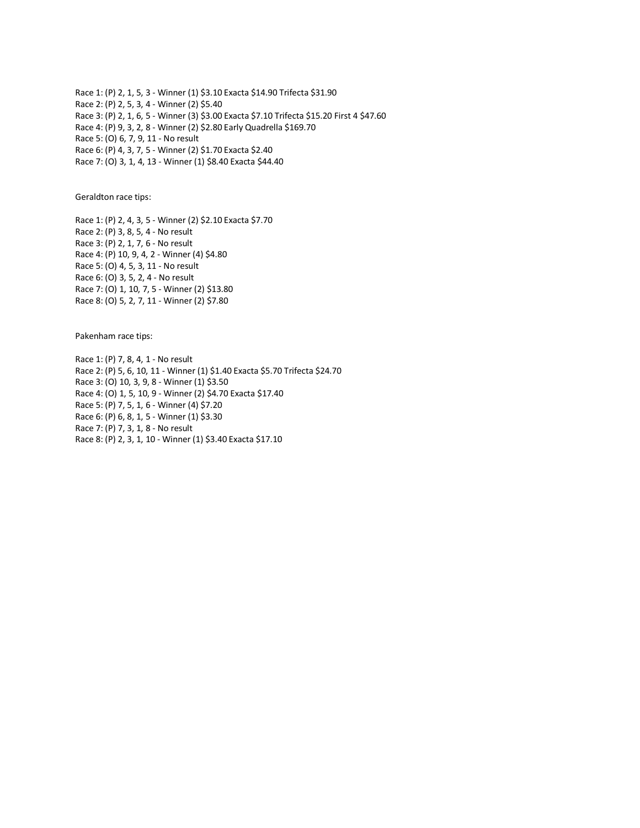Race 1: (P) 2, 1, 5, 3 - Winner (1) \$3.10 Exacta \$14.90 Trifecta \$31.90 Race 2: (P) 2, 5, 3, 4 - Winner (2) \$5.40 Race 3: (P) 2, 1, 6, 5 - Winner (3) \$3.00 Exacta \$7.10 Trifecta \$15.20 First 4 \$47.60 Race 4: (P) 9, 3, 2, 8 - Winner (2) \$2.80 Early Quadrella \$169.70 Race 5: (O) 6, 7, 9, 11 - No result Race 6: (P) 4, 3, 7, 5 - Winner (2) \$1.70 Exacta \$2.40 Race 7: (O) 3, 1, 4, 13 - Winner (1) \$8.40 Exacta \$44.40

Geraldton race tips:

Race 1: (P) 2, 4, 3, 5 - Winner (2) \$2.10 Exacta \$7.70 Race 2: (P) 3, 8, 5, 4 - No result Race 3: (P) 2, 1, 7, 6 - No result Race 4: (P) 10, 9, 4, 2 - Winner (4) \$4.80 Race 5: (O) 4, 5, 3, 11 - No result Race 6: (O) 3, 5, 2, 4 - No result Race 7: (O) 1, 10, 7, 5 - Winner (2) \$13.80 Race 8: (O) 5, 2, 7, 11 - Winner (2) \$7.80

Pakenham race tips:

Race 1: (P) 7, 8, 4, 1 - No result Race 2: (P) 5, 6, 10, 11 - Winner (1) \$1.40 Exacta \$5.70 Trifecta \$24.70 Race 3: (O) 10, 3, 9, 8 - Winner (1) \$3.50 Race 4: (O) 1, 5, 10, 9 - Winner (2) \$4.70 Exacta \$17.40 Race 5: (P) 7, 5, 1, 6 - Winner (4) \$7.20 Race 6: (P) 6, 8, 1, 5 - Winner (1) \$3.30 Race 7: (P) 7, 3, 1, 8 - No result Race 8: (P) 2, 3, 1, 10 - Winner (1) \$3.40 Exacta \$17.10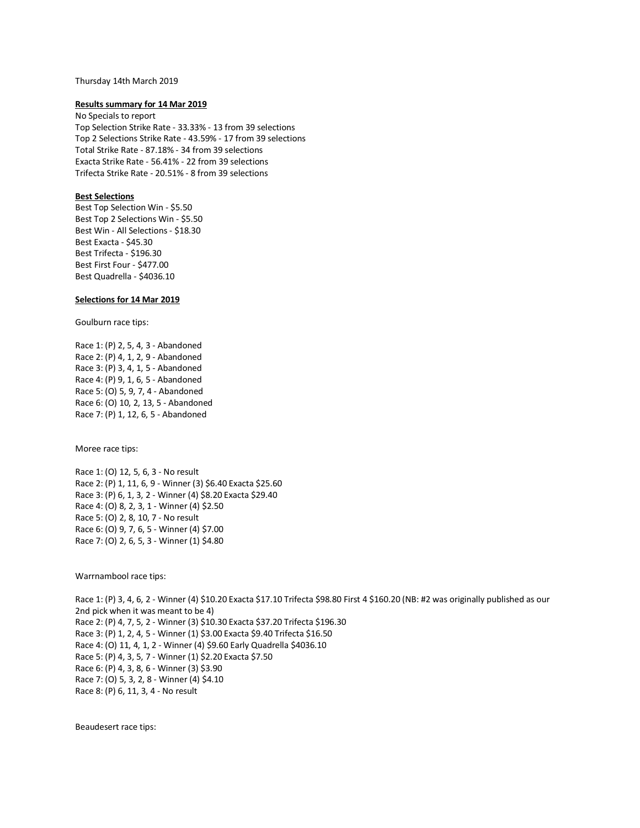#### Thursday 14th March 2019

### **Results summary for 14 Mar 2019**

No Specials to report Top Selection Strike Rate - 33.33% - 13 from 39 selections Top 2 Selections Strike Rate - 43.59% - 17 from 39 selections Total Strike Rate - 87.18% - 34 from 39 selections Exacta Strike Rate - 56.41% - 22 from 39 selections Trifecta Strike Rate - 20.51% - 8 from 39 selections

# **Best Selections**

Best Top Selection Win - \$5.50 Best Top 2 Selections Win - \$5.50 Best Win - All Selections - \$18.30 Best Exacta - \$45.30 Best Trifecta - \$196.30 Best First Four - \$477.00 Best Quadrella - \$4036.10

## **Selections for 14 Mar 2019**

Goulburn race tips:

Race 1: (P) 2, 5, 4, 3 - Abandoned Race 2: (P) 4, 1, 2, 9 - Abandoned Race 3: (P) 3, 4, 1, 5 - Abandoned Race 4: (P) 9, 1, 6, 5 - Abandoned Race 5: (O) 5, 9, 7, 4 - Abandoned Race 6: (O) 10, 2, 13, 5 - Abandoned Race 7: (P) 1, 12, 6, 5 - Abandoned

Moree race tips:

Race 1: (O) 12, 5, 6, 3 - No result Race 2: (P) 1, 11, 6, 9 - Winner (3) \$6.40 Exacta \$25.60 Race 3: (P) 6, 1, 3, 2 - Winner (4) \$8.20 Exacta \$29.40 Race 4: (O) 8, 2, 3, 1 - Winner (4) \$2.50 Race 5: (O) 2, 8, 10, 7 - No result Race 6: (O) 9, 7, 6, 5 - Winner (4) \$7.00 Race 7: (O) 2, 6, 5, 3 - Winner (1) \$4.80

Warrnambool race tips:

Race 1: (P) 3, 4, 6, 2 - Winner (4) \$10.20 Exacta \$17.10 Trifecta \$98.80 First 4 \$160.20 (NB: #2 was originally published as our 2nd pick when it was meant to be 4) Race 2: (P) 4, 7, 5, 2 - Winner (3) \$10.30 Exacta \$37.20 Trifecta \$196.30 Race 3: (P) 1, 2, 4, 5 - Winner (1) \$3.00 Exacta \$9.40 Trifecta \$16.50 Race 4: (O) 11, 4, 1, 2 - Winner (4) \$9.60 Early Quadrella \$4036.10 Race 5: (P) 4, 3, 5, 7 - Winner (1) \$2.20 Exacta \$7.50 Race 6: (P) 4, 3, 8, 6 - Winner (3) \$3.90 Race 7: (O) 5, 3, 2, 8 - Winner (4) \$4.10 Race 8: (P) 6, 11, 3, 4 - No result

Beaudesert race tips: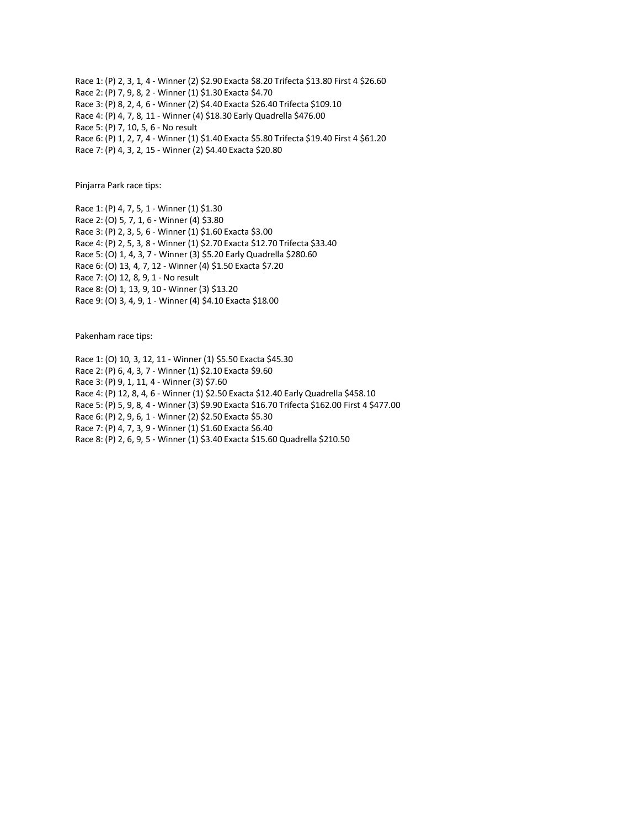Race 1: (P) 2, 3, 1, 4 - Winner (2) \$2.90 Exacta \$8.20 Trifecta \$13.80 First 4 \$26.60 Race 2: (P) 7, 9, 8, 2 - Winner (1) \$1.30 Exacta \$4.70 Race 3: (P) 8, 2, 4, 6 - Winner (2) \$4.40 Exacta \$26.40 Trifecta \$109.10 Race 4: (P) 4, 7, 8, 11 - Winner (4) \$18.30 Early Quadrella \$476.00 Race 5: (P) 7, 10, 5, 6 - No result Race 6: (P) 1, 2, 7, 4 - Winner (1) \$1.40 Exacta \$5.80 Trifecta \$19.40 First 4 \$61.20 Race 7: (P) 4, 3, 2, 15 - Winner (2) \$4.40 Exacta \$20.80

Pinjarra Park race tips:

Race 1: (P) 4, 7, 5, 1 - Winner (1) \$1.30 Race 2: (O) 5, 7, 1, 6 - Winner (4) \$3.80 Race 3: (P) 2, 3, 5, 6 - Winner (1) \$1.60 Exacta \$3.00 Race 4: (P) 2, 5, 3, 8 - Winner (1) \$2.70 Exacta \$12.70 Trifecta \$33.40 Race 5: (O) 1, 4, 3, 7 - Winner (3) \$5.20 Early Quadrella \$280.60 Race 6: (O) 13, 4, 7, 12 - Winner (4) \$1.50 Exacta \$7.20 Race 7: (O) 12, 8, 9, 1 - No result Race 8: (O) 1, 13, 9, 10 - Winner (3) \$13.20 Race 9: (O) 3, 4, 9, 1 - Winner (4) \$4.10 Exacta \$18.00

Pakenham race tips:

Race 1: (O) 10, 3, 12, 11 - Winner (1) \$5.50 Exacta \$45.30 Race 2: (P) 6, 4, 3, 7 - Winner (1) \$2.10 Exacta \$9.60 Race 3: (P) 9, 1, 11, 4 - Winner (3) \$7.60 Race 4: (P) 12, 8, 4, 6 - Winner (1) \$2.50 Exacta \$12.40 Early Quadrella \$458.10 Race 5: (P) 5, 9, 8, 4 - Winner (3) \$9.90 Exacta \$16.70 Trifecta \$162.00 First 4 \$477.00 Race 6: (P) 2, 9, 6, 1 - Winner (2) \$2.50 Exacta \$5.30 Race 7: (P) 4, 7, 3, 9 - Winner (1) \$1.60 Exacta \$6.40 Race 8: (P) 2, 6, 9, 5 - Winner (1) \$3.40 Exacta \$15.60 Quadrella \$210.50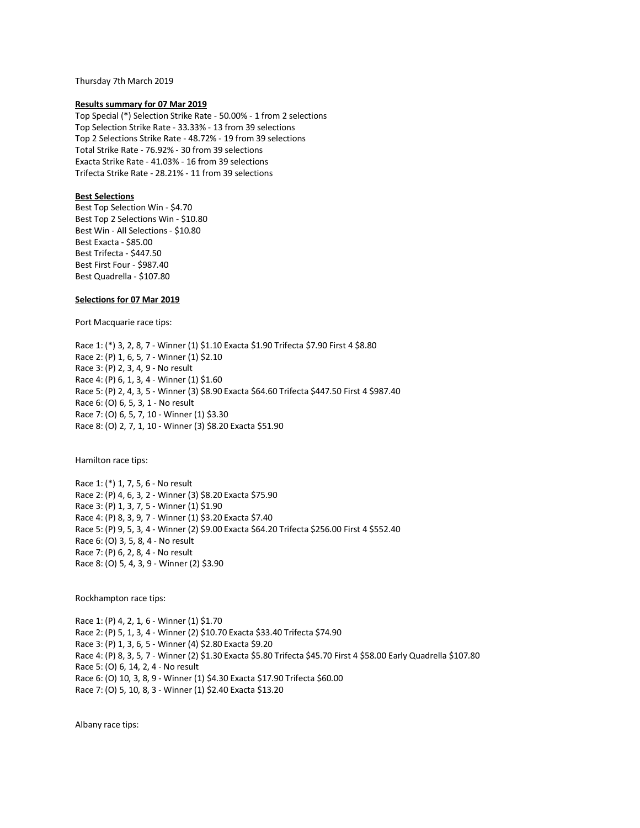Thursday 7th March 2019

### **Results summary for 07 Mar 2019**

Top Special (\*) Selection Strike Rate - 50.00% - 1 from 2 selections Top Selection Strike Rate - 33.33% - 13 from 39 selections Top 2 Selections Strike Rate - 48.72% - 19 from 39 selections Total Strike Rate - 76.92% - 30 from 39 selections Exacta Strike Rate - 41.03% - 16 from 39 selections Trifecta Strike Rate - 28.21% - 11 from 39 selections

## **Best Selections**

Best Top Selection Win - \$4.70 Best Top 2 Selections Win - \$10.80 Best Win - All Selections - \$10.80 Best Exacta - \$85.00 Best Trifecta - \$447.50 Best First Four - \$987.40 Best Quadrella - \$107.80

### **Selections for 07 Mar 2019**

Port Macquarie race tips:

Race 1: (\*) 3, 2, 8, 7 - Winner (1) \$1.10 Exacta \$1.90 Trifecta \$7.90 First 4 \$8.80 Race 2: (P) 1, 6, 5, 7 - Winner (1) \$2.10 Race 3: (P) 2, 3, 4, 9 - No result Race 4: (P) 6, 1, 3, 4 - Winner (1) \$1.60 Race 5: (P) 2, 4, 3, 5 - Winner (3) \$8.90 Exacta \$64.60 Trifecta \$447.50 First 4 \$987.40 Race 6: (O) 6, 5, 3, 1 - No result Race 7: (O) 6, 5, 7, 10 - Winner (1) \$3.30 Race 8: (O) 2, 7, 1, 10 - Winner (3) \$8.20 Exacta \$51.90

Hamilton race tips:

Race 1: (\*) 1, 7, 5, 6 - No result Race 2: (P) 4, 6, 3, 2 - Winner (3) \$8.20 Exacta \$75.90 Race 3: (P) 1, 3, 7, 5 - Winner (1) \$1.90 Race 4: (P) 8, 3, 9, 7 - Winner (1) \$3.20 Exacta \$7.40 Race 5: (P) 9, 5, 3, 4 - Winner (2) \$9.00 Exacta \$64.20 Trifecta \$256.00 First 4 \$552.40 Race 6: (O) 3, 5, 8, 4 - No result Race 7: (P) 6, 2, 8, 4 - No result Race 8: (O) 5, 4, 3, 9 - Winner (2) \$3.90

Rockhampton race tips:

Race 1: (P) 4, 2, 1, 6 - Winner (1) \$1.70 Race 2: (P) 5, 1, 3, 4 - Winner (2) \$10.70 Exacta \$33.40 Trifecta \$74.90 Race 3: (P) 1, 3, 6, 5 - Winner (4) \$2.80 Exacta \$9.20 Race 4: (P) 8, 3, 5, 7 - Winner (2) \$1.30 Exacta \$5.80 Trifecta \$45.70 First 4 \$58.00 Early Quadrella \$107.80 Race 5: (O) 6, 14, 2, 4 - No result Race 6: (O) 10, 3, 8, 9 - Winner (1) \$4.30 Exacta \$17.90 Trifecta \$60.00 Race 7: (O) 5, 10, 8, 3 - Winner (1) \$2.40 Exacta \$13.20

Albany race tips: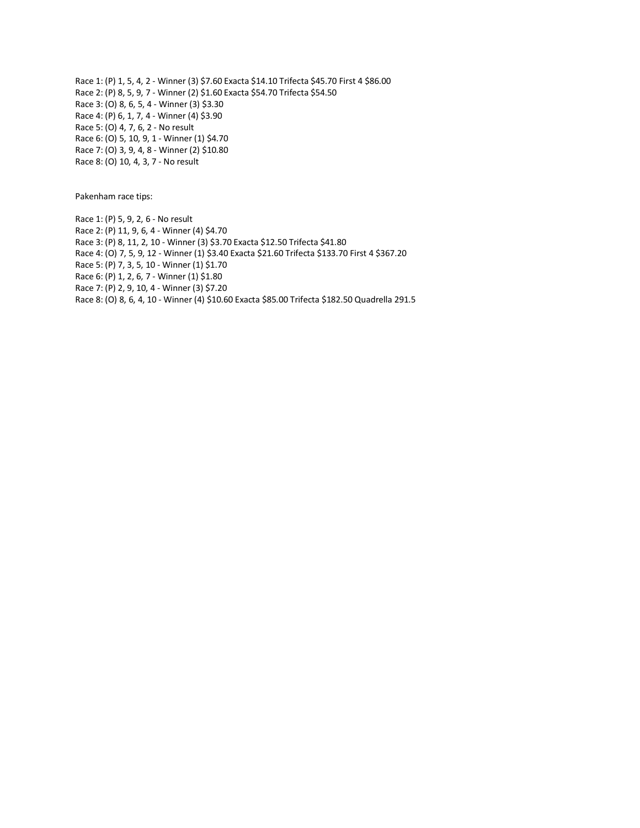Race 1: (P) 1, 5, 4, 2 - Winner (3) \$7.60 Exacta \$14.10 Trifecta \$45.70 First 4 \$86.00 Race 2: (P) 8, 5, 9, 7 - Winner (2) \$1.60 Exacta \$54.70 Trifecta \$54.50 Race 3: (O) 8, 6, 5, 4 - Winner (3) \$3.30 Race 4: (P) 6, 1, 7, 4 - Winner (4) \$3.90 Race 5: (O) 4, 7, 6, 2 - No result Race 6: (O) 5, 10, 9, 1 - Winner (1) \$4.70 Race 7: (O) 3, 9, 4, 8 - Winner (2) \$10.80 Race 8: (O) 10, 4, 3, 7 - No result

Pakenham race tips:

Race 1: (P) 5, 9, 2, 6 - No result Race 2: (P) 11, 9, 6, 4 - Winner (4) \$4.70 Race 3: (P) 8, 11, 2, 10 - Winner (3) \$3.70 Exacta \$12.50 Trifecta \$41.80 Race 4: (O) 7, 5, 9, 12 - Winner (1) \$3.40 Exacta \$21.60 Trifecta \$133.70 First 4 \$367.20 Race 5: (P) 7, 3, 5, 10 - Winner (1) \$1.70 Race 6: (P) 1, 2, 6, 7 - Winner (1) \$1.80 Race 7: (P) 2, 9, 10, 4 - Winner (3) \$7.20 Race 8: (O) 8, 6, 4, 10 - Winner (4) \$10.60 Exacta \$85.00 Trifecta \$182.50 Quadrella 291.5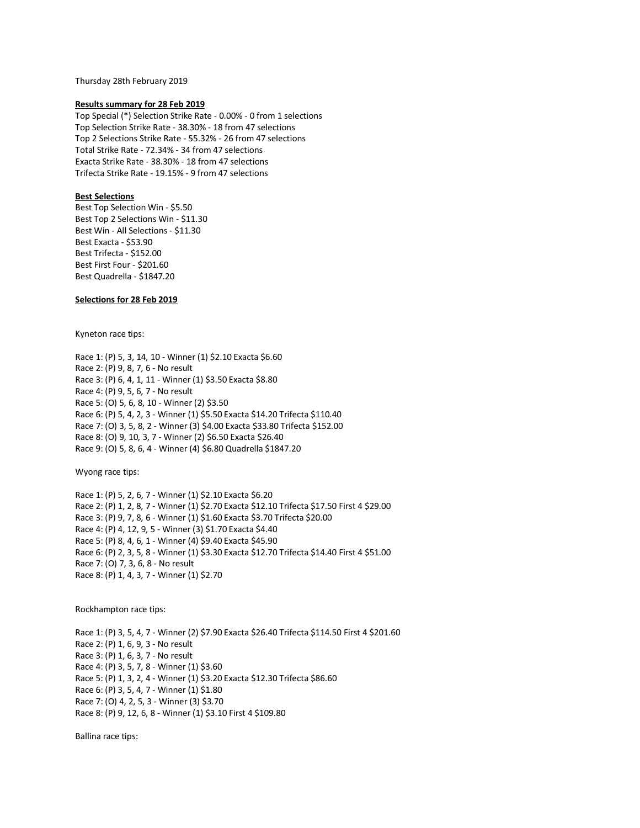Thursday 28th February 2019

#### **Results summary for 28 Feb 2019**

Top Special (\*) Selection Strike Rate - 0.00% - 0 from 1 selections Top Selection Strike Rate - 38.30% - 18 from 47 selections Top 2 Selections Strike Rate - 55.32% - 26 from 47 selections Total Strike Rate - 72.34% - 34 from 47 selections Exacta Strike Rate - 38.30% - 18 from 47 selections Trifecta Strike Rate - 19.15% - 9 from 47 selections

## **Best Selections**

Best Top Selection Win - \$5.50 Best Top 2 Selections Win - \$11.30 Best Win - All Selections - \$11.30 Best Exacta - \$53.90 Best Trifecta - \$152.00 Best First Four - \$201.60 Best Quadrella - \$1847.20

# **Selections for 28 Feb 2019**

Kyneton race tips:

Race 1: (P) 5, 3, 14, 10 - Winner (1) \$2.10 Exacta \$6.60 Race 2: (P) 9, 8, 7, 6 - No result Race 3: (P) 6, 4, 1, 11 - Winner (1) \$3.50 Exacta \$8.80 Race 4: (P) 9, 5, 6, 7 - No result Race 5: (O) 5, 6, 8, 10 - Winner (2) \$3.50 Race 6: (P) 5, 4, 2, 3 - Winner (1) \$5.50 Exacta \$14.20 Trifecta \$110.40 Race 7: (O) 3, 5, 8, 2 - Winner (3) \$4.00 Exacta \$33.80 Trifecta \$152.00 Race 8: (O) 9, 10, 3, 7 - Winner (2) \$6.50 Exacta \$26.40 Race 9: (O) 5, 8, 6, 4 - Winner (4) \$6.80 Quadrella \$1847.20

Wyong race tips:

Race 1: (P) 5, 2, 6, 7 - Winner (1) \$2.10 Exacta \$6.20 Race 2: (P) 1, 2, 8, 7 - Winner (1) \$2.70 Exacta \$12.10 Trifecta \$17.50 First 4 \$29.00 Race 3: (P) 9, 7, 8, 6 - Winner (1) \$1.60 Exacta \$3.70 Trifecta \$20.00 Race 4: (P) 4, 12, 9, 5 - Winner (3) \$1.70 Exacta \$4.40 Race 5: (P) 8, 4, 6, 1 - Winner (4) \$9.40 Exacta \$45.90 Race 6: (P) 2, 3, 5, 8 - Winner (1) \$3.30 Exacta \$12.70 Trifecta \$14.40 First 4 \$51.00 Race 7: (O) 7, 3, 6, 8 - No result Race 8: (P) 1, 4, 3, 7 - Winner (1) \$2.70

Rockhampton race tips:

Race 1: (P) 3, 5, 4, 7 - Winner (2) \$7.90 Exacta \$26.40 Trifecta \$114.50 First 4 \$201.60 Race 2: (P) 1, 6, 9, 3 - No result Race 3: (P) 1, 6, 3, 7 - No result Race 4: (P) 3, 5, 7, 8 - Winner (1) \$3.60 Race 5: (P) 1, 3, 2, 4 - Winner (1) \$3.20 Exacta \$12.30 Trifecta \$86.60 Race 6: (P) 3, 5, 4, 7 - Winner (1) \$1.80 Race 7: (O) 4, 2, 5, 3 - Winner (3) \$3.70 Race 8: (P) 9, 12, 6, 8 - Winner (1) \$3.10 First 4 \$109.80

Ballina race tips: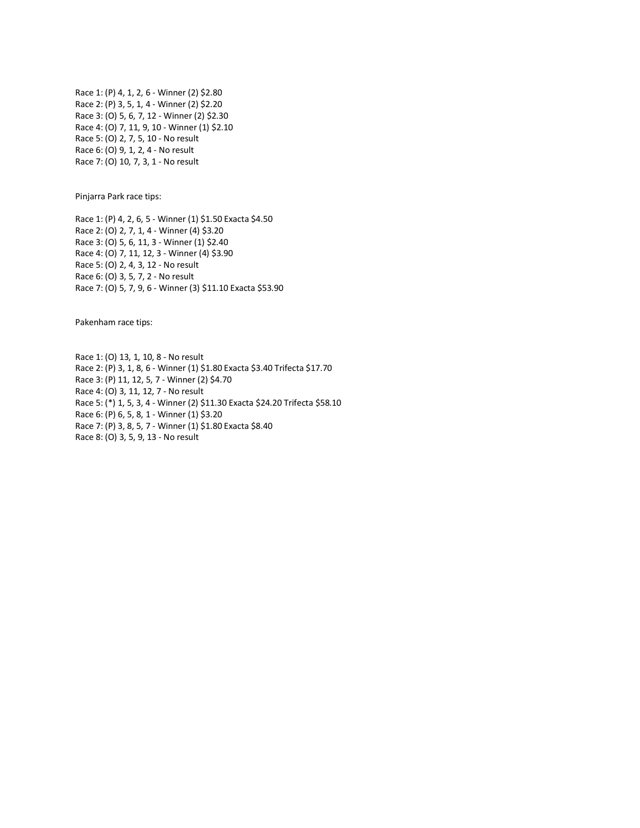Race 1: (P) 4, 1, 2, 6 - Winner (2) \$2.80 Race 2: (P) 3, 5, 1, 4 - Winner (2) \$2.20 Race 3: (O) 5, 6, 7, 12 - Winner (2) \$2.30 Race 4: (O) 7, 11, 9, 10 - Winner (1) \$2.10 Race 5: (O) 2, 7, 5, 10 - No result Race 6: (O) 9, 1, 2, 4 - No result Race 7: (O) 10, 7, 3, 1 - No result

Pinjarra Park race tips:

Race 1: (P) 4, 2, 6, 5 - Winner (1) \$1.50 Exacta \$4.50 Race 2: (O) 2, 7, 1, 4 - Winner (4) \$3.20 Race 3: (O) 5, 6, 11, 3 - Winner (1) \$2.40 Race 4: (O) 7, 11, 12, 3 - Winner (4) \$3.90 Race 5: (O) 2, 4, 3, 12 - No result Race 6: (O) 3, 5, 7, 2 - No result Race 7: (O) 5, 7, 9, 6 - Winner (3) \$11.10 Exacta \$53.90

Pakenham race tips:

Race 1: (O) 13, 1, 10, 8 - No result Race 2: (P) 3, 1, 8, 6 - Winner (1) \$1.80 Exacta \$3.40 Trifecta \$17.70 Race 3: (P) 11, 12, 5, 7 - Winner (2) \$4.70 Race 4: (O) 3, 11, 12, 7 - No result Race 5: (\*) 1, 5, 3, 4 - Winner (2) \$11.30 Exacta \$24.20 Trifecta \$58.10 Race 6: (P) 6, 5, 8, 1 - Winner (1) \$3.20 Race 7: (P) 3, 8, 5, 7 - Winner (1) \$1.80 Exacta \$8.40 Race 8: (O) 3, 5, 9, 13 - No result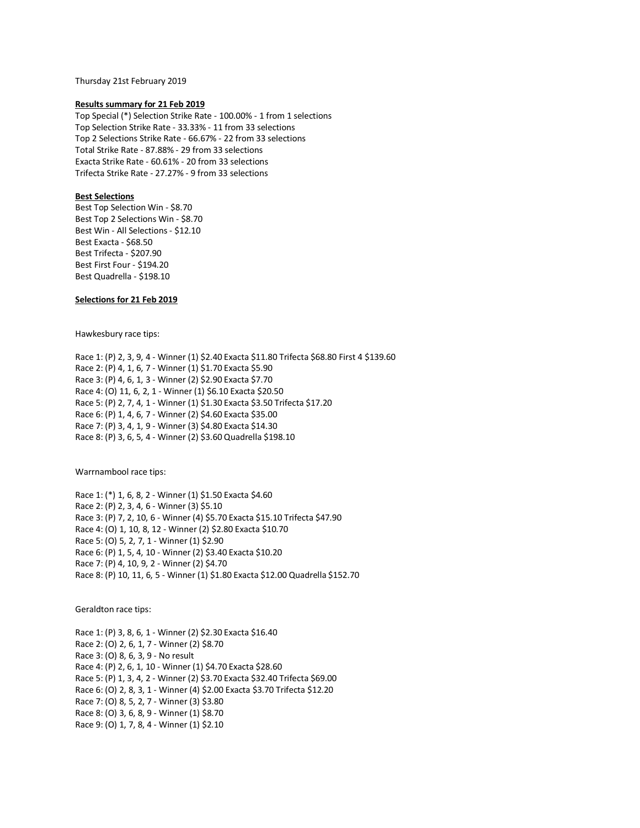Thursday 21st February 2019

### **Results summary for 21 Feb 2019**

Top Special (\*) Selection Strike Rate - 100.00% - 1 from 1 selections Top Selection Strike Rate - 33.33% - 11 from 33 selections Top 2 Selections Strike Rate - 66.67% - 22 from 33 selections Total Strike Rate - 87.88% - 29 from 33 selections Exacta Strike Rate - 60.61% - 20 from 33 selections Trifecta Strike Rate - 27.27% - 9 from 33 selections

# **Best Selections**

Best Top Selection Win - \$8.70 Best Top 2 Selections Win - \$8.70 Best Win - All Selections - \$12.10 Best Exacta - \$68.50 Best Trifecta - \$207.90 Best First Four - \$194.20 Best Quadrella - \$198.10

# **Selections for 21 Feb 2019**

Hawkesbury race tips:

Race 1: (P) 2, 3, 9, 4 - Winner (1) \$2.40 Exacta \$11.80 Trifecta \$68.80 First 4 \$139.60 Race 2: (P) 4, 1, 6, 7 - Winner (1) \$1.70 Exacta \$5.90 Race 3: (P) 4, 6, 1, 3 - Winner (2) \$2.90 Exacta \$7.70 Race 4: (O) 11, 6, 2, 1 - Winner (1) \$6.10 Exacta \$20.50 Race 5: (P) 2, 7, 4, 1 - Winner (1) \$1.30 Exacta \$3.50 Trifecta \$17.20 Race 6: (P) 1, 4, 6, 7 - Winner (2) \$4.60 Exacta \$35.00 Race 7: (P) 3, 4, 1, 9 - Winner (3) \$4.80 Exacta \$14.30 Race 8: (P) 3, 6, 5, 4 - Winner (2) \$3.60 Quadrella \$198.10

Warrnambool race tips:

Race 1: (\*) 1, 6, 8, 2 - Winner (1) \$1.50 Exacta \$4.60 Race 2: (P) 2, 3, 4, 6 - Winner (3) \$5.10 Race 3: (P) 7, 2, 10, 6 - Winner (4) \$5.70 Exacta \$15.10 Trifecta \$47.90 Race 4: (O) 1, 10, 8, 12 - Winner (2) \$2.80 Exacta \$10.70 Race 5: (O) 5, 2, 7, 1 - Winner (1) \$2.90 Race 6: (P) 1, 5, 4, 10 - Winner (2) \$3.40 Exacta \$10.20 Race 7: (P) 4, 10, 9, 2 - Winner (2) \$4.70 Race 8: (P) 10, 11, 6, 5 - Winner (1) \$1.80 Exacta \$12.00 Quadrella \$152.70

Geraldton race tips:

Race 1: (P) 3, 8, 6, 1 - Winner (2) \$2.30 Exacta \$16.40 Race 2: (O) 2, 6, 1, 7 - Winner (2) \$8.70 Race 3: (O) 8, 6, 3, 9 - No result Race 4: (P) 2, 6, 1, 10 - Winner (1) \$4.70 Exacta \$28.60 Race 5: (P) 1, 3, 4, 2 - Winner (2) \$3.70 Exacta \$32.40 Trifecta \$69.00 Race 6: (O) 2, 8, 3, 1 - Winner (4) \$2.00 Exacta \$3.70 Trifecta \$12.20 Race 7: (O) 8, 5, 2, 7 - Winner (3) \$3.80 Race 8: (O) 3, 6, 8, 9 - Winner (1) \$8.70 Race 9: (O) 1, 7, 8, 4 - Winner (1) \$2.10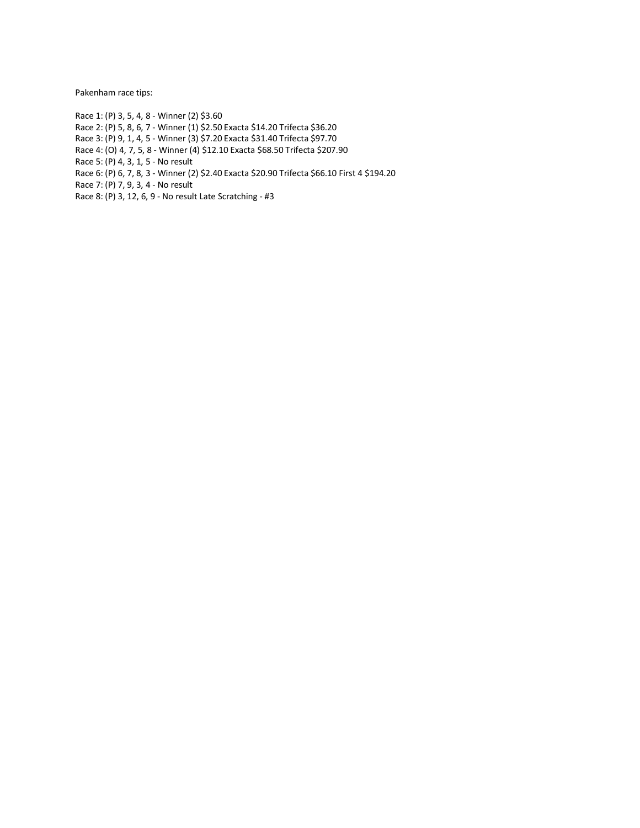Pakenham race tips:

Race 1: (P) 3, 5, 4, 8 - Winner (2) \$3.60 Race 2: (P) 5, 8, 6, 7 - Winner (1) \$2.50 Exacta \$14.20 Trifecta \$36.20 Race 3: (P) 9, 1, 4, 5 - Winner (3) \$7.20 Exacta \$31.40 Trifecta \$97.70 Race 4: (O) 4, 7, 5, 8 - Winner (4) \$12.10 Exacta \$68.50 Trifecta \$207.90 Race 5: (P) 4, 3, 1, 5 - No result Race 6: (P) 6, 7, 8, 3 - Winner (2) \$2.40 Exacta \$20.90 Trifecta \$66.10 First 4 \$194.20 Race 7: (P) 7, 9, 3, 4 - No result Race 8: (P) 3, 12, 6, 9 - No result Late Scratching - #3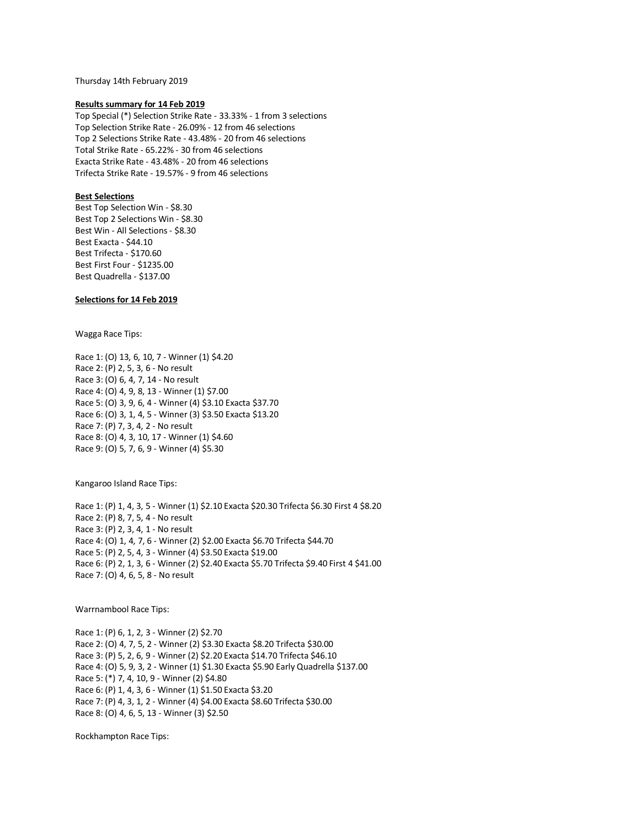Thursday 14th February 2019

### **Results summary for 14 Feb 2019**

Top Special (\*) Selection Strike Rate - 33.33% - 1 from 3 selections Top Selection Strike Rate - 26.09% - 12 from 46 selections Top 2 Selections Strike Rate - 43.48% - 20 from 46 selections Total Strike Rate - 65.22% - 30 from 46 selections Exacta Strike Rate - 43.48% - 20 from 46 selections Trifecta Strike Rate - 19.57% - 9 from 46 selections

# **Best Selections**

Best Top Selection Win - \$8.30 Best Top 2 Selections Win - \$8.30 Best Win - All Selections - \$8.30 Best Exacta - \$44.10 Best Trifecta - \$170.60 Best First Four - \$1235.00 Best Quadrella - \$137.00

# **Selections for 14 Feb 2019**

Wagga Race Tips:

Race 1: (O) 13, 6, 10, 7 - Winner (1) \$4.20 Race 2: (P) 2, 5, 3, 6 - No result Race 3: (O) 6, 4, 7, 14 - No result Race 4: (O) 4, 9, 8, 13 - Winner (1) \$7.00 Race 5: (O) 3, 9, 6, 4 - Winner (4) \$3.10 Exacta \$37.70 Race 6: (O) 3, 1, 4, 5 - Winner (3) \$3.50 Exacta \$13.20 Race 7: (P) 7, 3, 4, 2 - No result Race 8: (O) 4, 3, 10, 17 - Winner (1) \$4.60 Race 9: (O) 5, 7, 6, 9 - Winner (4) \$5.30

Kangaroo Island Race Tips:

Race 1: (P) 1, 4, 3, 5 - Winner (1) \$2.10 Exacta \$20.30 Trifecta \$6.30 First 4 \$8.20 Race 2: (P) 8, 7, 5, 4 - No result Race 3: (P) 2, 3, 4, 1 - No result Race 4: (O) 1, 4, 7, 6 - Winner (2) \$2.00 Exacta \$6.70 Trifecta \$44.70 Race 5: (P) 2, 5, 4, 3 - Winner (4) \$3.50 Exacta \$19.00 Race 6: (P) 2, 1, 3, 6 - Winner (2) \$2.40 Exacta \$5.70 Trifecta \$9.40 First 4 \$41.00 Race 7: (O) 4, 6, 5, 8 - No result

Warrnambool Race Tips:

Race 1: (P) 6, 1, 2, 3 - Winner (2) \$2.70 Race 2: (O) 4, 7, 5, 2 - Winner (2) \$3.30 Exacta \$8.20 Trifecta \$30.00 Race 3: (P) 5, 2, 6, 9 - Winner (2) \$2.20 Exacta \$14.70 Trifecta \$46.10 Race 4: (O) 5, 9, 3, 2 - Winner (1) \$1.30 Exacta \$5.90 Early Quadrella \$137.00 Race 5: (\*) 7, 4, 10, 9 - Winner (2) \$4.80 Race 6: (P) 1, 4, 3, 6 - Winner (1) \$1.50 Exacta \$3.20 Race 7: (P) 4, 3, 1, 2 - Winner (4) \$4.00 Exacta \$8.60 Trifecta \$30.00 Race 8: (O) 4, 6, 5, 13 - Winner (3) \$2.50

Rockhampton Race Tips: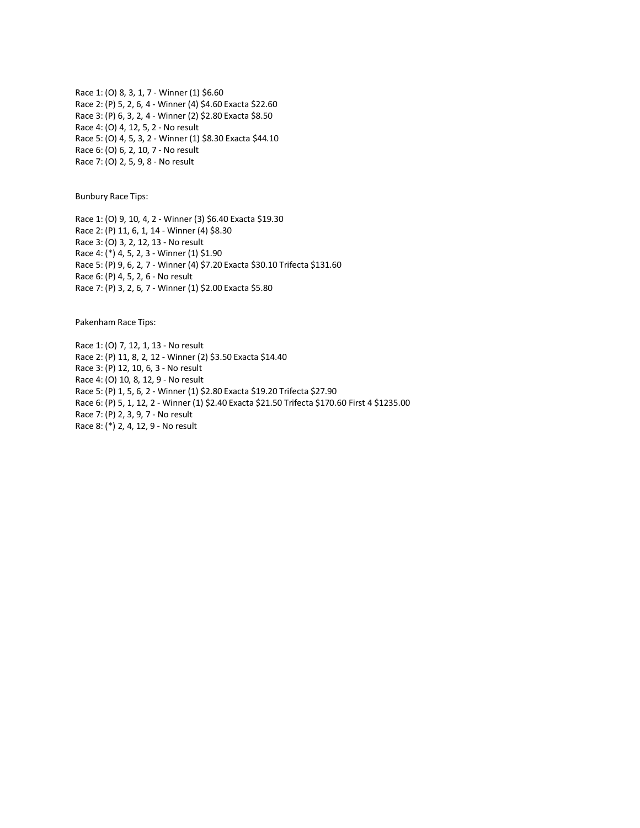Race 1: (O) 8, 3, 1, 7 - Winner (1) \$6.60 Race 2: (P) 5, 2, 6, 4 - Winner (4) \$4.60 Exacta \$22.60 Race 3: (P) 6, 3, 2, 4 - Winner (2) \$2.80 Exacta \$8.50 Race 4: (O) 4, 12, 5, 2 - No result Race 5: (O) 4, 5, 3, 2 - Winner (1) \$8.30 Exacta \$44.10 Race 6: (O) 6, 2, 10, 7 - No result Race 7: (O) 2, 5, 9, 8 - No result

Bunbury Race Tips:

Race 1: (O) 9, 10, 4, 2 - Winner (3) \$6.40 Exacta \$19.30 Race 2: (P) 11, 6, 1, 14 - Winner (4) \$8.30 Race 3: (O) 3, 2, 12, 13 - No result Race 4: (\*) 4, 5, 2, 3 - Winner (1) \$1.90 Race 5: (P) 9, 6, 2, 7 - Winner (4) \$7.20 Exacta \$30.10 Trifecta \$131.60 Race 6: (P) 4, 5, 2, 6 - No result Race 7: (P) 3, 2, 6, 7 - Winner (1) \$2.00 Exacta \$5.80

Pakenham Race Tips:

Race 1: (O) 7, 12, 1, 13 - No result Race 2: (P) 11, 8, 2, 12 - Winner (2) \$3.50 Exacta \$14.40 Race 3: (P) 12, 10, 6, 3 - No result Race 4: (O) 10, 8, 12, 9 - No result Race 5: (P) 1, 5, 6, 2 - Winner (1) \$2.80 Exacta \$19.20 Trifecta \$27.90 Race 6: (P) 5, 1, 12, 2 - Winner (1) \$2.40 Exacta \$21.50 Trifecta \$170.60 First 4 \$1235.00 Race 7: (P) 2, 3, 9, 7 - No result Race 8: (\*) 2, 4, 12, 9 - No result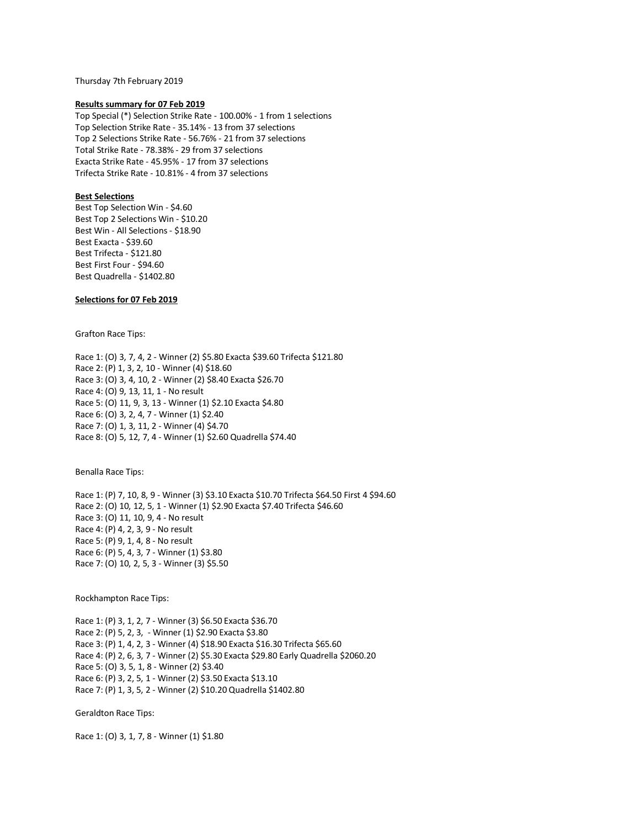Thursday 7th February 2019

### **Results summary for 07 Feb 2019**

Top Special (\*) Selection Strike Rate - 100.00% - 1 from 1 selections Top Selection Strike Rate - 35.14% - 13 from 37 selections Top 2 Selections Strike Rate - 56.76% - 21 from 37 selections Total Strike Rate - 78.38% - 29 from 37 selections Exacta Strike Rate - 45.95% - 17 from 37 selections Trifecta Strike Rate - 10.81% - 4 from 37 selections

# **Best Selections**

Best Top Selection Win - \$4.60 Best Top 2 Selections Win - \$10.20 Best Win - All Selections - \$18.90 Best Exacta - \$39.60 Best Trifecta - \$121.80 Best First Four - \$94.60 Best Quadrella - \$1402.80

# **Selections for 07 Feb 2019**

Grafton Race Tips:

Race 1: (O) 3, 7, 4, 2 - Winner (2) \$5.80 Exacta \$39.60 Trifecta \$121.80 Race 2: (P) 1, 3, 2, 10 - Winner (4) \$18.60 Race 3: (O) 3, 4, 10, 2 - Winner (2) \$8.40 Exacta \$26.70 Race 4: (O) 9, 13, 11, 1 - No result Race 5: (O) 11, 9, 3, 13 - Winner (1) \$2.10 Exacta \$4.80 Race 6: (O) 3, 2, 4, 7 - Winner (1) \$2.40 Race 7: (O) 1, 3, 11, 2 - Winner (4) \$4.70 Race 8: (O) 5, 12, 7, 4 - Winner (1) \$2.60 Quadrella \$74.40

Benalla Race Tips:

Race 1: (P) 7, 10, 8, 9 - Winner (3) \$3.10 Exacta \$10.70 Trifecta \$64.50 First 4 \$94.60 Race 2: (O) 10, 12, 5, 1 - Winner (1) \$2.90 Exacta \$7.40 Trifecta \$46.60 Race 3: (O) 11, 10, 9, 4 - No result Race 4: (P) 4, 2, 3, 9 - No result Race 5: (P) 9, 1, 4, 8 - No result Race 6: (P) 5, 4, 3, 7 - Winner (1) \$3.80 Race 7: (O) 10, 2, 5, 3 - Winner (3) \$5.50

Rockhampton Race Tips:

Race 1: (P) 3, 1, 2, 7 - Winner (3) \$6.50 Exacta \$36.70 Race 2: (P) 5, 2, 3, - Winner (1) \$2.90 Exacta \$3.80 Race 3: (P) 1, 4, 2, 3 - Winner (4) \$18.90 Exacta \$16.30 Trifecta \$65.60 Race 4: (P) 2, 6, 3, 7 - Winner (2) \$5.30 Exacta \$29.80 Early Quadrella \$2060.20 Race 5: (O) 3, 5, 1, 8 - Winner (2) \$3.40 Race 6: (P) 3, 2, 5, 1 - Winner (2) \$3.50 Exacta \$13.10 Race 7: (P) 1, 3, 5, 2 - Winner (2) \$10.20 Quadrella \$1402.80

Geraldton Race Tips:

Race 1: (O) 3, 1, 7, 8 - Winner (1) \$1.80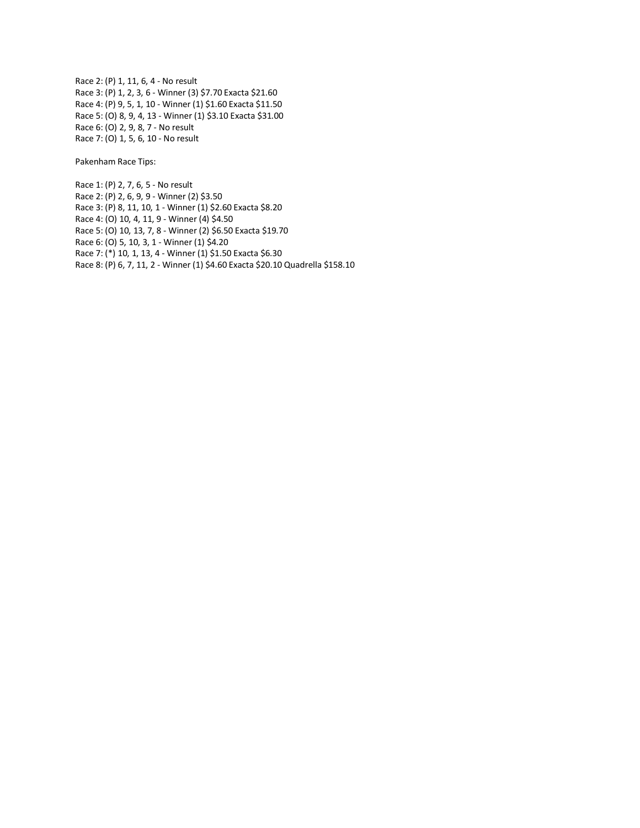Race 2: (P) 1, 11, 6, 4 - No result Race 3: (P) 1, 2, 3, 6 - Winner (3) \$7.70 Exacta \$21.60 Race 4: (P) 9, 5, 1, 10 - Winner (1) \$1.60 Exacta \$11.50 Race 5: (O) 8, 9, 4, 13 - Winner (1) \$3.10 Exacta \$31.00 Race 6: (O) 2, 9, 8, 7 - No result Race 7: (O) 1, 5, 6, 10 - No result

Pakenham Race Tips:

Race 1: (P) 2, 7, 6, 5 - No result Race 2: (P) 2, 6, 9, 9 - Winner (2) \$3.50 Race 3: (P) 8, 11, 10, 1 - Winner (1) \$2.60 Exacta \$8.20 Race 4: (O) 10, 4, 11, 9 - Winner (4) \$4.50 Race 5: (O) 10, 13, 7, 8 - Winner (2) \$6.50 Exacta \$19.70 Race 6: (O) 5, 10, 3, 1 - Winner (1) \$4.20 Race 7: (\*) 10, 1, 13, 4 - Winner (1) \$1.50 Exacta \$6.30 Race 8: (P) 6, 7, 11, 2 - Winner (1) \$4.60 Exacta \$20.10 Quadrella \$158.10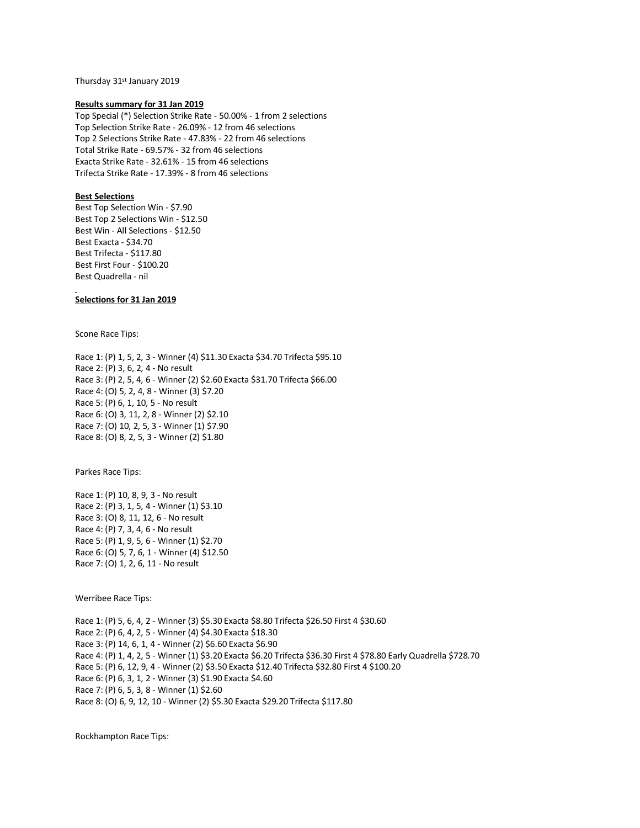Thursday 31st January 2019

### **Results summary for 31 Jan 2019**

Top Special (\*) Selection Strike Rate - 50.00% - 1 from 2 selections Top Selection Strike Rate - 26.09% - 12 from 46 selections Top 2 Selections Strike Rate - 47.83% - 22 from 46 selections Total Strike Rate - 69.57% - 32 from 46 selections Exacta Strike Rate - 32.61% - 15 from 46 selections Trifecta Strike Rate - 17.39% - 8 from 46 selections

# **Best Selections**

Best Top Selection Win - \$7.90 Best Top 2 Selections Win - \$12.50 Best Win - All Selections - \$12.50 Best Exacta - \$34.70 Best Trifecta - \$117.80 Best First Four - \$100.20 Best Quadrella - nil

# **Selections for 31 Jan 2019**

Scone Race Tips:

Race 1: (P) 1, 5, 2, 3 - Winner (4) \$11.30 Exacta \$34.70 Trifecta \$95.10 Race 2: (P) 3, 6, 2, 4 - No result Race 3: (P) 2, 5, 4, 6 - Winner (2) \$2.60 Exacta \$31.70 Trifecta \$66.00 Race 4: (O) 5, 2, 4, 8 - Winner (3) \$7.20 Race 5: (P) 6, 1, 10, 5 - No result Race 6: (O) 3, 11, 2, 8 - Winner (2) \$2.10 Race 7: (O) 10, 2, 5, 3 - Winner (1) \$7.90 Race 8: (O) 8, 2, 5, 3 - Winner (2) \$1.80

Parkes Race Tips:

Race 1: (P) 10, 8, 9, 3 - No result Race 2: (P) 3, 1, 5, 4 - Winner (1) \$3.10 Race 3: (O) 8, 11, 12, 6 - No result Race 4: (P) 7, 3, 4, 6 - No result Race 5: (P) 1, 9, 5, 6 - Winner (1) \$2.70 Race 6: (O) 5, 7, 6, 1 - Winner (4) \$12.50 Race 7: (O) 1, 2, 6, 11 - No result

Werribee Race Tips:

Race 1: (P) 5, 6, 4, 2 - Winner (3) \$5.30 Exacta \$8.80 Trifecta \$26.50 First 4 \$30.60 Race 2: (P) 6, 4, 2, 5 - Winner (4) \$4.30 Exacta \$18.30 Race 3: (P) 14, 6, 1, 4 - Winner (2) \$6.60 Exacta \$6.90 Race 4: (P) 1, 4, 2, 5 - Winner (1) \$3.20 Exacta \$6.20 Trifecta \$36.30 First 4 \$78.80 Early Quadrella \$728.70 Race 5: (P) 6, 12, 9, 4 - Winner (2) \$3.50 Exacta \$12.40 Trifecta \$32.80 First 4 \$100.20 Race 6: (P) 6, 3, 1, 2 - Winner (3) \$1.90 Exacta \$4.60 Race 7: (P) 6, 5, 3, 8 - Winner (1) \$2.60 Race 8: (O) 6, 9, 12, 10 - Winner (2) \$5.30 Exacta \$29.20 Trifecta \$117.80

Rockhampton Race Tips: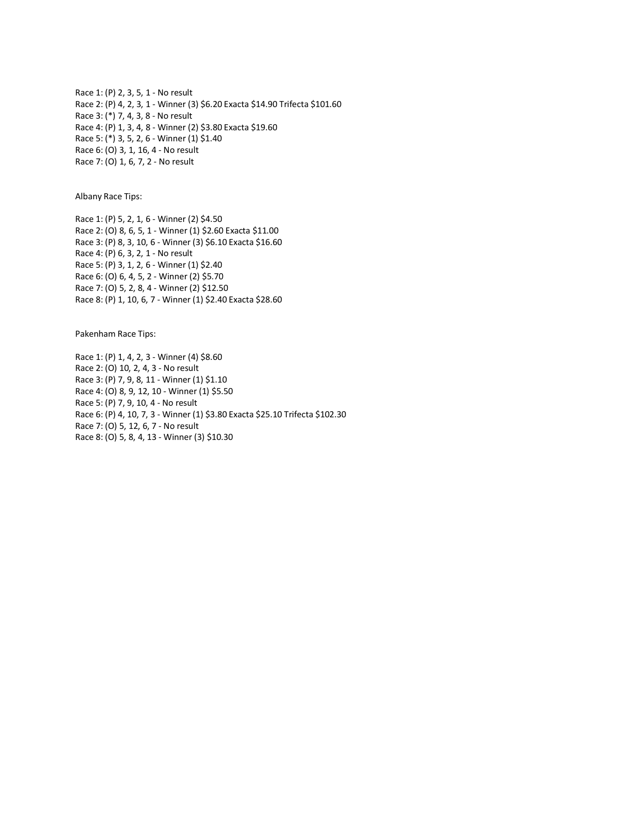Race 1: (P) 2, 3, 5, 1 - No result Race 2: (P) 4, 2, 3, 1 - Winner (3) \$6.20 Exacta \$14.90 Trifecta \$101.60 Race 3: (\*) 7, 4, 3, 8 - No result Race 4: (P) 1, 3, 4, 8 - Winner (2) \$3.80 Exacta \$19.60 Race 5: (\*) 3, 5, 2, 6 - Winner (1) \$1.40 Race 6: (O) 3, 1, 16, 4 - No result Race 7: (O) 1, 6, 7, 2 - No result

Albany Race Tips:

Race 1: (P) 5, 2, 1, 6 - Winner (2) \$4.50 Race 2: (O) 8, 6, 5, 1 - Winner (1) \$2.60 Exacta \$11.00 Race 3: (P) 8, 3, 10, 6 - Winner (3) \$6.10 Exacta \$16.60 Race 4: (P) 6, 3, 2, 1 - No result Race 5: (P) 3, 1, 2, 6 - Winner (1) \$2.40 Race 6: (O) 6, 4, 5, 2 - Winner (2) \$5.70 Race 7: (O) 5, 2, 8, 4 - Winner (2) \$12.50 Race 8: (P) 1, 10, 6, 7 - Winner (1) \$2.40 Exacta \$28.60

Pakenham Race Tips:

Race 1: (P) 1, 4, 2, 3 - Winner (4) \$8.60 Race 2: (O) 10, 2, 4, 3 - No result Race 3: (P) 7, 9, 8, 11 - Winner (1) \$1.10 Race 4: (O) 8, 9, 12, 10 - Winner (1) \$5.50 Race 5: (P) 7, 9, 10, 4 - No result Race 6: (P) 4, 10, 7, 3 - Winner (1) \$3.80 Exacta \$25.10 Trifecta \$102.30 Race 7: (O) 5, 12, 6, 7 - No result Race 8: (O) 5, 8, 4, 13 - Winner (3) \$10.30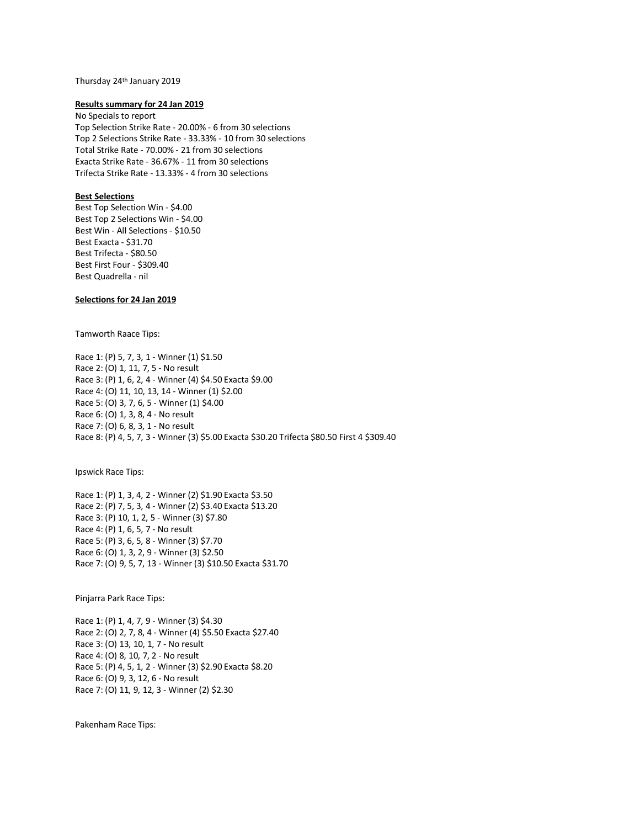Thursday 24th January 2019

### **Results summary for 24 Jan 2019**

No Specials to report Top Selection Strike Rate - 20.00% - 6 from 30 selections Top 2 Selections Strike Rate - 33.33% - 10 from 30 selections Total Strike Rate - 70.00% - 21 from 30 selections Exacta Strike Rate - 36.67% - 11 from 30 selections Trifecta Strike Rate - 13.33% - 4 from 30 selections

# **Best Selections**

Best Top Selection Win - \$4.00 Best Top 2 Selections Win - \$4.00 Best Win - All Selections - \$10.50 Best Exacta - \$31.70 Best Trifecta - \$80.50 Best First Four - \$309.40 Best Quadrella - nil

# **Selections for 24 Jan 2019**

Tamworth Raace Tips:

Race 1: (P) 5, 7, 3, 1 - Winner (1) \$1.50 Race 2: (O) 1, 11, 7, 5 - No result Race 3: (P) 1, 6, 2, 4 - Winner (4) \$4.50 Exacta \$9.00 Race 4: (O) 11, 10, 13, 14 - Winner (1) \$2.00 Race 5: (O) 3, 7, 6, 5 - Winner (1) \$4.00 Race 6: (O) 1, 3, 8, 4 - No result Race 7: (O) 6, 8, 3, 1 - No result Race 8: (P) 4, 5, 7, 3 - Winner (3) \$5.00 Exacta \$30.20 Trifecta \$80.50 First 4 \$309.40

Ipswick Race Tips:

Race 1: (P) 1, 3, 4, 2 - Winner (2) \$1.90 Exacta \$3.50 Race 2: (P) 7, 5, 3, 4 - Winner (2) \$3.40 Exacta \$13.20 Race 3: (P) 10, 1, 2, 5 - Winner (3) \$7.80 Race 4: (P) 1, 6, 5, 7 - No result Race 5: (P) 3, 6, 5, 8 - Winner (3) \$7.70 Race 6: (O) 1, 3, 2, 9 - Winner (3) \$2.50 Race 7: (O) 9, 5, 7, 13 - Winner (3) \$10.50 Exacta \$31.70

Pinjarra Park Race Tips:

Race 1: (P) 1, 4, 7, 9 - Winner (3) \$4.30 Race 2: (O) 2, 7, 8, 4 - Winner (4) \$5.50 Exacta \$27.40 Race 3: (O) 13, 10, 1, 7 - No result Race 4: (O) 8, 10, 7, 2 - No result Race 5: (P) 4, 5, 1, 2 - Winner (3) \$2.90 Exacta \$8.20 Race 6: (O) 9, 3, 12, 6 - No result Race 7: (O) 11, 9, 12, 3 - Winner (2) \$2.30

Pakenham Race Tips: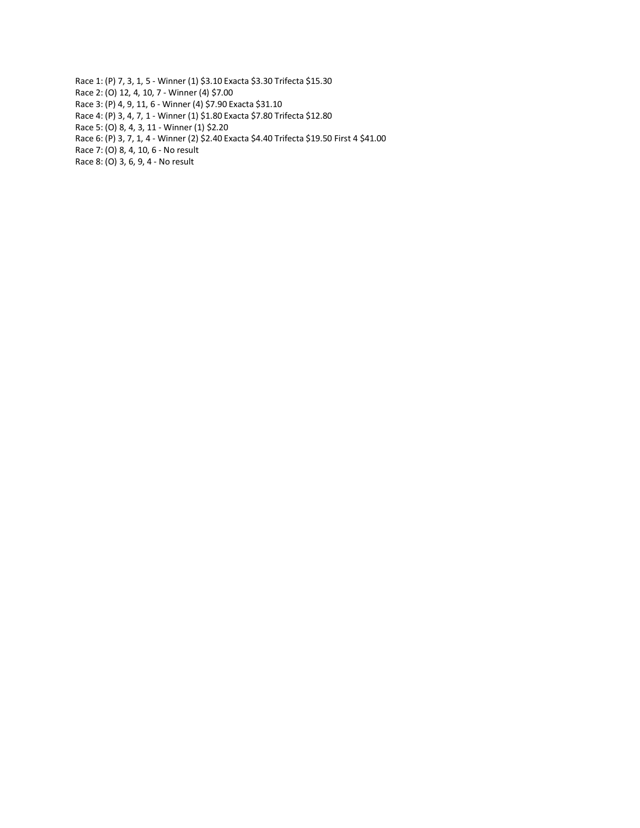- Race 1: (P) 7, 3, 1, 5 Winner (1) \$3.10 Exacta \$3.30 Trifecta \$15.30
- Race 2: (O) 12, 4, 10, 7 Winner (4) \$7.00
- Race 3: (P) 4, 9, 11, 6 Winner (4) \$7.90 Exacta \$31.10
- Race 4: (P) 3, 4, 7, 1 Winner (1) \$1.80 Exacta \$7.80 Trifecta \$12.80
- Race 5: (O) 8, 4, 3, 11 Winner (1) \$2.20
- Race 6: (P) 3, 7, 1, 4 Winner (2) \$2.40 Exacta \$4.40 Trifecta \$19.50 First 4 \$41.00
- Race 7: (O) 8, 4, 10, 6 No result
- Race 8: (O) 3, 6, 9, 4 No result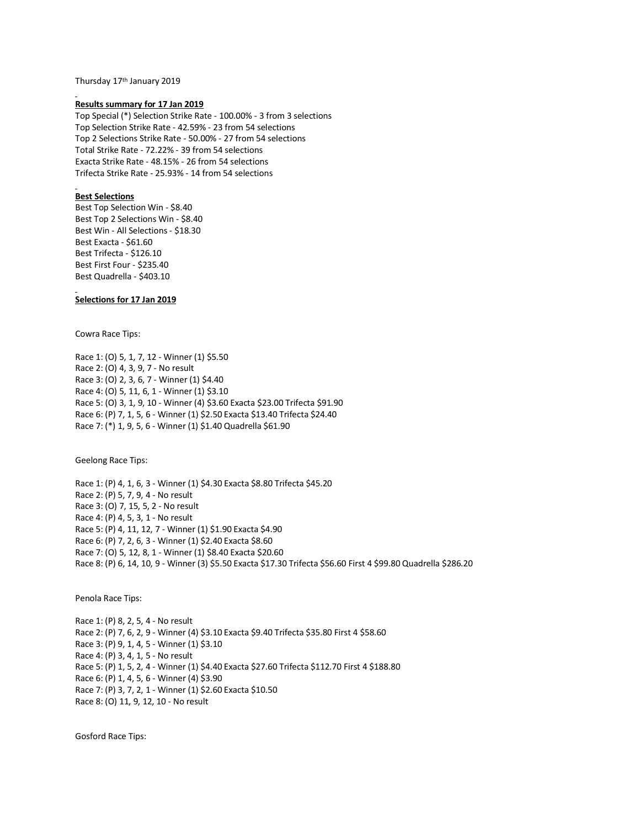Thursday 17th January 2019

### **Results summary for 17 Jan 2019**

Top Special (\*) Selection Strike Rate - 100.00% - 3 from 3 selections Top Selection Strike Rate - 42.59% - 23 from 54 selections Top 2 Selections Strike Rate - 50.00% - 27 from 54 selections Total Strike Rate - 72.22% - 39 from 54 selections Exacta Strike Rate - 48.15% - 26 from 54 selections Trifecta Strike Rate - 25.93% - 14 from 54 selections

# **Best Selections**

Best Top Selection Win - \$8.40 Best Top 2 Selections Win - \$8.40 Best Win - All Selections - \$18.30 Best Exacta - \$61.60 Best Trifecta - \$126.10 Best First Four - \$235.40 Best Quadrella - \$403.10

### **Selections for 17 Jan 2019**

Cowra Race Tips:

Race 1: (O) 5, 1, 7, 12 - Winner (1) \$5.50 Race 2: (O) 4, 3, 9, 7 - No result Race 3: (O) 2, 3, 6, 7 - Winner (1) \$4.40 Race 4: (O) 5, 11, 6, 1 - Winner (1) \$3.10 Race 5: (O) 3, 1, 9, 10 - Winner (4) \$3.60 Exacta \$23.00 Trifecta \$91.90 Race 6: (P) 7, 1, 5, 6 - Winner (1) \$2.50 Exacta \$13.40 Trifecta \$24.40 Race 7: (\*) 1, 9, 5, 6 - Winner (1) \$1.40 Quadrella \$61.90

Geelong Race Tips:

Race 1: (P) 4, 1, 6, 3 - Winner (1) \$4.30 Exacta \$8.80 Trifecta \$45.20 Race 2: (P) 5, 7, 9, 4 - No result Race 3: (O) 7, 15, 5, 2 - No result Race 4: (P) 4, 5, 3, 1 - No result Race 5: (P) 4, 11, 12, 7 - Winner (1) \$1.90 Exacta \$4.90 Race 6: (P) 7, 2, 6, 3 - Winner (1) \$2.40 Exacta \$8.60 Race 7: (O) 5, 12, 8, 1 - Winner (1) \$8.40 Exacta \$20.60 Race 8: (P) 6, 14, 10, 9 - Winner (3) \$5.50 Exacta \$17.30 Trifecta \$56.60 First 4 \$99.80 Quadrella \$286.20

Penola Race Tips:

Race 1: (P) 8, 2, 5, 4 - No result Race 2: (P) 7, 6, 2, 9 - Winner (4) \$3.10 Exacta \$9.40 Trifecta \$35.80 First 4 \$58.60 Race 3: (P) 9, 1, 4, 5 - Winner (1) \$3.10 Race 4: (P) 3, 4, 1, 5 - No result Race 5: (P) 1, 5, 2, 4 - Winner (1) \$4.40 Exacta \$27.60 Trifecta \$112.70 First 4 \$188.80 Race 6: (P) 1, 4, 5, 6 - Winner (4) \$3.90 Race 7: (P) 3, 7, 2, 1 - Winner (1) \$2.60 Exacta \$10.50 Race 8: (O) 11, 9, 12, 10 - No result

Gosford Race Tips: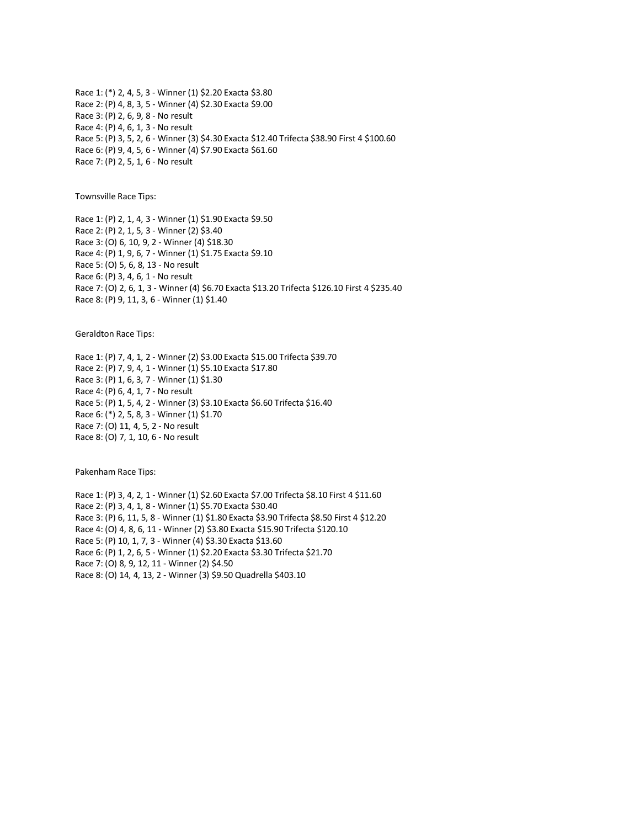Race 1: (\*) 2, 4, 5, 3 - Winner (1) \$2.20 Exacta \$3.80 Race 2: (P) 4, 8, 3, 5 - Winner (4) \$2.30 Exacta \$9.00 Race 3: (P) 2, 6, 9, 8 - No result Race 4: (P) 4, 6, 1, 3 - No result Race 5: (P) 3, 5, 2, 6 - Winner (3) \$4.30 Exacta \$12.40 Trifecta \$38.90 First 4 \$100.60 Race 6: (P) 9, 4, 5, 6 - Winner (4) \$7.90 Exacta \$61.60 Race 7: (P) 2, 5, 1, 6 - No result

Townsville Race Tips:

Race 1: (P) 2, 1, 4, 3 - Winner (1) \$1.90 Exacta \$9.50 Race 2: (P) 2, 1, 5, 3 - Winner (2) \$3.40 Race 3: (O) 6, 10, 9, 2 - Winner (4) \$18.30 Race 4: (P) 1, 9, 6, 7 - Winner (1) \$1.75 Exacta \$9.10 Race 5: (O) 5, 6, 8, 13 - No result Race 6: (P) 3, 4, 6, 1 - No result Race 7: (O) 2, 6, 1, 3 - Winner (4) \$6.70 Exacta \$13.20 Trifecta \$126.10 First 4 \$235.40 Race 8: (P) 9, 11, 3, 6 - Winner (1) \$1.40

Geraldton Race Tips:

Race 1: (P) 7, 4, 1, 2 - Winner (2) \$3.00 Exacta \$15.00 Trifecta \$39.70 Race 2: (P) 7, 9, 4, 1 - Winner (1) \$5.10 Exacta \$17.80 Race 3: (P) 1, 6, 3, 7 - Winner (1) \$1.30 Race 4: (P) 6, 4, 1, 7 - No result Race 5: (P) 1, 5, 4, 2 - Winner (3) \$3.10 Exacta \$6.60 Trifecta \$16.40 Race 6: (\*) 2, 5, 8, 3 - Winner (1) \$1.70 Race 7: (O) 11, 4, 5, 2 - No result Race 8: (O) 7, 1, 10, 6 - No result

Pakenham Race Tips:

Race 1: (P) 3, 4, 2, 1 - Winner (1) \$2.60 Exacta \$7.00 Trifecta \$8.10 First 4 \$11.60 Race 2: (P) 3, 4, 1, 8 - Winner (1) \$5.70 Exacta \$30.40 Race 3: (P) 6, 11, 5, 8 - Winner (1) \$1.80 Exacta \$3.90 Trifecta \$8.50 First 4 \$12.20 Race 4: (O) 4, 8, 6, 11 - Winner (2) \$3.80 Exacta \$15.90 Trifecta \$120.10 Race 5: (P) 10, 1, 7, 3 - Winner (4) \$3.30 Exacta \$13.60 Race 6: (P) 1, 2, 6, 5 - Winner (1) \$2.20 Exacta \$3.30 Trifecta \$21.70 Race 7: (O) 8, 9, 12, 11 - Winner (2) \$4.50 Race 8: (O) 14, 4, 13, 2 - Winner (3) \$9.50 Quadrella \$403.10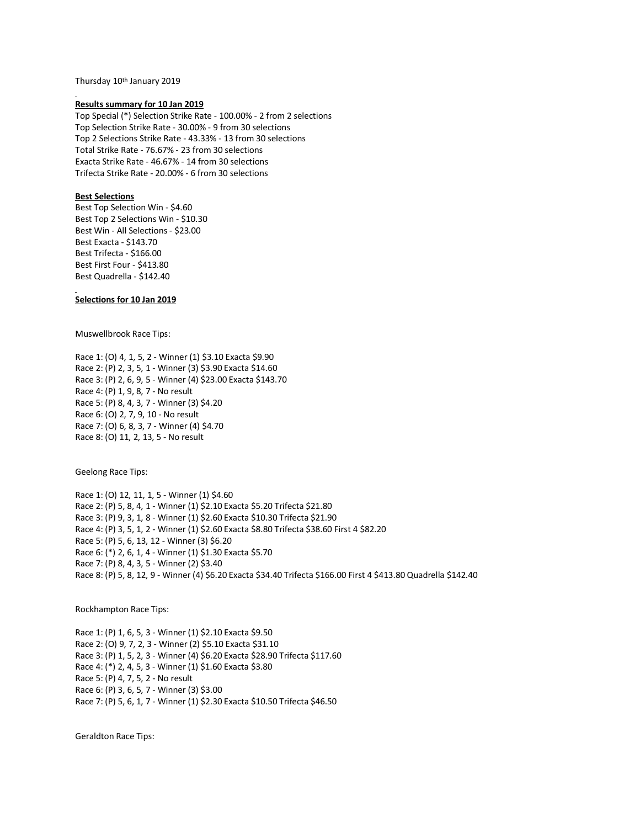Thursday 10th January 2019

#### **Results summary for 10 Jan 2019**

Top Special (\*) Selection Strike Rate - 100.00% - 2 from 2 selections Top Selection Strike Rate - 30.00% - 9 from 30 selections Top 2 Selections Strike Rate - 43.33% - 13 from 30 selections Total Strike Rate - 76.67% - 23 from 30 selections Exacta Strike Rate - 46.67% - 14 from 30 selections Trifecta Strike Rate - 20.00% - 6 from 30 selections

# **Best Selections**

Best Top Selection Win - \$4.60 Best Top 2 Selections Win - \$10.30 Best Win - All Selections - \$23.00 Best Exacta - \$143.70 Best Trifecta - \$166.00 Best First Four - \$413.80 Best Quadrella - \$142.40

### **Selections for 10 Jan 2019**

Muswellbrook Race Tips:

Race 1: (O) 4, 1, 5, 2 - Winner (1) \$3.10 Exacta \$9.90 Race 2: (P) 2, 3, 5, 1 - Winner (3) \$3.90 Exacta \$14.60 Race 3: (P) 2, 6, 9, 5 - Winner (4) \$23.00 Exacta \$143.70 Race 4: (P) 1, 9, 8, 7 - No result Race 5: (P) 8, 4, 3, 7 - Winner (3) \$4.20 Race 6: (O) 2, 7, 9, 10 - No result Race 7: (O) 6, 8, 3, 7 - Winner (4) \$4.70 Race 8: (O) 11, 2, 13, 5 - No result

Geelong Race Tips:

Race 1: (O) 12, 11, 1, 5 - Winner (1) \$4.60 Race 2: (P) 5, 8, 4, 1 - Winner (1) \$2.10 Exacta \$5.20 Trifecta \$21.80 Race 3: (P) 9, 3, 1, 8 - Winner (1) \$2.60 Exacta \$10.30 Trifecta \$21.90 Race 4: (P) 3, 5, 1, 2 - Winner (1) \$2.60 Exacta \$8.80 Trifecta \$38.60 First 4 \$82.20 Race 5: (P) 5, 6, 13, 12 - Winner (3) \$6.20 Race 6: (\*) 2, 6, 1, 4 - Winner (1) \$1.30 Exacta \$5.70 Race 7: (P) 8, 4, 3, 5 - Winner (2) \$3.40 Race 8: (P) 5, 8, 12, 9 - Winner (4) \$6.20 Exacta \$34.40 Trifecta \$166.00 First 4 \$413.80 Quadrella \$142.40

Rockhampton Race Tips:

Race 1: (P) 1, 6, 5, 3 - Winner (1) \$2.10 Exacta \$9.50 Race 2: (O) 9, 7, 2, 3 - Winner (2) \$5.10 Exacta \$31.10 Race 3: (P) 1, 5, 2, 3 - Winner (4) \$6.20 Exacta \$28.90 Trifecta \$117.60 Race 4: (\*) 2, 4, 5, 3 - Winner (1) \$1.60 Exacta \$3.80 Race 5: (P) 4, 7, 5, 2 - No result Race 6: (P) 3, 6, 5, 7 - Winner (3) \$3.00 Race 7: (P) 5, 6, 1, 7 - Winner (1) \$2.30 Exacta \$10.50 Trifecta \$46.50

Geraldton Race Tips: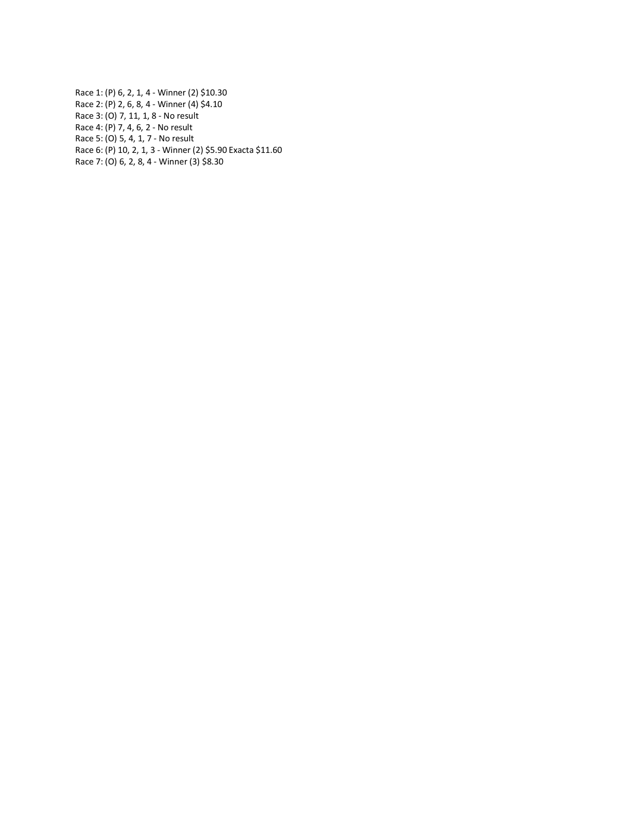Race 1: (P) 6, 2, 1, 4 - Winner (2) \$10.30 Race 2: (P) 2, 6, 8, 4 - Winner (4) \$4.10 Race 3: (O) 7, 11, 1, 8 - No result Race 4: (P) 7, 4, 6, 2 - No result Race 5: (O) 5, 4, 1, 7 - No result Race 6: (P) 10, 2, 1, 3 - Winner (2) \$5.90 Exacta \$11.60 Race 7: (O) 6, 2, 8, 4 - Winner (3) \$8.30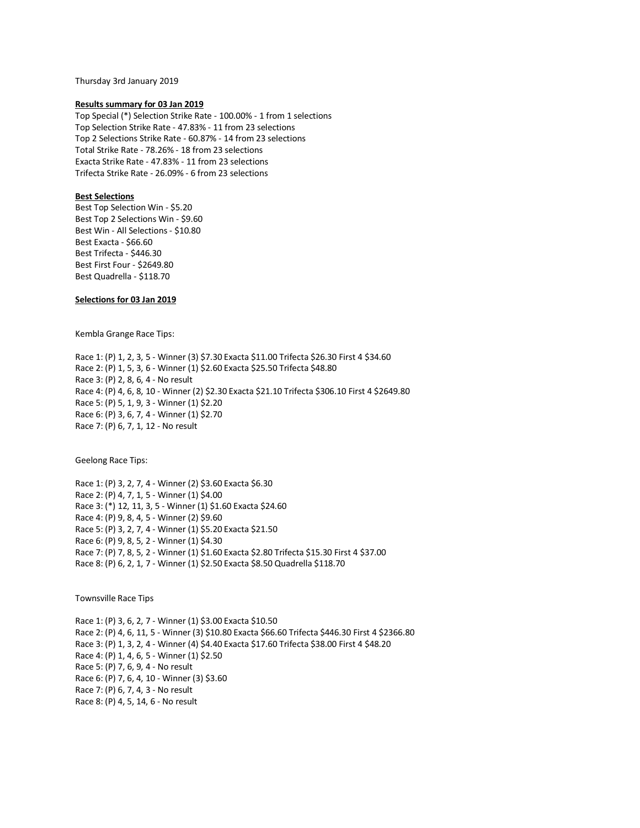Thursday 3rd January 2019

### **Results summary for 03 Jan 2019**

Top Special (\*) Selection Strike Rate - 100.00% - 1 from 1 selections Top Selection Strike Rate - 47.83% - 11 from 23 selections Top 2 Selections Strike Rate - 60.87% - 14 from 23 selections Total Strike Rate - 78.26% - 18 from 23 selections Exacta Strike Rate - 47.83% - 11 from 23 selections Trifecta Strike Rate - 26.09% - 6 from 23 selections

# **Best Selections**

Best Top Selection Win - \$5.20 Best Top 2 Selections Win - \$9.60 Best Win - All Selections - \$10.80 Best Exacta - \$66.60 Best Trifecta - \$446.30 Best First Four - \$2649.80 Best Quadrella - \$118.70

# **Selections for 03 Jan 2019**

Kembla Grange Race Tips:

Race 1: (P) 1, 2, 3, 5 - Winner (3) \$7.30 Exacta \$11.00 Trifecta \$26.30 First 4 \$34.60 Race 2: (P) 1, 5, 3, 6 - Winner (1) \$2.60 Exacta \$25.50 Trifecta \$48.80 Race 3: (P) 2, 8, 6, 4 - No result Race 4: (P) 4, 6, 8, 10 - Winner (2) \$2.30 Exacta \$21.10 Trifecta \$306.10 First 4 \$2649.80 Race 5: (P) 5, 1, 9, 3 - Winner (1) \$2.20 Race 6: (P) 3, 6, 7, 4 - Winner (1) \$2.70 Race 7: (P) 6, 7, 1, 12 - No result

Geelong Race Tips:

Race 1: (P) 3, 2, 7, 4 - Winner (2) \$3.60 Exacta \$6.30 Race 2: (P) 4, 7, 1, 5 - Winner (1) \$4.00 Race 3: (\*) 12, 11, 3, 5 - Winner (1) \$1.60 Exacta \$24.60 Race 4: (P) 9, 8, 4, 5 - Winner (2) \$9.60 Race 5: (P) 3, 2, 7, 4 - Winner (1) \$5.20 Exacta \$21.50 Race 6: (P) 9, 8, 5, 2 - Winner (1) \$4.30 Race 7: (P) 7, 8, 5, 2 - Winner (1) \$1.60 Exacta \$2.80 Trifecta \$15.30 First 4 \$37.00 Race 8: (P) 6, 2, 1, 7 - Winner (1) \$2.50 Exacta \$8.50 Quadrella \$118.70

Townsville Race Tips

Race 1: (P) 3, 6, 2, 7 - Winner (1) \$3.00 Exacta \$10.50 Race 2: (P) 4, 6, 11, 5 - Winner (3) \$10.80 Exacta \$66.60 Trifecta \$446.30 First 4 \$2366.80 Race 3: (P) 1, 3, 2, 4 - Winner (4) \$4.40 Exacta \$17.60 Trifecta \$38.00 First 4 \$48.20 Race 4: (P) 1, 4, 6, 5 - Winner (1) \$2.50 Race 5: (P) 7, 6, 9, 4 - No result Race 6: (P) 7, 6, 4, 10 - Winner (3) \$3.60 Race 7: (P) 6, 7, 4, 3 - No result Race 8: (P) 4, 5, 14, 6 - No result